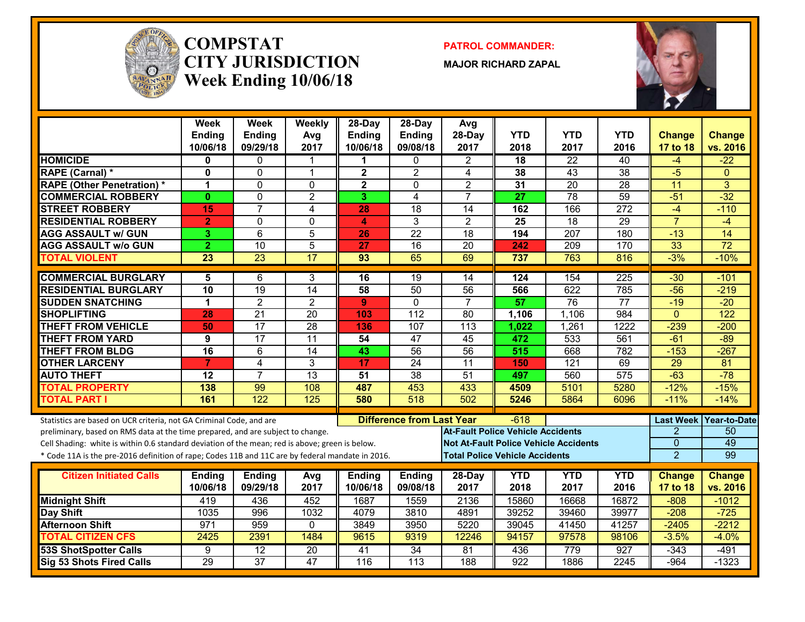

#### **COMPSTATCITY JURISDICTIONWeek Ending 10/06/18**

**PATROL COMMANDER:**

**MAJOR RICHARD ZAPAL**



|                                                                                                                                                                                    | <b>Week</b><br>Ending<br>10/06/18 | Week<br><b>Ending</b><br>09/29/18 | Weekly<br>Avg<br>2017 | 28-Day<br><b>Ending</b><br>10/06/18 | 28-Day<br><b>Ending</b><br>09/08/18 | Avg<br>28-Day<br>2017                        | <b>YTD</b><br>2018                    | <b>YTD</b><br>2017 | <b>YTD</b><br>2016 | <b>Change</b><br>17 to 18          | <b>Change</b><br>vs. 2016 |
|------------------------------------------------------------------------------------------------------------------------------------------------------------------------------------|-----------------------------------|-----------------------------------|-----------------------|-------------------------------------|-------------------------------------|----------------------------------------------|---------------------------------------|--------------------|--------------------|------------------------------------|---------------------------|
| <b>HOMICIDE</b>                                                                                                                                                                    | 0                                 | $\mathbf{0}$                      | 1                     | 1                                   | $\Omega$                            | $\overline{2}$                               | 18                                    | $\overline{22}$    | 40                 | $-4$                               | $-22$                     |
| <b>RAPE (Carnal) *</b>                                                                                                                                                             | $\mathbf{0}$                      | $\mathbf{0}$                      | $\mathbf{1}$          | $\mathbf{2}$                        | $\overline{2}$                      | 4                                            | 38                                    | 43                 | $\overline{38}$    | $-5$                               | $\Omega$                  |
| <b>RAPE (Other Penetration)*</b>                                                                                                                                                   | 1                                 | $\Omega$                          | $\Omega$              | $\overline{\mathbf{2}}$             | $\Omega$                            | $\overline{2}$                               | 31                                    | $\overline{20}$    | $\overline{28}$    | $\overline{11}$                    | 3                         |
| <b>COMMERCIAL ROBBERY</b>                                                                                                                                                          | $\mathbf{0}$                      | $\Omega$                          | $\overline{2}$        | 3                                   | $\overline{\mathbf{4}}$             | $\overline{7}$                               | 27                                    | 78                 | 59                 | $-51$                              | $-32$                     |
| <b>STREET ROBBERY</b>                                                                                                                                                              | 15                                | $\overline{7}$                    | 4                     | 28                                  | 18                                  | 14                                           | 162                                   | 166                | $\overline{272}$   | $-4$                               | $-110$                    |
| <b>RESIDENTIAL ROBBERY</b>                                                                                                                                                         | $\overline{2}$                    | $\mathbf{0}$                      | $\Omega$              | 4                                   | 3                                   | $\mathbf{2}$                                 | 25                                    | 18                 | 29                 | $\overline{7}$                     | $-4$                      |
| <b>AGG ASSAULT w/ GUN</b>                                                                                                                                                          | 3                                 | 6                                 | 5                     | 26                                  | $\overline{22}$                     | $\overline{18}$                              | 194                                   | $\overline{207}$   | 180                | $-13$                              | 14                        |
| <b>AGG ASSAULT W/o GUN</b>                                                                                                                                                         | $\overline{2}$                    | $\overline{10}$                   | 5                     | 27                                  | $\overline{16}$                     | $\overline{20}$                              | 242                                   | 209                | 170                | 33                                 | $\overline{72}$           |
| <b>TOTAL VIOLENT</b>                                                                                                                                                               | $\overline{23}$                   | $\overline{23}$                   | $\overline{17}$       | 93                                  | 65                                  | 69                                           | 737                                   | 763                | 816                | $-3%$                              | $-10%$                    |
| <b>COMMERCIAL BURGLARY</b>                                                                                                                                                         | 5                                 | 6                                 | 3                     | 16                                  | 19                                  | 14                                           | 124                                   | 154                | 225                | $-30$                              | $-101$                    |
| <b>RESIDENTIAL BURGLARY</b>                                                                                                                                                        | $\overline{10}$                   | 19                                | 14                    | 58                                  | 50                                  | $\overline{56}$                              | 566                                   | 622                | 785                | $-56$                              | $-219$                    |
| <b>SUDDEN SNATCHING</b>                                                                                                                                                            | 1                                 | $\overline{2}$                    | $\overline{2}$        | 9                                   | $\mathbf{0}$                        | $\overline{7}$                               | 57                                    | 76                 | 77                 | $-19$                              | $-20$                     |
| <b>SHOPLIFTING</b>                                                                                                                                                                 | 28                                | $\overline{21}$                   | $\overline{20}$       | 103                                 | $\overline{112}$                    | $\overline{80}$                              | 1,106                                 | 1,106              | 984                | $\Omega$                           | $\overline{122}$          |
| <b>THEFT FROM VEHICLE</b>                                                                                                                                                          | 50                                | $\overline{17}$                   | $\overline{28}$       | 136                                 | 107                                 | 113                                          | 1,022                                 | 1,261              | 1222               | $-239$                             | $-200$                    |
| <b>THEFT FROM YARD</b>                                                                                                                                                             | 9                                 | $\overline{17}$                   | $\overline{11}$       | 54                                  | $\overline{47}$                     | 45                                           | 472                                   | 533                | 561                | $-61$                              | $-89$                     |
| <b>THEFT FROM BLDG</b>                                                                                                                                                             | $\overline{16}$                   | 6                                 | $\overline{14}$       | 43                                  | $\overline{56}$                     | $\overline{56}$                              | 515                                   | 668                | 782                | $-153$                             | $-267$                    |
| <b>OTHER LARCENY</b>                                                                                                                                                               | $\overline{7}$                    | $\overline{4}$                    | 3                     | 17                                  | $\overline{24}$                     | 11                                           | 150                                   | $\overline{121}$   | 69                 | $\overline{29}$                    | 81                        |
| <b>AUTO THEFT</b>                                                                                                                                                                  | $\overline{12}$                   | $\overline{7}$                    | $\overline{13}$       | $\overline{51}$                     | $\overline{38}$                     | $\overline{51}$                              | 497                                   | 560                | $\overline{575}$   | $-63$                              | $-78$                     |
| <b>TOTAL PROPERTY</b>                                                                                                                                                              | 138                               | 99                                | 108                   | 487                                 | 453                                 | 433                                          | 4509                                  | 5101               | 5280               | $-12%$                             | $-15%$                    |
| <b>TOTAL PART I</b>                                                                                                                                                                | 161                               | 122                               | 125                   | 580                                 | 518                                 | 502                                          | 5246                                  | 5864               | 6096               | $-11%$                             | $-14%$                    |
|                                                                                                                                                                                    |                                   |                                   |                       |                                     |                                     |                                              |                                       |                    |                    |                                    |                           |
| Statistics are based on UCR criteria, not GA Criminal Code, and are                                                                                                                |                                   |                                   |                       |                                     | <b>Difference from Last Year</b>    | <b>At-Fault Police Vehicle Accidents</b>     | $-618$                                |                    |                    | <b>Last Week</b><br>$\overline{2}$ | <b>Year-to-Date</b><br>50 |
| preliminary, based on RMS data at the time prepared, and are subject to change.<br>Cell Shading: white is within 0.6 standard deviation of the mean; red is above; green is below. |                                   |                                   |                       |                                     |                                     | <b>Not At-Fault Police Vehicle Accidents</b> |                                       |                    |                    | $\Omega$                           | 49                        |
| * Code 11A is the pre-2016 definition of rape; Codes 11B and 11C are by federal mandate in 2016.                                                                                   |                                   |                                   |                       |                                     |                                     |                                              | <b>Total Police Vehicle Accidents</b> |                    |                    | $\overline{2}$                     | 99                        |
|                                                                                                                                                                                    |                                   |                                   |                       |                                     |                                     |                                              |                                       |                    |                    |                                    |                           |
| <b>Citizen Initiated Calls</b>                                                                                                                                                     | <b>Ending</b>                     | <b>Ending</b>                     | Avg                   | <b>Ending</b>                       | <b>Ending</b>                       | 28-Day                                       | <b>YTD</b>                            | <b>YTD</b>         | <b>YTD</b>         | <b>Change</b>                      | <b>Change</b>             |
|                                                                                                                                                                                    | 10/06/18                          | 09/29/18                          | 2017                  | 10/06/18                            | 09/08/18                            | 2017                                         | 2018                                  | 2017               | 2016               | 17 to 18                           | vs. 2016                  |
| <b>Midnight Shift</b>                                                                                                                                                              | 419                               | 436                               | 452                   | 1687                                | 1559                                | 2136                                         | 15860                                 | 16668              | 16872              | $-808$                             | $-1012$                   |
| Day Shift                                                                                                                                                                          | 1035                              | 996                               | 1032                  | 4079                                | 3810                                | 4891                                         | 39252                                 | 39460              | 39977              | $-208$                             | $-725$                    |
| <b>Afternoon Shift</b>                                                                                                                                                             | 971                               | 959                               | $\mathbf{0}$          | 3849                                | 3950                                | 5220                                         | 39045                                 | 41450              | 41257              | $-2405$                            | $-2212$                   |
| <b>TOTAL CITIZEN CFS</b>                                                                                                                                                           | 2425                              | 2391                              | 1484                  | 9615                                | 9319                                | 12246                                        | 94157                                 | 97578              | 98106              | $-3.5%$                            | $-4.0%$                   |
| <b>53S ShotSpotter Calls</b>                                                                                                                                                       | 9                                 | 12                                | $\overline{20}$       | $\overline{41}$                     | 34                                  | 81                                           | 436                                   | 779                | 927                | $-343$                             | $-491$                    |
| Sig 53 Shots Fired Calls                                                                                                                                                           | 29                                | $\overline{37}$                   | 47                    | 116                                 | $\overline{113}$                    | 188                                          | $\overline{922}$                      | 1886               | 2245               | $-964$                             | $-1323$                   |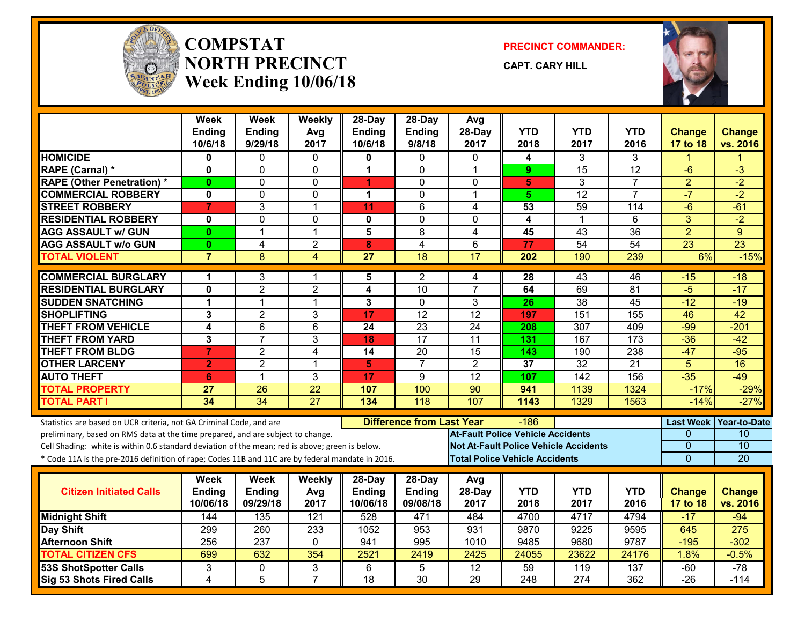

#### **COMPSTATNORTH PRECINCTWeek Ending 10/06/18**

**PRECINCT COMMANDER:**

**CAPT. CARY HILL**



|                                                                                                  | Week<br><b>Ending</b><br>10/6/18 | <b>Week</b><br><b>Ending</b><br>9/29/18 | Weekly<br>Avg<br>2017 | 28-Day<br><b>Ending</b><br>10/6/18 | 28-Day<br><b>Ending</b><br>9/8/18 | Avg<br>28-Day<br>2017                    | <b>YTD</b><br>2018 | YTD<br>2017                                  | <b>YTD</b><br>2016 | <b>Change</b><br>17 to 18 | <b>Change</b><br>vs. 2016 |
|--------------------------------------------------------------------------------------------------|----------------------------------|-----------------------------------------|-----------------------|------------------------------------|-----------------------------------|------------------------------------------|--------------------|----------------------------------------------|--------------------|---------------------------|---------------------------|
| <b>HOMICIDE</b>                                                                                  | 0                                | $\Omega$                                | $\mathbf{0}$          | 0                                  | $\Omega$                          | $\mathbf{0}$                             | 4                  | 3                                            | 3                  | 1                         | 1                         |
| RAPE (Carnal) *                                                                                  | 0                                | $\Omega$                                | $\Omega$              | 1                                  | $\Omega$                          | $\overline{1}$                           | 9                  | 15                                           | $\overline{12}$    | $-6$                      | $-3$                      |
| <b>RAPE (Other Penetration) *</b>                                                                | $\bf{0}$                         | $\Omega$                                | 0                     | 4                                  | $\Omega$                          | $\mathbf{0}$                             | 5                  | 3                                            | $\overline{7}$     | $\overline{2}$            | $-2$                      |
| <b>COMMERCIAL ROBBERY</b>                                                                        | 0                                | $\Omega$                                | $\mathbf 0$           | 1                                  | 0                                 | -1                                       | 5                  | $\overline{12}$                              | $\overline{7}$     | $-7$                      | $-2$                      |
| <b>STREET ROBBERY</b>                                                                            | $\overline{7}$                   | 3                                       | $\mathbf{1}$          | 11                                 | 6                                 | 4                                        | 53                 | 59                                           | $\overline{114}$   | $-6$                      | $-61$                     |
| <b>RESIDENTIAL ROBBERY</b>                                                                       | 0                                | $\mathbf 0$                             | 0                     | $\mathbf{0}$                       | 0                                 | $\mathbf{0}$                             | 4                  | 1                                            | 6                  | 3                         | $-2$                      |
| <b>AGG ASSAULT w/ GUN</b>                                                                        | 0                                | 1                                       | $\mathbf{1}$          | 5                                  | 8                                 | 4                                        | 45                 | 43                                           | 36                 | $\overline{2}$            | 9                         |
| <b>AGG ASSAULT w/o GUN</b>                                                                       | $\mathbf{0}$                     | $\overline{4}$                          | $\mathbf{2}$          | 8                                  | 4                                 | 6                                        | 77                 | 54                                           | 54                 | $\overline{23}$           | $\overline{23}$           |
| <b>TOTAL VIOLENT</b>                                                                             | $\overline{7}$                   | 8                                       | $\overline{4}$        | $\overline{27}$                    | 18                                | $\overline{17}$                          | 202                | 190                                          | 239                | 6%                        | $-15%$                    |
| <b>COMMERCIAL BURGLARY</b>                                                                       | 1                                | 3                                       | 1                     | 5                                  | 2                                 | 4                                        | 28                 | 43                                           | 46                 | $-15$                     | $-18$                     |
| <b>RESIDENTIAL BURGLARY</b>                                                                      | 0                                | $\overline{2}$                          | $\overline{2}$        | 4                                  | 10                                | $\overline{7}$                           | 64                 | 69                                           | 81                 | $-5$                      | $-17$                     |
| <b>SUDDEN SNATCHING</b>                                                                          | 1                                | $\blacktriangleleft$                    | 1                     | 3                                  | $\Omega$                          | 3                                        | 26                 | 38                                           | 45                 | $-12$                     | $-19$                     |
| <b>SHOPLIFTING</b>                                                                               | 3                                | $\overline{2}$                          | 3                     | 17                                 | $\overline{12}$                   | $\overline{12}$                          | 197                | 151                                          | 155                | 46                        | 42                        |
| <b>THEFT FROM VEHICLE</b>                                                                        | 4                                | 6                                       | $6\phantom{1}$        | 24                                 | 23                                | 24                                       | 208                | 307                                          | 409                | $-99$                     | $-201$                    |
| <b>THEFT FROM YARD</b>                                                                           | 3                                | $\overline{7}$                          | $\mathbf{3}$          | 18                                 | 17                                | $\overline{11}$                          | 131                | 167                                          | $\overline{173}$   | $-36$                     | $-42$                     |
| <b>THEFT FROM BLDG</b>                                                                           | $\overline{7}$                   | $\overline{2}$                          | $\overline{4}$        | $\overline{14}$                    | $\overline{20}$                   | 15                                       | 143                | 190                                          | 238                | $-47$                     | $-95$                     |
| <b>OTHER LARCENY</b>                                                                             | $\overline{2}$                   | $\overline{2}$                          | $\mathbf{1}$          | 5                                  | $\overline{7}$                    | $\overline{2}$                           | 37                 | $\overline{32}$                              | $\overline{21}$    | $\overline{5}$            | 16                        |
| <b>AUTO THEFT</b>                                                                                | 6                                | $\mathbf{1}$                            | 3                     | 17                                 | 9                                 | $\overline{12}$                          | 107                | $\overline{142}$                             | 156                | $-35$                     | $-49$                     |
| <b>TOTAL PROPERTY</b>                                                                            | 27                               | $\overline{26}$                         | $\overline{22}$       | 107                                | 100                               | $\overline{90}$                          | 941                | 1139                                         | 1324               | $-17%$                    | $-29%$                    |
| <b>TOTAL PART I</b>                                                                              | $\overline{34}$                  | $\overline{34}$                         | $\overline{27}$       | 134                                | $\overline{118}$                  | 107                                      | 1143               | 1329                                         | 1563               | $-14%$                    | $-27%$                    |
| Statistics are based on UCR criteria, not GA Criminal Code, and are                              |                                  |                                         |                       |                                    | <b>Difference from Last Year</b>  |                                          | $-186$             |                                              |                    |                           | Last Week Year-to-Date    |
| preliminary, based on RMS data at the time prepared, and are subject to change.                  |                                  |                                         |                       |                                    |                                   | <b>At-Fault Police Vehicle Accidents</b> |                    |                                              |                    | $\Omega$                  | 10                        |
| Cell Shading: white is within 0.6 standard deviation of the mean; red is above; green is below.  |                                  |                                         |                       |                                    |                                   |                                          |                    | <b>Not At-Fault Police Vehicle Accidents</b> |                    | $\Omega$                  | 10                        |
| * Code 11A is the pre-2016 definition of rape; Codes 11B and 11C are by federal mandate in 2016. |                                  |                                         |                       |                                    |                                   | <b>Total Police Vehicle Accidents</b>    |                    |                                              |                    | $\overline{0}$            | 20                        |
|                                                                                                  | Week                             | Week                                    | Weekly                | 28-Day                             | 28-Day                            | Avg                                      |                    |                                              |                    |                           |                           |
| <b>Citizen Initiated Calls</b>                                                                   | Ending                           | <b>Ending</b>                           | Avg                   | Ending                             | <b>Ending</b>                     | 28-Day                                   | <b>YTD</b>         | <b>YTD</b>                                   | <b>YTD</b>         | <b>Change</b>             | <b>Change</b>             |
|                                                                                                  | 10/06/18                         | 09/29/18                                | 2017                  | 10/06/18                           | 09/08/18                          | 2017                                     | 2018               | 2017                                         | 2016               | 17 to 18                  | vs. 2016                  |
| <b>Midnight Shift</b>                                                                            | 144                              | 135                                     | 121                   | 528                                | 471                               | 484                                      | 4700               | 4717                                         | 4794               | $-17$                     | $-94$                     |
| <b>Day Shift</b>                                                                                 | 299                              | 260                                     | 233                   | 1052                               | 953                               | 931                                      | 9870               | 9225                                         | 9595               | 645                       | $\overline{275}$          |
| <b>Afternoon Shift</b>                                                                           | 256                              | $\overline{237}$                        | $\mathbf 0$           | 941                                | 995                               | 1010                                     | 9485               | 9680                                         | 9787               | $-195$                    | $-302$                    |
| <b>TOTAL CITIZEN CFS</b>                                                                         | 699                              | 632                                     | 354                   | 2521                               | 2419                              | 2425                                     | 24055              | 23622                                        | 24176              | 1.8%                      | $-0.5%$                   |
| <b>53S ShotSpotter Calls</b>                                                                     | 3                                | 0                                       | 3                     | 6                                  | 5                                 | $\overline{12}$                          | 59                 | $\overline{119}$                             | 137                | $-60$                     | $-78$                     |
| Sig 53 Shots Fired Calls                                                                         | 4                                | $\overline{5}$                          | $\overline{7}$        | 18                                 | 30                                | 29                                       | 248                | 274                                          | 362                | $-26$                     | $-114$                    |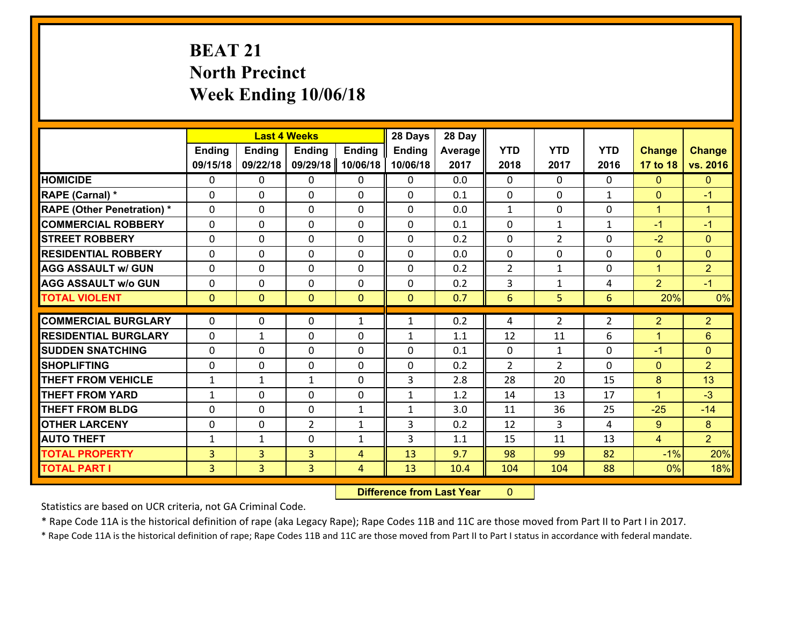# **BEAT 21 North Precinct Week Ending 10/06/18**

|                                   |                |                | <b>Last 4 Weeks</b> |               | 28 Days        | 28 Day  |                |                |              |                |                      |
|-----------------------------------|----------------|----------------|---------------------|---------------|----------------|---------|----------------|----------------|--------------|----------------|----------------------|
|                                   | <b>Ending</b>  | <b>Ending</b>  | <b>Ending</b>       | <b>Ending</b> | <b>Ending</b>  | Average | <b>YTD</b>     | <b>YTD</b>     | <b>YTD</b>   | <b>Change</b>  | <b>Change</b>        |
|                                   | 09/15/18       | 09/22/18       | 09/29/18            | 10/06/18      | 10/06/18       | 2017    | 2018           | 2017           | 2016         | 17 to 18       | vs. 2016             |
| <b>HOMICIDE</b>                   | $\Omega$       | 0              | 0                   | 0             | 0              | 0.0     | 0              | $\Omega$       | 0            | $\mathbf{0}$   | $\mathbf{0}$         |
| RAPE (Carnal) *                   | 0              | 0              | $\mathbf 0$         | 0             | 0              | 0.1     | $\mathbf 0$    | $\mathbf{0}$   | $\mathbf{1}$ | $\mathbf{0}$   | $-1$                 |
| <b>RAPE (Other Penetration) *</b> | $\Omega$       | 0              | $\mathbf{0}$        | $\Omega$      | $\Omega$       | 0.0     | $\mathbf{1}$   | $\Omega$       | $\Omega$     | $\mathbf{1}$   | $\blacktriangleleft$ |
| <b>COMMERCIAL ROBBERY</b>         | $\Omega$       | $\Omega$       | $\mathbf 0$         | $\Omega$      | $\Omega$       | 0.1     | $\Omega$       | $\mathbf{1}$   | $\mathbf{1}$ | $-1$           | $-1$                 |
| <b>STREET ROBBERY</b>             | 0              | 0              | $\mathbf 0$         | 0             | 0              | 0.2     | 0              | $\overline{2}$ | $\Omega$     | $-2$           | $\mathbf{0}$         |
| <b>RESIDENTIAL ROBBERY</b>        | $\Omega$       | $\Omega$       | $\mathbf 0$         | $\Omega$      | $\Omega$       | 0.0     | $\Omega$       | $\Omega$       | $\Omega$     | $\mathbf{0}$   | $\Omega$             |
| <b>AGG ASSAULT w/ GUN</b>         | 0              | 0              | $\mathbf 0$         | 0             | 0              | 0.2     | $\overline{2}$ | $\mathbf{1}$   | 0            | $\mathbf{1}$   | $\overline{2}$       |
| <b>AGG ASSAULT w/o GUN</b>        | 0              | 0              | $\mathbf 0$         | 0             | 0              | 0.2     | 3              | $\mathbf{1}$   | 4            | $\overline{2}$ | $-1$                 |
| <b>TOTAL VIOLENT</b>              | $\overline{0}$ | $\overline{0}$ | $\mathbf{0}$        | $\mathbf{0}$  | $\overline{0}$ | 0.7     | 6              | 5              | 6            | 20%            | 0%                   |
|                                   |                |                |                     |               |                |         |                |                |              |                |                      |
| <b>COMMERCIAL BURGLARY</b>        | 0              | 0              | $\mathbf{0}$        | $\mathbf{1}$  | $\mathbf{1}$   | 0.2     | 4              | $\overline{2}$ | 2            | $\overline{2}$ | $\overline{2}$       |
| <b>RESIDENTIAL BURGLARY</b>       | $\Omega$       | 1              | $\mathbf{0}$        | 0             | $\mathbf{1}$   | 1.1     | 12             | 11             | 6            | $\mathbf{1}$   | $6\phantom{1}$       |
| <b>SUDDEN SNATCHING</b>           | $\Omega$       | 0              | $\mathbf{0}$        | $\Omega$      | $\Omega$       | 0.1     | $\mathbf{0}$   | $\mathbf{1}$   | $\Omega$     | $-1$           | $\mathbf{0}$         |
| <b>SHOPLIFTING</b>                |                |                |                     |               |                |         |                |                |              |                |                      |
|                                   | $\Omega$       | 0              | $\mathbf{0}$        | 0             | $\Omega$       | 0.2     | 2              | 2              | $\Omega$     | $\mathbf{0}$   | $\overline{2}$       |
| <b>THEFT FROM VEHICLE</b>         | 1              | 1              | $\mathbf{1}$        | $\Omega$      | 3              | 2.8     | 28             | 20             | 15           | 8              | 13                   |
| <b>THEFT FROM YARD</b>            | $\mathbf{1}$   | 0              | $\mathbf 0$         | 0             | $\mathbf{1}$   | 1.2     | 14             | 13             | 17           | $\mathbf{1}$   | $-3$                 |
| <b>THEFT FROM BLDG</b>            | $\Omega$       | 0              | $\mathbf{0}$        | $\mathbf{1}$  | $\mathbf{1}$   | 3.0     | 11             | 36             | 25           | $-25$          | $-14$                |
| <b>OTHER LARCENY</b>              | 0              | 0              | $\overline{2}$      | $\mathbf{1}$  | 3              | 0.2     | 12             | 3              | 4            | 9              | 8                    |
| <b>AUTO THEFT</b>                 | $\mathbf{1}$   | 1              | $\mathbf{0}$        | $\mathbf{1}$  | 3              | 1.1     | 15             | 11             | 13           | 4              | 2 <sup>1</sup>       |
| <b>TOTAL PROPERTY</b>             | 3              | $\overline{3}$ | $\overline{3}$      | 4             | 13             | 9.7     | 98             | 99             | 82           | $-1%$          | 20%                  |
| <b>TOTAL PART I</b>               | 3              | 3              | 3                   | 4             | 13             | 10.4    | 104            | 104            | 88           | 0%             | 18%                  |

 **Difference from Last Year**r 0

Statistics are based on UCR criteria, not GA Criminal Code.

\* Rape Code 11A is the historical definition of rape (aka Legacy Rape); Rape Codes 11B and 11C are those moved from Part II to Part I in 2017.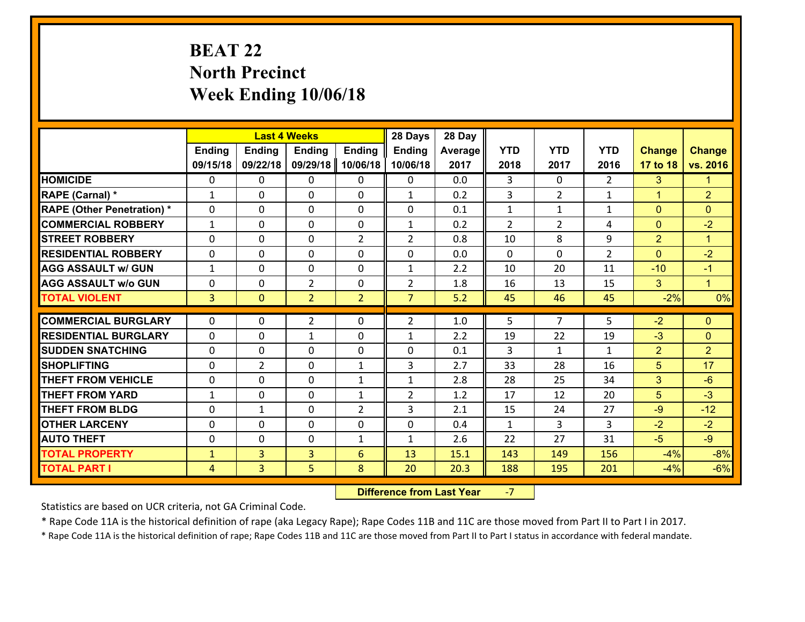# **BEAT 22 North Precinct Week Ending 10/06/18**

|                                              |                                |                     | <b>Last 4 Weeks</b> |                | 28 Days        | 28 Day       |                |                |                |                      |                      |
|----------------------------------------------|--------------------------------|---------------------|---------------------|----------------|----------------|--------------|----------------|----------------|----------------|----------------------|----------------------|
|                                              | Ending                         | <b>Ending</b>       | <b>Ending</b>       | <b>Ending</b>  | <b>Ending</b>  | Average      | <b>YTD</b>     | <b>YTD</b>     | <b>YTD</b>     | <b>Change</b>        | <b>Change</b>        |
|                                              | 09/15/18                       | 09/22/18            | 09/29/18            | 10/06/18       | 10/06/18       | 2017         | 2018           | 2017           | 2016           | 17 to 18             | vs. 2016             |
| <b>HOMICIDE</b>                              | 0                              | 0                   | 0                   | 0              | 0              | 0.0          | 3              | $\Omega$       | 2              | 3                    | 1.                   |
| RAPE (Carnal) *                              | 1                              | 0                   | 0                   | $\Omega$       | 1              | 0.2          | 3              | $\overline{2}$ | $\mathbf{1}$   | $\blacktriangleleft$ | $\overline{2}$       |
| <b>RAPE (Other Penetration) *</b>            | $\Omega$                       | $\Omega$            | $\mathbf 0$         | $\Omega$       | $\Omega$       | 0.1          | $\mathbf{1}$   | $\mathbf{1}$   | $\mathbf{1}$   | $\mathbf{0}$         | $\Omega$             |
| <b>COMMERCIAL ROBBERY</b>                    | $\mathbf{1}$                   | $\Omega$            | $\mathbf 0$         | $\Omega$       | $\mathbf{1}$   | 0.2          | $\overline{2}$ | $\overline{2}$ | 4              | $\mathbf{0}$         | $-2$                 |
| <b>ISTREET ROBBERY</b>                       | $\mathbf{0}$                   | 0                   | $\mathbf{0}$        | $\overline{2}$ | $\overline{2}$ | 0.8          | 10             | 8              | 9              | $\overline{2}$       | $\mathbf{1}$         |
| <b>RESIDENTIAL ROBBERY</b>                   | 0                              | 0                   | $\mathbf 0$         | 0              | 0              | 0.0          | $\mathbf{0}$   | $\mathbf{0}$   | $\overline{2}$ | $\mathbf{0}$         | $-2$                 |
| <b>AGG ASSAULT w/ GUN</b>                    | $\mathbf{1}$                   | 0                   | $\mathbf 0$         | 0              | $\mathbf{1}$   | 2.2          | 10             | 20             | 11             | $-10$                | $-1$                 |
| <b>AGG ASSAULT w/o GUN</b>                   | 0                              | 0                   | $\overline{2}$      | $\mathbf{0}$   | $\overline{2}$ | 1.8          | 16             | 13             | 15             | 3 <sup>5</sup>       | $\blacktriangleleft$ |
| <b>TOTAL VIOLENT</b>                         | $\overline{3}$                 | $\overline{0}$      | $\overline{2}$      | $\overline{2}$ | $\overline{7}$ | 5.2          | 45             | 46             | 45             | $-2%$                | 0%                   |
| <b>COMMERCIAL BURGLARY</b>                   | $\Omega$                       | 0                   | $\overline{2}$      | $\Omega$       | $\overline{2}$ | 1.0          | 5              | $\overline{7}$ | 5              | $-2$                 | $\Omega$             |
| <b>RESIDENTIAL BURGLARY</b>                  | $\Omega$                       | 0                   | 1                   | $\Omega$       | $\mathbf{1}$   | 2.2          | 19             | 22             | 19             | $-3$                 | $\Omega$             |
| <b>SUDDEN SNATCHING</b>                      | 0                              | 0                   | $\mathbf 0$         | $\Omega$       | 0              | 0.1          | $\overline{3}$ | $\mathbf{1}$   | $\mathbf{1}$   | $\overline{2}$       | $\overline{2}$       |
| <b>SHOPLIFTING</b>                           | 0                              | $\overline{2}$      | $\mathbf 0$         | $\mathbf{1}$   | 3              | 2.7          | 33             | 28             | 16             | 5                    | 17                   |
| <b>THEFT FROM VEHICLE</b>                    | 0                              | 0                   | $\mathbf 0$         | $\mathbf{1}$   | $\mathbf{1}$   | 2.8          | 28             | 25             | 34             | 3                    | $-6$                 |
| <b>THEFT FROM YARD</b>                       | $\mathbf{1}$                   | 0                   | $\mathbf 0$         | $\mathbf{1}$   | $\overline{2}$ | 1.2          | 17             | 12             | 20             | 5                    | $-3$                 |
| <b>THEFT FROM BLDG</b>                       | $\mathbf{0}$                   | $\mathbf{1}$        | 0                   | 2              | 3              | 2.1          | 15             | 24             | 27             | $-9$                 | $-12$                |
|                                              |                                |                     |                     |                |                |              | $\mathbf{1}$   | 3              | 3              | $-2$                 | $-2$                 |
|                                              |                                |                     |                     |                |                |              |                |                |                |                      |                      |
| <b>OTHER LARCENY</b>                         | 0                              | 0                   | $\mathbf 0$         | 0              | $\mathbf 0$    | 0.4          |                |                |                |                      |                      |
| <b>AUTO THEFT</b>                            | 0                              | 0                   | 0                   | $\mathbf{1}$   | 1              | 2.6          | 22             | 27             | 31             | $-5$                 | $-9$                 |
| <b>TOTAL PROPERTY</b><br><b>TOTAL PART I</b> | $\mathbf{1}$<br>$\overline{4}$ | 3<br>$\overline{3}$ | 3<br>5              | 6<br>8         | 13<br>20       | 15.1<br>20.3 | 143<br>188     | 149<br>195     | 156<br>201     | $-4%$<br>$-4%$       | $-8%$<br>$-6%$       |

 **Difference from Last Year**‐7

Statistics are based on UCR criteria, not GA Criminal Code.

\* Rape Code 11A is the historical definition of rape (aka Legacy Rape); Rape Codes 11B and 11C are those moved from Part II to Part I in 2017.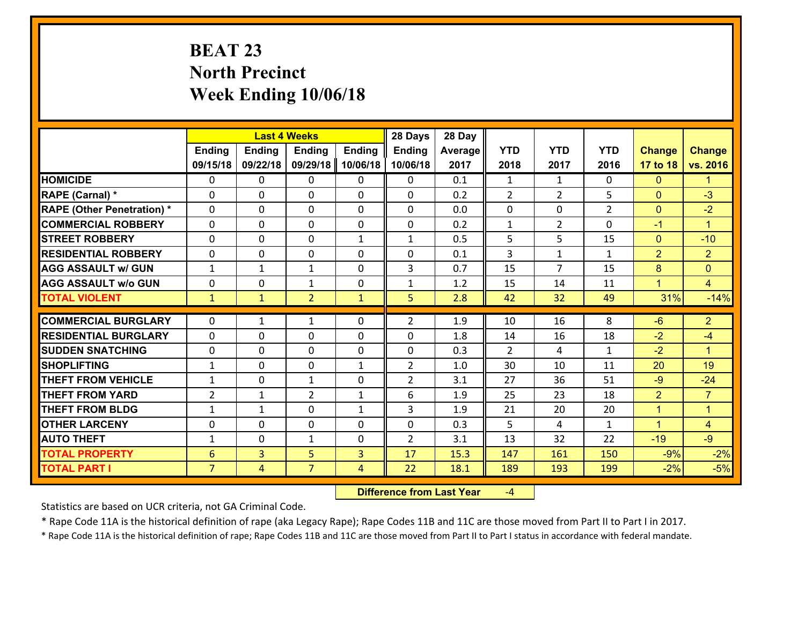# **BEAT 23 North Precinct Week Ending 10/06/18**

|                                   |                 |                | <b>Last 4 Weeks</b> |               | 28 Days        | 28 Day  |                |                |                |                |                      |
|-----------------------------------|-----------------|----------------|---------------------|---------------|----------------|---------|----------------|----------------|----------------|----------------|----------------------|
|                                   | <b>Ending</b>   | <b>Ending</b>  | <b>Ending</b>       | <b>Ending</b> | <b>Ending</b>  | Average | <b>YTD</b>     | <b>YTD</b>     | <b>YTD</b>     | <b>Change</b>  | <b>Change</b>        |
|                                   | 09/15/18        | 09/22/18       | 09/29/18            | 10/06/18      | 10/06/18       | 2017    | 2018           | 2017           | 2016           | 17 to 18       | vs. 2016             |
| <b>HOMICIDE</b>                   | $\Omega$        | 0              | 0                   | 0             | 0              | 0.1     | 1              | $\mathbf{1}$   | 0              | $\mathbf{0}$   | $\mathbf{1}$         |
| RAPE (Carnal) *                   | 0               | 0              | $\mathbf{0}$        | 0             | $\Omega$       | 0.2     | 2              | $\overline{2}$ | 5              | $\mathbf{0}$   | $-3$                 |
| <b>RAPE (Other Penetration) *</b> | $\Omega$        | 0              | $\mathbf{0}$        | $\Omega$      | $\Omega$       | 0.0     | 0              | 0              | $\overline{2}$ | $\mathbf{0}$   | $-2$                 |
| <b>COMMERCIAL ROBBERY</b>         | 0               | 0              | 0                   | 0             | 0              | 0.2     | $\mathbf{1}$   | $\overline{2}$ | $\Omega$       | $-1$           | $\mathbf{1}$         |
| <b>STREET ROBBERY</b>             | $\Omega$        | 0              | $\mathbf 0$         | $\mathbf{1}$  | $\mathbf{1}$   | 0.5     | 5              | 5              | 15             | $\overline{0}$ | $-10$                |
| <b>RESIDENTIAL ROBBERY</b>        | $\Omega$        | 0              | $\mathbf 0$         | $\Omega$      | 0              | 0.1     | $\overline{3}$ | $\mathbf{1}$   | $\mathbf{1}$   | 2              | $\overline{2}$       |
| <b>AGG ASSAULT w/ GUN</b>         | $\mathbf{1}$    | $\mathbf{1}$   | $\mathbf{1}$        | 0             | 3              | 0.7     | 15             | $\overline{7}$ | 15             | 8              | $\overline{0}$       |
| <b>AGG ASSAULT w/o GUN</b>        | 0               | 0              | $\mathbf{1}$        | $\mathbf 0$   | $\mathbf{1}$   | 1.2     | 15             | 14             | 11             | $\mathbf{1}$   | $\overline{4}$       |
| <b>TOTAL VIOLENT</b>              | $\mathbf{1}$    | $\mathbf{1}$   | $\overline{2}$      | $\mathbf{1}$  | 5              | 2.8     | 42             | 32             | 49             | 31%            | $-14%$               |
| <b>COMMERCIAL BURGLARY</b>        | $\Omega$        | 1              | 1                   | $\Omega$      | $\overline{2}$ | 1.9     | 10             | 16             | 8              | $-6$           | $\overline{2}$       |
|                                   |                 |                |                     |               |                |         |                |                |                |                |                      |
| <b>RESIDENTIAL BURGLARY</b>       | 0               | 0              | $\mathbf 0$         | 0             | 0              | 1.8     | 14             | 16             | 18             | $-2$           | $-4$                 |
| <b>SUDDEN SNATCHING</b>           | 0               | 0              | $\mathbf 0$         | 0             | 0              | 0.3     | $\overline{2}$ | 4              | $\mathbf{1}$   | $-2$           | $\blacktriangleleft$ |
| <b>SHOPLIFTING</b>                | $\mathbf{1}$    | 0              | $\mathbf 0$         | $\mathbf{1}$  | $\overline{2}$ | 1.0     | 30             | 10             | 11             | 20             | 19                   |
| <b>THEFT FROM VEHICLE</b>         | $\mathbf{1}$    | 0              | 1                   | 0             | $\overline{2}$ | 3.1     | 27             | 36             | 51             | $-9$           | $-24$                |
| <b>THEFT FROM YARD</b>            | $\overline{2}$  | $\mathbf{1}$   | $\overline{2}$      | $\mathbf{1}$  | 6              | 1.9     | 25             | 23             | 18             | $\overline{2}$ | $\overline{7}$       |
| <b>THEFT FROM BLDG</b>            | $\mathbf{1}$    | 1              | $\mathbf 0$         | $\mathbf{1}$  | 3              | 1.9     | 21             | 20             | 20             | $\mathbf{1}$   | $\mathbf{1}$         |
| <b>OTHER LARCENY</b>              | 0               | 0              | $\mathbf 0$         | 0             | 0              | 0.3     | 5              | 4              | $\mathbf{1}$   | $\mathbf{1}$   | $\overline{4}$       |
| <b>AUTO THEFT</b>                 | $\mathbf{1}$    | 0              | $\mathbf{1}$        | 0             | $\overline{2}$ | 3.1     | 13             | 32             | 22             | $-19$          | $-9$                 |
| <b>TOTAL PROPERTY</b>             | $6\phantom{1}6$ | 3              | 5                   | 3             | 17             | 15.3    | 147            | 161            | 150            | $-9%$          | $-2%$                |
| <b>TOTAL PART I</b>               | $\overline{7}$  | $\overline{4}$ | $\overline{7}$      | 4             | 22             | 18.1    | 189            | 193            | 199            | $-2%$          | $-5%$                |

 **Difference from Last Year**‐4

Statistics are based on UCR criteria, not GA Criminal Code.

\* Rape Code 11A is the historical definition of rape (aka Legacy Rape); Rape Codes 11B and 11C are those moved from Part II to Part I in 2017.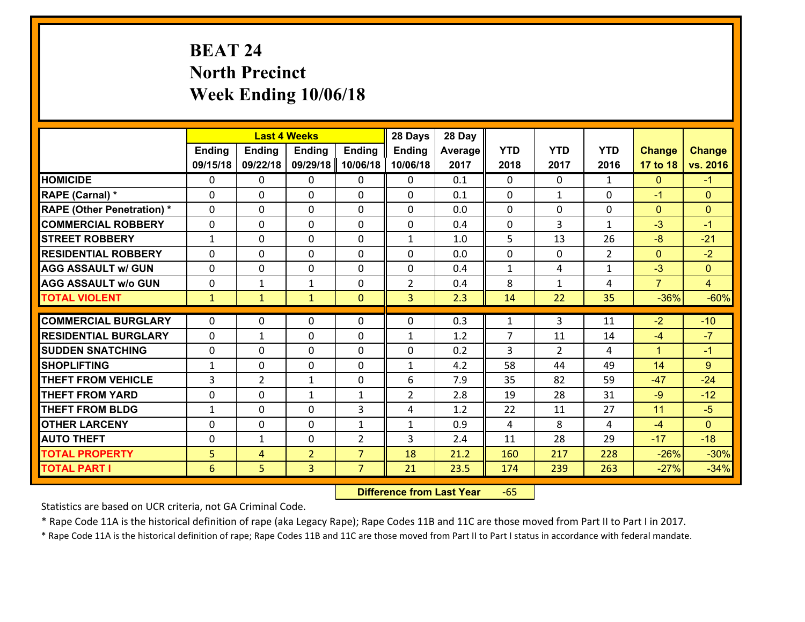# **BEAT 24 North Precinct Week Ending 10/06/18**

|                                   |                |                | <b>Last 4 Weeks</b> |                | 28 Days        | 28 Day  |                |                |                |                |                |
|-----------------------------------|----------------|----------------|---------------------|----------------|----------------|---------|----------------|----------------|----------------|----------------|----------------|
|                                   | <b>Ending</b>  | <b>Ending</b>  | <b>Ending</b>       | <b>Ending</b>  | <b>Ending</b>  | Average | <b>YTD</b>     | <b>YTD</b>     | <b>YTD</b>     | <b>Change</b>  | <b>Change</b>  |
|                                   | 09/15/18       | 09/22/18       | 09/29/18            | 10/06/18       | 10/06/18       | 2017    | 2018           | 2017           | 2016           | 17 to 18       | vs. 2016       |
| <b>HOMICIDE</b>                   | $\Omega$       | 0              | $\Omega$            | 0              | $\Omega$       | 0.1     | $\Omega$       | $\Omega$       | $\mathbf{1}$   | $\mathbf{0}$   | $-1$           |
| RAPE (Carnal) *                   | 0              | 0              | $\mathbf{0}$        | 0              | $\Omega$       | 0.1     | $\mathbf{0}$   | $\mathbf{1}$   | $\Omega$       | $-1$           | $\mathbf{0}$   |
| <b>RAPE (Other Penetration) *</b> | $\Omega$       | 0              | $\mathbf{0}$        | $\Omega$       | $\Omega$       | 0.0     | $\Omega$       | $\Omega$       | $\Omega$       | $\mathbf{0}$   | $\mathbf{0}$   |
| <b>COMMERCIAL ROBBERY</b>         | 0              | 0              | 0                   | 0              | 0              | 0.4     | $\mathbf{0}$   | 3              | $\mathbf{1}$   | $-3$           | $-1$           |
| <b>STREET ROBBERY</b>             | $\mathbf{1}$   | 0              | $\mathbf 0$         | 0              | $\mathbf{1}$   | 1.0     | 5              | 13             | 26             | $-8$           | $-21$          |
| <b>RESIDENTIAL ROBBERY</b>        | $\Omega$       | $\Omega$       | $\mathbf 0$         | $\Omega$       | 0              | 0.0     | $\mathbf 0$    | $\Omega$       | $\overline{2}$ | $\mathbf{0}$   | $-2$           |
| <b>AGG ASSAULT w/ GUN</b>         | $\Omega$       | 0              | $\mathbf 0$         | $\Omega$       | 0              | 0.4     | $\mathbf 1$    | 4              | $\mathbf{1}$   | $-3$           | $\overline{0}$ |
| <b>AGG ASSAULT w/o GUN</b>        | 0              | 1              | 1                   | 0              | $\overline{2}$ | 0.4     | 8              | $\mathbf{1}$   | 4              | $\overline{7}$ | $\overline{4}$ |
| <b>TOTAL VIOLENT</b>              | $\mathbf{1}$   | $\mathbf{1}$   | $\mathbf{1}$        | $\mathbf{0}$   | 3              | 2.3     | 14             | 22             | 35             | $-36%$         | $-60%$         |
| <b>COMMERCIAL BURGLARY</b>        | $\Omega$       | 0              | $\mathbf{0}$        | $\Omega$       | $\Omega$       | 0.3     | $\mathbf{1}$   | 3              | 11             | $-2$           | $-10$          |
|                                   |                |                |                     |                |                |         |                |                |                |                |                |
| <b>RESIDENTIAL BURGLARY</b>       | 0              | 1              | $\mathbf 0$         | 0              | $\mathbf{1}$   | 1.2     | $\overline{7}$ | 11             | 14             | $-4$           | $-7$           |
| <b>SUDDEN SNATCHING</b>           | 0              | 0              | $\mathbf 0$         | 0              | 0              | 0.2     | 3              | $\overline{2}$ | 4              | $\mathbf{1}$   | $-1$           |
| <b>SHOPLIFTING</b>                | $\mathbf{1}$   | 0              | $\mathbf 0$         | 0              | $\mathbf{1}$   | 4.2     | 58             | 44             | 49             | 14             | 9              |
| <b>THEFT FROM VEHICLE</b>         | $\overline{3}$ | $\overline{2}$ | 1                   | 0              | 6              | 7.9     | 35             | 82             | 59             | $-47$          | $-24$          |
| <b>THEFT FROM YARD</b>            | 0              | 0              | 1                   | $\mathbf{1}$   | $\overline{2}$ | 2.8     | 19             | 28             | 31             | $-9$           | $-12$          |
| <b>THEFT FROM BLDG</b>            | $\mathbf{1}$   | 0              | $\mathbf 0$         | 3              | 4              | 1.2     | 22             | 11             | 27             | 11             | $-5$           |
| <b>OTHER LARCENY</b>              | 0              | 0              | $\mathbf 0$         | $\mathbf{1}$   | $\mathbf{1}$   | 0.9     | $\overline{4}$ | 8              | 4              | $-4$           | $\overline{0}$ |
| <b>AUTO THEFT</b>                 | $\mathbf{0}$   | 1              | $\mathbf{0}$        | 2              | 3              | 2.4     | 11             | 28             | 29             | $-17$          | $-18$          |
| <b>TOTAL PROPERTY</b>             | 5              | 4              | $\overline{2}$      | $\overline{7}$ | 18             | 21.2    | 160            | 217            | 228            | $-26%$         | $-30%$         |
| <b>TOTAL PART I</b>               | 6              | 5              | 3                   | $\overline{7}$ | 21             | 23.5    | 174            | 239            | 263            | $-27%$         | $-34%$         |

 **Difference from Last Year**r -65

Statistics are based on UCR criteria, not GA Criminal Code.

\* Rape Code 11A is the historical definition of rape (aka Legacy Rape); Rape Codes 11B and 11C are those moved from Part II to Part I in 2017.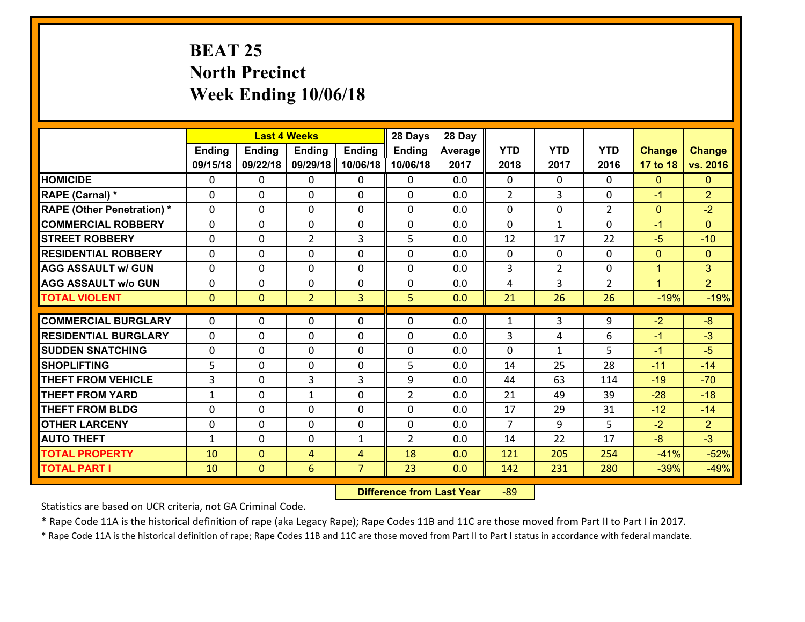# **BEAT 25 North Precinct Week Ending 10/06/18**

|                                   |               |                | <b>Last 4 Weeks</b> |                | 28 Days        | 28 Day  |                |                |                |               |                |
|-----------------------------------|---------------|----------------|---------------------|----------------|----------------|---------|----------------|----------------|----------------|---------------|----------------|
|                                   | <b>Ending</b> | <b>Ending</b>  | <b>Ending</b>       | <b>Ending</b>  | <b>Ending</b>  | Average | <b>YTD</b>     | <b>YTD</b>     | <b>YTD</b>     | <b>Change</b> | <b>Change</b>  |
|                                   | 09/15/18      | 09/22/18       | 09/29/18            | 10/06/18       | 10/06/18       | 2017    | 2018           | 2017           | 2016           | 17 to 18      | vs. 2016       |
| <b>HOMICIDE</b>                   | $\mathbf{0}$  | 0              | $\mathbf{0}$        | 0              | $\mathbf{0}$   | 0.0     | $\Omega$       | $\Omega$       | $\Omega$       | $\mathbf{0}$  | $\mathbf{0}$   |
| RAPE (Carnal) *                   | $\Omega$      | 0              | $\mathbf{0}$        | $\Omega$       | 0              | 0.0     | $\overline{2}$ | 3              | $\Omega$       | $-1$          | $\overline{2}$ |
| <b>RAPE (Other Penetration) *</b> | $\Omega$      | 0              | $\mathbf 0$         | $\Omega$       | $\Omega$       | 0.0     | $\Omega$       | $\Omega$       | $\overline{2}$ | $\mathbf{0}$  | $-2$           |
| <b>COMMERCIAL ROBBERY</b>         | 0             | 0              | $\mathbf 0$         | 0              | 0              | 0.0     | $\mathbf 0$    | $\mathbf{1}$   | $\Omega$       | $-1$          | $\mathbf{0}$   |
| <b>STREET ROBBERY</b>             | $\Omega$      | 0              | $\overline{2}$      | 3              | 5              | 0.0     | 12             | 17             | 22             | $-5$          | $-10$          |
| <b>RESIDENTIAL ROBBERY</b>        | $\Omega$      | 0              | $\mathbf{0}$        | $\Omega$       | $\Omega$       | 0.0     | $\Omega$       | $\Omega$       | 0              | $\mathbf{0}$  | $\mathbf{0}$   |
| <b>AGG ASSAULT w/ GUN</b>         | $\Omega$      | $\Omega$       | $\mathbf 0$         | $\Omega$       | $\Omega$       | 0.0     | 3              | $\overline{2}$ | $\Omega$       | $\mathbf{1}$  | 3              |
| <b>AGG ASSAULT w/o GUN</b>        | $\Omega$      | 0              | $\mathbf 0$         | 0              | 0              | 0.0     | 4              | 3              | $\overline{2}$ | $\mathbf{1}$  | 2 <sup>1</sup> |
| <b>TOTAL VIOLENT</b>              | $\mathbf{0}$  | $\overline{0}$ | $\overline{2}$      | $\overline{3}$ | 5              | 0.0     | 21             | 26             | 26             | $-19%$        | $-19%$         |
|                                   |               |                |                     |                |                |         |                |                |                |               |                |
| <b>COMMERCIAL BURGLARY</b>        | $\Omega$      | 0              | $\mathbf{0}$        | $\Omega$       | $\Omega$       | 0.0     | 1              | 3              | 9              | $-2$          | $-8$           |
| <b>RESIDENTIAL BURGLARY</b>       | 0             | 0              | 0                   | 0              | 0              | 0.0     | 3              | 4              | 6              | $-1$          | $-3$           |
| <b>SUDDEN SNATCHING</b>           | 0             | 0              | $\mathbf 0$         | 0              | 0              | 0.0     | $\Omega$       | $\mathbf{1}$   | 5              | $-1$          | $-5$           |
| <b>SHOPLIFTING</b>                | 5             | 0              | $\mathbf{0}$        | 0              | 5              | 0.0     | 14             | 25             | 28             | $-11$         | $-14$          |
| <b>THEFT FROM VEHICLE</b>         | 3             | 0              | 3                   | 3              | 9              | 0.0     | 44             | 63             | 114            | $-19$         | $-70$          |
| <b>THEFT FROM YARD</b>            | $\mathbf{1}$  | $\Omega$       | $\mathbf{1}$        | $\Omega$       | $\overline{2}$ | 0.0     | 21             | 49             | 39             | $-28$         | $-18$          |
| <b>THEFT FROM BLDG</b>            | $\mathbf{0}$  | 0              | 0                   | 0              | 0              | 0.0     | 17             | 29             | 31             | $-12$         | $-14$          |
| <b>OTHER LARCENY</b>              | 0             | 0              | $\mathbf 0$         | 0              | 0              | 0.0     | $\overline{7}$ | 9              | 5              | $-2$          | $\overline{2}$ |
| <b>AUTO THEFT</b>                 | $\mathbf{1}$  | 0              | $\mathbf 0$         | $\mathbf{1}$   | $\overline{2}$ | 0.0     | 14             | 22             | 17             | $-8$          | $-3$           |
| <b>TOTAL PROPERTY</b>             | 10            | $\overline{0}$ | $\overline{4}$      | $\overline{4}$ | 18             | 0.0     | 121            | 205            | 254            | $-41%$        | $-52%$         |
|                                   |               |                |                     |                |                |         |                |                |                |               |                |

 **Difference from Last Year**r -89

Statistics are based on UCR criteria, not GA Criminal Code.

\* Rape Code 11A is the historical definition of rape (aka Legacy Rape); Rape Codes 11B and 11C are those moved from Part II to Part I in 2017.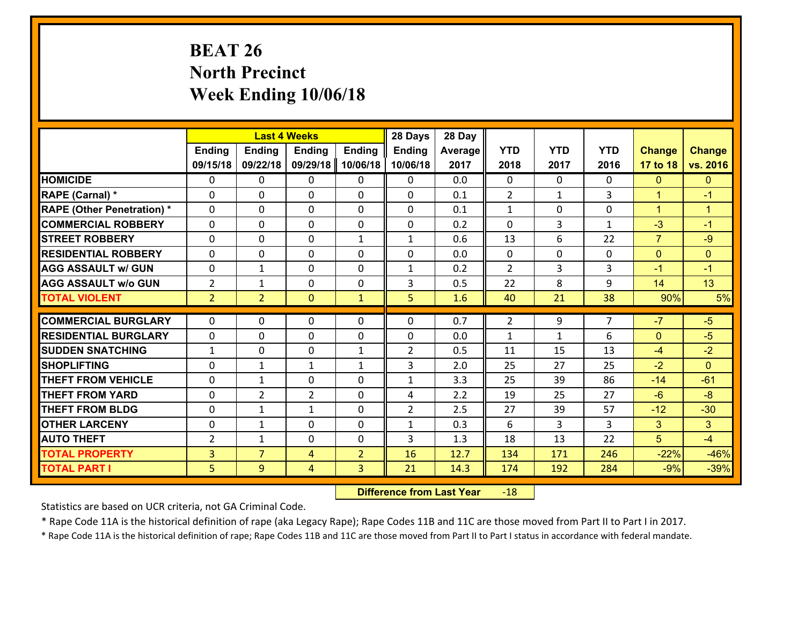# **BEAT 26 North Precinct Week Ending 10/06/18**

|                                   |                |                | <b>Last 4 Weeks</b> |                | 28 Days        | 28 Day  |                |              |                |                |                      |
|-----------------------------------|----------------|----------------|---------------------|----------------|----------------|---------|----------------|--------------|----------------|----------------|----------------------|
|                                   | <b>Ending</b>  | <b>Ending</b>  | <b>Ending</b>       | <b>Ending</b>  | <b>Ending</b>  | Average | <b>YTD</b>     | <b>YTD</b>   | <b>YTD</b>     | <b>Change</b>  | <b>Change</b>        |
|                                   | 09/15/18       | 09/22/18       | 09/29/18            | 10/06/18       | 10/06/18       | 2017    | 2018           | 2017         | 2016           | 17 to 18       | vs. 2016             |
| <b>HOMICIDE</b>                   | $\Omega$       | 0              | $\Omega$            | 0              | $\Omega$       | 0.0     | $\Omega$       | $\Omega$     | 0              | $\mathbf{0}$   | $\mathbf{0}$         |
| RAPE (Carnal) *                   | 0              | 0              | $\mathbf{0}$        | 0              | 0              | 0.1     | 2              | $\mathbf{1}$ | 3              | $\mathbf{1}$   | $-1$                 |
| <b>RAPE (Other Penetration) *</b> | $\Omega$       | 0              | $\mathbf{0}$        | $\Omega$       | 0              | 0.1     | $\mathbf{1}$   | $\Omega$     | $\Omega$       | $\mathbf{1}$   | $\blacktriangleleft$ |
| <b>COMMERCIAL ROBBERY</b>         | 0              | 0              | 0                   | 0              | 0              | 0.2     | $\mathbf{0}$   | 3            | $\mathbf{1}$   | $-3$           | $-1$                 |
| <b>STREET ROBBERY</b>             | $\Omega$       | 0              | $\mathbf 0$         | $\mathbf{1}$   | $\mathbf{1}$   | 0.6     | 13             | 6            | 22             | $\overline{7}$ | $-9$                 |
| <b>RESIDENTIAL ROBBERY</b>        | $\Omega$       | $\Omega$       | $\mathbf 0$         | $\Omega$       | 0              | 0.0     | $\Omega$       | 0            | $\Omega$       | $\overline{0}$ | $\mathbf{0}$         |
| <b>AGG ASSAULT w/ GUN</b>         | 0              | 1              | $\mathbf 0$         | $\Omega$       | $\mathbf{1}$   | 0.2     | $\overline{2}$ | 3            | 3              | $-1$           | $-1$                 |
| <b>AGG ASSAULT w/o GUN</b>        | $\overline{2}$ | 1              | $\mathbf 0$         | 0              | 3              | 0.5     | 22             | 8            | 9              | 14             | 13                   |
| <b>TOTAL VIOLENT</b>              | 2 <sup>1</sup> | $\overline{2}$ | $\overline{0}$      | $\mathbf{1}$   | 5              | 1.6     | 40             | 21           | 38             | 90%            | 5%                   |
| <b>COMMERCIAL BURGLARY</b>        | $\Omega$       | 0              | $\mathbf{0}$        | $\Omega$       | $\Omega$       | 0.7     | $\overline{2}$ | 9            | $\overline{7}$ | $-7$           | $-5$                 |
|                                   |                |                |                     |                |                |         |                |              |                |                |                      |
| <b>RESIDENTIAL BURGLARY</b>       | 0              | 0              | $\mathbf 0$         | 0              | 0              | 0.0     | $\mathbf{1}$   | $\mathbf{1}$ | 6              | $\mathbf{0}$   | $-5$                 |
| <b>SUDDEN SNATCHING</b>           | $\mathbf{1}$   | 0              | $\mathbf 0$         | $\mathbf{1}$   | $\overline{2}$ | 0.5     | 11             | 15<br>27     | 13<br>25       | $-4$<br>$-2$   | $-2$<br>$\Omega$     |
| <b>SHOPLIFTING</b>                | 0              | 1              | 1                   | $\mathbf{1}$   | 3              | 2.0     | 25             |              |                |                |                      |
| <b>THEFT FROM VEHICLE</b>         | $\Omega$       | $\mathbf{1}$   | $\mathbf 0$         | 0              | $\mathbf{1}$   | 3.3     | 25             | 39           | 86             | $-14$          | $-61$                |
| <b>THEFT FROM YARD</b>            | 0              | $\overline{2}$ | $\overline{2}$      | 0              | 4              | 2.2     | 19             | 25           | 27             | $-6$           | $-8$                 |
| <b>THEFT FROM BLDG</b>            | 0              | 1              | 1                   | 0              | $\overline{2}$ | 2.5     | 27             | 39           | 57             | $-12$          | $-30$                |
| <b>OTHER LARCENY</b>              | 0              | 1              | $\mathbf 0$         | 0              | $\mathbf{1}$   | 0.3     | 6              | 3            | 3              | $\mathbf{3}$   | 3 <sup>1</sup>       |
| <b>AUTO THEFT</b>                 | 2              | 1              | $\mathbf{0}$        | 0              | 3              | 1.3     | 18             | 13           | 22             | 5              | $-4$                 |
| <b>TOTAL PROPERTY</b>             | $\overline{3}$ | $\overline{7}$ | 4                   | $\overline{2}$ | 16             | 12.7    | 134            | 171          | 246            | $-22%$         | $-46%$               |
| <b>TOTAL PART I</b>               | 5              | 9              | 4                   | 3              | 21             | 14.3    | 174            | 192          | 284            | $-9%$          | $-39%$               |

 **Difference from Last Year**r -18

Statistics are based on UCR criteria, not GA Criminal Code.

\* Rape Code 11A is the historical definition of rape (aka Legacy Rape); Rape Codes 11B and 11C are those moved from Part II to Part I in 2017.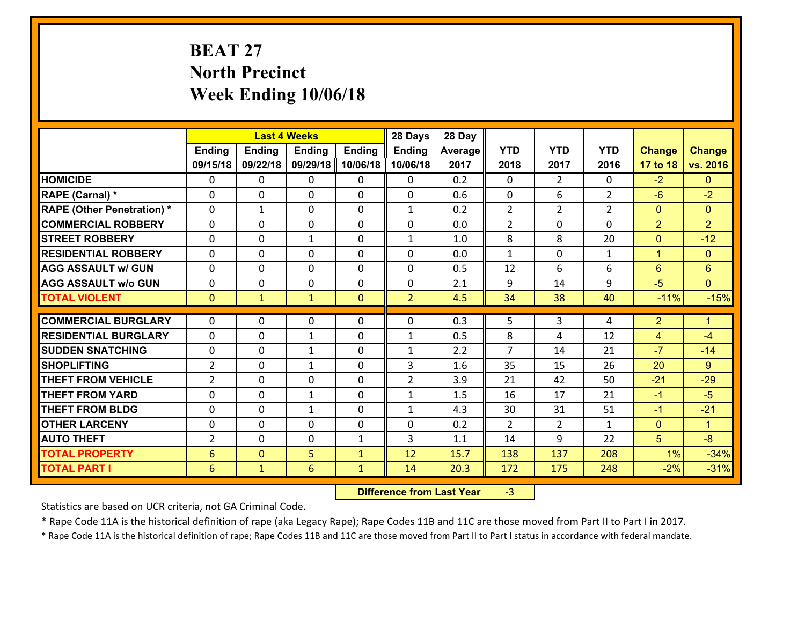# **BEAT 27 North Precinct Week Ending 10/06/18**

|                                              |                      | <b>Last 4 Weeks</b>            |                   |                              | 28 Days           | 28 Day       |                |                |                |                |                      |
|----------------------------------------------|----------------------|--------------------------------|-------------------|------------------------------|-------------------|--------------|----------------|----------------|----------------|----------------|----------------------|
|                                              | <b>Ending</b>        | <b>Ending</b>                  | <b>Ending</b>     | <b>Ending</b>                | <b>Ending</b>     | Average      | <b>YTD</b>     | <b>YTD</b>     | <b>YTD</b>     | <b>Change</b>  | <b>Change</b>        |
|                                              | 09/15/18             | 09/22/18                       | 09/29/18          | 10/06/18                     | 10/06/18          | 2017         | 2018           | 2017           | 2016           | 17 to 18       | vs. 2016             |
| <b>HOMICIDE</b>                              | $\mathbf{0}$         | 0                              | $\mathbf{0}$      | 0                            | 0                 | 0.2          | $\Omega$       | $\overline{2}$ | $\Omega$       | $-2$           | $\mathbf{0}$         |
| RAPE (Carnal) *                              | $\Omega$             | 0                              | $\mathbf{0}$      | 0                            | $\Omega$          | 0.6          | $\mathbf{0}$   | 6              | $\overline{2}$ | $-6$           | $-2$                 |
| <b>RAPE (Other Penetration) *</b>            | $\Omega$             | $\mathbf{1}$                   | $\Omega$          | $\Omega$                     | $\mathbf{1}$      | 0.2          | $\overline{2}$ | $\overline{2}$ | $\overline{2}$ | $\Omega$       | $\Omega$             |
| <b>COMMERCIAL ROBBERY</b>                    | 0                    | 0                              | $\mathbf 0$       | 0                            | 0                 | 0.0          | $\overline{2}$ | $\mathbf{0}$   | $\Omega$       | $\overline{2}$ | $\overline{2}$       |
| <b>STREET ROBBERY</b>                        | $\Omega$             | 0                              | 1                 | $\Omega$                     | $\mathbf{1}$      | 1.0          | 8              | 8              | 20             | $\mathbf 0$    | $-12$                |
| <b>RESIDENTIAL ROBBERY</b>                   | $\Omega$             | $\Omega$                       | $\mathbf 0$       | $\Omega$                     | $\Omega$          | 0.0          | $\mathbf{1}$   | $\Omega$       | $\mathbf{1}$   | $\mathbf{1}$   | $\overline{0}$       |
| <b>AGG ASSAULT w/ GUN</b>                    | $\Omega$             | 0                              | $\mathbf 0$       | $\Omega$                     | 0                 | 0.5          | 12             | 6              | 6              | $6^{\circ}$    | $6\phantom{1}$       |
| <b>AGG ASSAULT w/o GUN</b>                   | 0                    | 0                              | $\mathbf 0$       | 0                            | 0                 | 2.1          | 9              | 14             | 9              | $-5$           | $\overline{0}$       |
| <b>TOTAL VIOLENT</b>                         | $\mathbf{0}$         | $\mathbf{1}$                   | $\mathbf{1}$      | $\overline{0}$               | $\overline{2}$    | 4.5          | 34             | 38             | 40             | $-11%$         | $-15%$               |
| <b>COMMERCIAL BURGLARY</b>                   | $\Omega$             | 0                              | 0                 | 0                            | $\Omega$          | 0.3          | 5              | 3              | 4              | $\overline{2}$ | $\blacklozenge$      |
| <b>RESIDENTIAL BURGLARY</b>                  | $\Omega$             | 0                              |                   | 0                            |                   | 0.5          | 8              | 4              | 12             |                | -4                   |
| <b>SUDDEN SNATCHING</b>                      | 0                    | 0                              | 1<br>$\mathbf{1}$ | $\Omega$                     | 1<br>$\mathbf{1}$ |              | 7              | 14             | 21             | 4              | $-14$                |
|                                              |                      |                                |                   |                              |                   |              |                |                |                |                |                      |
|                                              |                      |                                |                   |                              |                   | 2.2          |                |                |                | $-7$           |                      |
| <b>SHOPLIFTING</b>                           | $\overline{2}$       | 0                              | $\mathbf{1}$      | 0                            | 3                 | 1.6          | 35             | 15             | 26             | 20             | $9^{\circ}$          |
| <b>THEFT FROM VEHICLE</b>                    | $\overline{2}$       | 0                              | $\mathbf{0}$      | $\Omega$                     | $\overline{2}$    | 3.9          | 21             | 42             | 50             | $-21$          | $-29$                |
| <b>THEFT FROM YARD</b>                       | 0                    | 0                              | 1                 | 0                            | $\mathbf{1}$      | 1.5          | 16             | 17             | 21             | $-1$           | $-5$                 |
| <b>THEFT FROM BLDG</b>                       | 0                    | 0                              | $\mathbf{1}$      | 0                            | $\mathbf{1}$      | 4.3          | 30             | 31             | 51             | $-1$           | $-21$                |
| <b>OTHER LARCENY</b>                         | 0                    | 0                              | $\mathbf 0$       | 0                            | 0                 | 0.2          | 2              | $\overline{2}$ | $\mathbf{1}$   | $\mathbf{0}$   | $\blacktriangleleft$ |
| <b>AUTO THEFT</b>                            | $\overline{2}$       | 0                              | $\mathbf 0$       | $\mathbf{1}$                 | 3                 | 1.1          | 14             | 9              | 22             | 5              | $-8$                 |
| <b>TOTAL PROPERTY</b><br><b>TOTAL PART I</b> | $6\phantom{1}6$<br>6 | $\overline{0}$<br>$\mathbf{1}$ | 5<br>6            | $\mathbf{1}$<br>$\mathbf{1}$ | 12<br>14          | 15.7<br>20.3 | 138<br>172     | 137<br>175     | 208<br>248     | 1%<br>$-2%$    | $-34%$<br>$-31%$     |

 **Difference from Last Year**r -3

Statistics are based on UCR criteria, not GA Criminal Code.

\* Rape Code 11A is the historical definition of rape (aka Legacy Rape); Rape Codes 11B and 11C are those moved from Part II to Part I in 2017.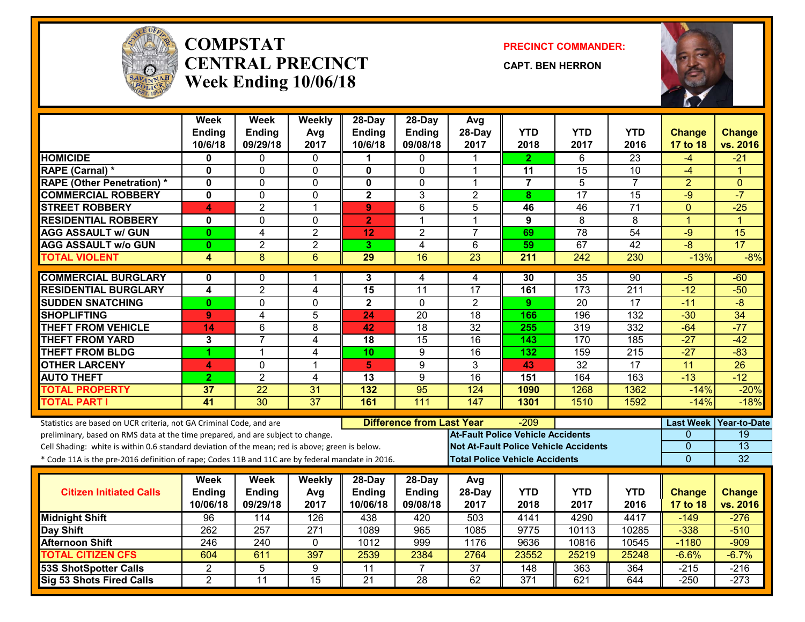

#### **COMPSTATCENTRAL PRECINCTWeek Ending 10/06/18**

**PRECINCT COMMANDER:**

**CAPT. BEN HERRON**



|                                                                                                  | <b>Week</b>             | <b>Week</b>      | Weekly           | 28-Day                  | 28-Day                           | Avg                                          |                  |                 |                 |                  |                       |
|--------------------------------------------------------------------------------------------------|-------------------------|------------------|------------------|-------------------------|----------------------------------|----------------------------------------------|------------------|-----------------|-----------------|------------------|-----------------------|
|                                                                                                  | <b>Ending</b>           | Ending           | Avg              | <b>Ending</b>           | <b>Ending</b>                    | 28-Day                                       | <b>YTD</b>       | <b>YTD</b>      | <b>YTD</b>      | <b>Change</b>    | <b>Change</b>         |
|                                                                                                  | 10/6/18                 | 09/29/18         | 2017             | 10/6/18                 | 09/08/18                         | 2017                                         | 2018             | 2017            | 2016            | 17 to 18         | vs. 2016              |
| <b>HOMICIDE</b>                                                                                  | 0                       | 0                | 0                |                         | 0                                |                                              | 2.               | 6               | 23              | -4               | $-21$                 |
| RAPE (Carnal) *                                                                                  | $\mathbf 0$             | 0                | $\mathbf 0$      | $\mathbf{0}$            | $\Omega$                         | 1                                            | 11               | 15              | 10              | $-4$             | -1                    |
| <b>RAPE (Other Penetration) *</b>                                                                | $\mathbf 0$             | $\overline{0}$   | $\mathbf 0$      | $\mathbf{0}$            | $\mathbf 0$                      | 1                                            | $\overline{7}$   | $\overline{5}$  | $\overline{7}$  | $\overline{2}$   | $\mathbf{0}$          |
| <b>COMMERCIAL ROBBERY</b>                                                                        | $\mathbf 0$             | 0                | $\mathbf 0$      | $\overline{\mathbf{2}}$ | 3                                | $\overline{2}$                               | 8                | $\overline{17}$ | $\overline{15}$ | $-9$             | $-7$                  |
| <b>STREET ROBBERY</b>                                                                            | 4                       | $\overline{2}$   | $\overline{1}$   | 9                       | 6                                | 5                                            | 46               | 46              | $\overline{71}$ | $\mathbf{0}$     | $-25$                 |
| <b>RESIDENTIAL ROBBERY</b>                                                                       | $\mathbf 0$             | $\overline{0}$   | $\Omega$         | $\overline{2}$          | 1                                | 1                                            | 9                | $\overline{8}$  | $\overline{8}$  | $\overline{1}$   | $\overline{1}$        |
| <b>AGG ASSAULT w/ GUN</b>                                                                        | $\mathbf{0}$            | $\overline{4}$   | $\overline{2}$   | 12                      | $\overline{2}$                   | $\overline{7}$                               | 69               | $\overline{78}$ | $\overline{54}$ | $-9$             | 15                    |
| <b>AGG ASSAULT W/o GUN</b>                                                                       | $\mathbf{0}$            | $\overline{2}$   | $\overline{2}$   | 3                       | $\overline{4}$                   | 6                                            | 59               | 67              | 42              | $-8$             | $\overline{17}$       |
| <b>TOTAL VIOLENT</b>                                                                             | $\overline{\mathbf{4}}$ | 8                | $\overline{6}$   | $\overline{29}$         | 16                               | 23                                           | 211              | 242             | 230             | $-13%$           | $-8%$                 |
| <b>COMMERCIAL BURGLARY</b>                                                                       | $\mathbf{0}$            | 0                | 1                | 3                       | 4                                | 4                                            | 30               | $\overline{35}$ | 90              | $-5$             | $-60$                 |
| <b>RESIDENTIAL BURGLARY</b>                                                                      | $\overline{\mathbf{4}}$ | $\overline{2}$   | 4                | $\overline{15}$         | 11                               | 17                                           | 161              | 173             | 211             | $-12$            | $-50$                 |
| <b>SUDDEN SNATCHING</b>                                                                          | $\mathbf{0}$            | 0                | $\mathbf 0$      | $\overline{2}$          | $\Omega$                         | $\overline{2}$                               | 9                | $\overline{20}$ | 17              | $-11$            | $-\frac{1}{\sqrt{2}}$ |
| <b>SHOPLIFTING</b>                                                                               | 9                       | 4                | 5                | 24                      | 20                               | 18                                           | 166              | 196             | 132             | $-30$            | 34                    |
| <b>THEFT FROM VEHICLE</b>                                                                        | 14                      | $\overline{6}$   | 8                | 42                      | $\overline{18}$                  | $\overline{32}$                              | 255              | 319             | 332             | $-64$            | $-77$                 |
| <b>THEFT FROM YARD</b>                                                                           | 3                       | $\overline{7}$   | 4                | 18                      | $\overline{15}$                  | $\overline{16}$                              | 143              | 170             | 185             | $-27$            | $-42$                 |
| <b>THEFT FROM BLDG</b>                                                                           | 1                       | 1                | $\overline{4}$   | 10                      | 9                                | 16                                           | 132              | 159             | 215             | $-27$            | $-83$                 |
| <b>OTHER LARCENY</b>                                                                             | 4                       | 0                | $\mathbf{1}$     | 5 <sub>1</sub>          | $\overline{9}$                   | $\overline{3}$                               | 43               | $\overline{32}$ | $\overline{17}$ | $\overline{11}$  | $\overline{26}$       |
| <b>AUTO THEFT</b>                                                                                | $\overline{2}$          | $\overline{2}$   | $\overline{4}$   | 13                      | $\overline{9}$                   | $\overline{16}$                              | 151              | 164             | 163             | $-13$            | $-12$                 |
| <b>TOTAL PROPERTY</b>                                                                            | 37                      | 22               | 31               | 132                     | 95                               | 124                                          | 1090             | 1268            | 1362            | $-14%$           | $-20%$                |
| <b>TOTAL PART I</b>                                                                              | 41                      | $\overline{30}$  | $\overline{37}$  | 161                     | 111                              | $\overline{147}$                             | 1301             | 1510            | 1592            | $-14%$           | $-18%$                |
| Statistics are based on UCR criteria, not GA Criminal Code, and are                              |                         |                  |                  |                         | <b>Difference from Last Year</b> |                                              | -209             |                 |                 | <b>Last Week</b> | <b>Year-to-Date</b>   |
| preliminary, based on RMS data at the time prepared, and are subject to change.                  |                         |                  |                  |                         |                                  | <b>At-Fault Police Vehicle Accidents</b>     |                  |                 |                 | $\Omega$         | 19                    |
| Cell Shading: white is within 0.6 standard deviation of the mean; red is above; green is below.  |                         |                  |                  |                         |                                  | <b>Not At-Fault Police Vehicle Accidents</b> |                  |                 |                 | $\Omega$         | $\overline{13}$       |
| * Code 11A is the pre-2016 definition of rape; Codes 11B and 11C are by federal mandate in 2016. |                         |                  |                  |                         |                                  | <b>Total Police Vehicle Accidents</b>        |                  |                 |                 | $\Omega$         | 32                    |
|                                                                                                  |                         |                  |                  |                         |                                  |                                              |                  |                 |                 |                  |                       |
| <b>Citizen Initiated Calls</b>                                                                   | Week<br><b>Ending</b>   | Week<br>Ending   | <b>Weekly</b>    | 28-Day<br><b>Ending</b> | 28-Day<br><b>Ending</b>          | Avg<br>28-Day                                | <b>YTD</b>       | <b>YTD</b>      | <b>YTD</b>      | <b>Change</b>    | <b>Change</b>         |
|                                                                                                  | 10/06/18                | 09/29/18         | Avg<br>2017      | 10/06/18                | 09/08/18                         | 2017                                         | 2018             | 2017            | 2016            | 17 to 18         | vs. 2016              |
| <b>Midnight Shift</b>                                                                            | 96                      | 114              | 126              | 438                     | 420                              | 503                                          | 4141             | 4290            | 4417            | $-149$           | $-276$                |
| Day Shift                                                                                        | $\overline{262}$        | $\overline{257}$ | $\overline{271}$ | 1089                    | 965                              | 1085                                         | 9775             | 10113           | 10285           | $-338$           | $-510$                |
| <b>Afternoon Shift</b>                                                                           | 246                     | 240              | $\mathbf 0$      | 1012                    | 999                              | 1176                                         | 9636             | 10816           | 10545           | $-1180$          | $-909$                |
| <b>TOTAL CITIZEN CFS</b>                                                                         | 604                     | 611              | 397              | 2539                    | 2384                             | 2764                                         | 23552            | 25219           | 25248           | $-6.6%$          | $-6.7%$               |
| <b>53S ShotSpotter Calls</b>                                                                     | $\overline{2}$          | 5                | $\overline{9}$   | $\overline{11}$         | $\overline{7}$                   | $\overline{37}$                              | 148              | 363             | 364             | $-215$           | $-216$                |
| Sig 53 Shots Fired Calls                                                                         | $\overline{2}$          | 11               | 15               | $\overline{21}$         | $\overline{28}$                  | 62                                           | $\overline{371}$ | 621             | 644             | $-250$           | $-273$                |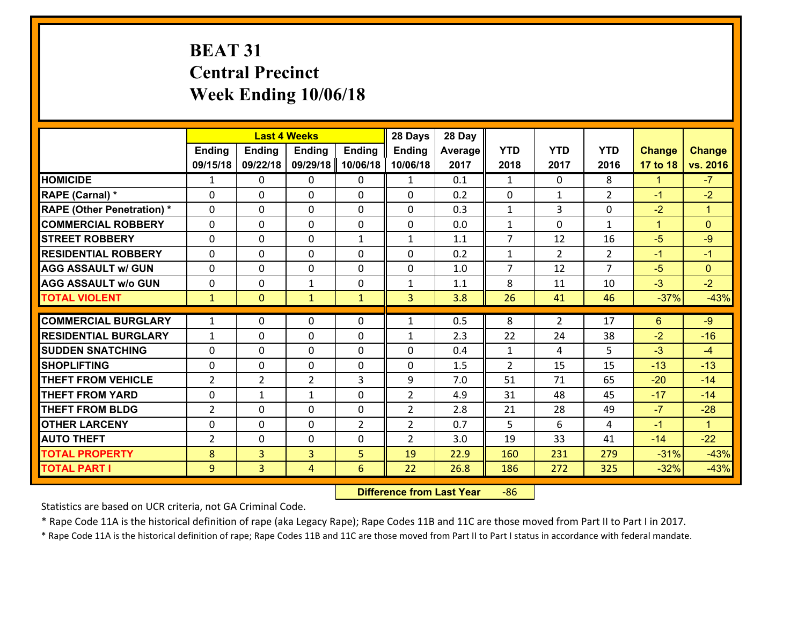# **BEAT 31 Central Precinct Week Ending 10/06/18**

|                                   | <b>Last 4 Weeks</b><br><b>Ending</b><br><b>Ending</b><br>Ending<br><b>Ending</b> |                |                |                | 28 Days        | 28 Day  |                |                |                |               |                      |
|-----------------------------------|----------------------------------------------------------------------------------|----------------|----------------|----------------|----------------|---------|----------------|----------------|----------------|---------------|----------------------|
|                                   |                                                                                  |                |                |                | Ending         | Average | <b>YTD</b>     | <b>YTD</b>     | <b>YTD</b>     | <b>Change</b> | <b>Change</b>        |
|                                   | 09/15/18                                                                         | 09/22/18       | 09/29/18       | 10/06/18       | 10/06/18       | 2017    | 2018           | 2017           | 2016           | 17 to 18      | vs. 2016             |
| <b>HOMICIDE</b>                   | 1                                                                                | $\Omega$       | 0              | 0              | $\mathbf{1}$   | 0.1     | $\mathbf{1}$   | $\Omega$       | 8              | $\mathbf{1}$  | $-7$                 |
| RAPE (Carnal) *                   | $\Omega$                                                                         | $\Omega$       | $\Omega$       | 0              | $\Omega$       | 0.2     | $\Omega$       | $\mathbf{1}$   | $\overline{2}$ | $-1$          | $-2$                 |
| <b>RAPE (Other Penetration) *</b> | 0                                                                                | 0              | $\mathbf 0$    | 0              | 0              | 0.3     | $\mathbf{1}$   | 3              | 0              | $-2$          | $\blacktriangleleft$ |
| <b>COMMERCIAL ROBBERY</b>         | 0                                                                                | 0              | $\mathbf 0$    | $\Omega$       | 0              | 0.0     | $\mathbf{1}$   | $\mathbf 0$    | $\mathbf{1}$   | $\mathbf{1}$  | $\mathbf{0}$         |
| <b>STREET ROBBERY</b>             | 0                                                                                | 0              | 0              | $\mathbf{1}$   | $\mathbf{1}$   | 1.1     | $\overline{7}$ | 12             | 16             | $-5$          | $-9$                 |
| <b>RESIDENTIAL ROBBERY</b>        | 0                                                                                | 0              | 0              | $\Omega$       | 0              | 0.2     | $\mathbf{1}$   | $\overline{2}$ | $\overline{2}$ | $-1$          | $-1$                 |
| <b>AGG ASSAULT w/ GUN</b>         | 0                                                                                | 0              | 0              | $\Omega$       | 0              | 1.0     | $\overline{7}$ | 12             | $\overline{7}$ | $-5$          | $\overline{0}$       |
| <b>AGG ASSAULT w/o GUN</b>        | 0                                                                                | 0              | $\mathbf{1}$   | $\Omega$       | 1              | 1.1     | 8              | 11             | 10             | $-3$          | $-2$                 |
| <b>TOTAL VIOLENT</b>              | $\mathbf{1}$                                                                     | $\overline{0}$ | $\mathbf{1}$   | $\mathbf{1}$   | 3              | 3.8     | 26             | 41             | 46             | $-37%$        | $-43%$               |
| <b>COMMERCIAL BURGLARY</b>        | $\mathbf{1}$                                                                     | 0              | $\mathbf{0}$   | 0              | $\mathbf{1}$   | 0.5     | 8              | $\overline{2}$ | 17             | 6             | $-9$                 |
| <b>RESIDENTIAL BURGLARY</b>       | $\mathbf{1}$                                                                     | 0              | 0              | 0              | 1              | 2.3     | 22             | 24             | 38             | $-2$          | $-16$                |
| <b>SUDDEN SNATCHING</b>           | 0                                                                                | 0              | 0              | $\Omega$       | 0              | 0.4     | $\mathbf{1}$   | 4              | 5              | $-3$          | $-4$                 |
| <b>SHOPLIFTING</b>                | 0                                                                                | $\mathbf 0$    | 0              | 0              | 0              | 1.5     | $\overline{2}$ | 15             | 15             | $-13$         | $-13$                |
| <b>THEFT FROM VEHICLE</b>         | $\overline{2}$                                                                   | $\overline{2}$ | $\overline{2}$ | 3              | 9              | 7.0     | 51             | 71             | 65             | $-20$         | $-14$                |
| <b>THEFT FROM YARD</b>            | 0                                                                                | $\mathbf{1}$   | $\mathbf{1}$   | 0              | $\overline{2}$ | 4.9     | 31             | 48             | 45             | $-17$         | $-14$                |
| <b>THEFT FROM BLDG</b>            | $\overline{2}$                                                                   | 0              | $\mathbf 0$    | $\Omega$       | $\overline{2}$ | 2.8     | 21             | 28             | 49             | $-7$          | $-28$                |
| <b>OTHER LARCENY</b>              | 0                                                                                | 0              | $\mathbf 0$    | $\overline{2}$ | $\overline{2}$ | 0.7     | 5              | 6              | 4              | $-1$          | $\mathbf{1}$         |
| <b>AUTO THEFT</b>                 | $\overline{2}$                                                                   | 0              | $\mathbf 0$    | 0              | $\overline{2}$ | 3.0     | 19             | 33             | 41             | $-14$         | $-22$                |
| <b>TOTAL PROPERTY</b>             | 8                                                                                | $\overline{3}$ | $\overline{3}$ | 5              | 19             | 22.9    | 160            | 231            | 279            | $-31%$        | $-43%$               |
| <b>TOTAL PART I</b>               | 9                                                                                | $\overline{3}$ | 4              | 6              | 22             | 26.8    | 186            | 272            | 325            | $-32%$        | $-43%$               |

 **Difference from Last Year**r -86

Statistics are based on UCR criteria, not GA Criminal Code.

\* Rape Code 11A is the historical definition of rape (aka Legacy Rape); Rape Codes 11B and 11C are those moved from Part II to Part I in 2017.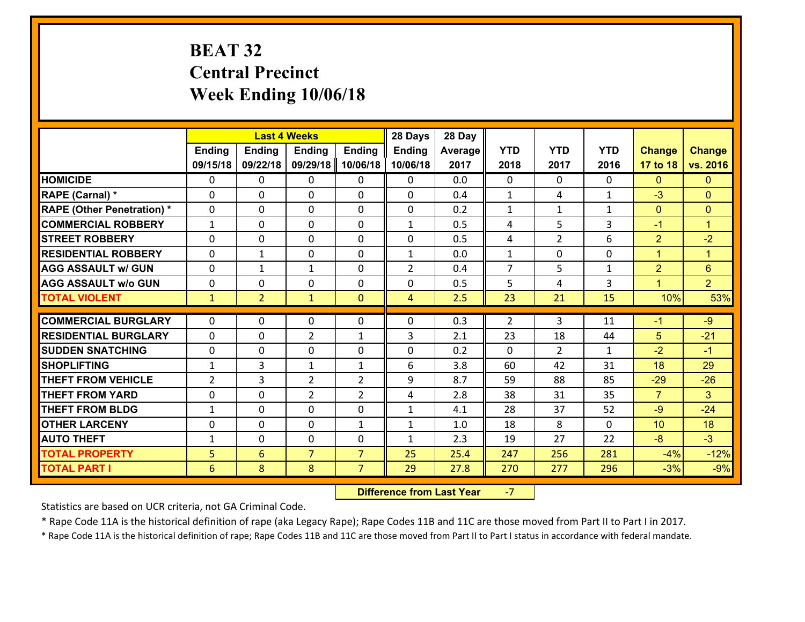# **BEAT 32 Central Precinct Week Ending 10/06/18**

|                                   |                |                | <b>Last 4 Weeks</b> |                | 28 Days        | 28 Day  |                |                |              |                |                      |
|-----------------------------------|----------------|----------------|---------------------|----------------|----------------|---------|----------------|----------------|--------------|----------------|----------------------|
|                                   | <b>Ending</b>  | <b>Ending</b>  | <b>Ending</b>       | <b>Ending</b>  | <b>Ending</b>  | Average | <b>YTD</b>     | <b>YTD</b>     | <b>YTD</b>   | <b>Change</b>  | <b>Change</b>        |
|                                   | 09/15/18       | 09/22/18       | 09/29/18            | 10/06/18       | 10/06/18       | 2017    | 2018           | 2017           | 2016         | 17 to 18       | vs. 2016             |
| <b>HOMICIDE</b>                   | $\Omega$       | 0              | $\Omega$            | 0              | $\Omega$       | 0.0     | $\Omega$       | $\Omega$       | 0            | $\Omega$       | $\mathbf{0}$         |
| RAPE (Carnal) *                   | 0              | 0              | $\mathbf{0}$        | 0              | $\Omega$       | 0.4     | $\mathbf{1}$   | 4              | $\mathbf{1}$ | $-3$           | $\mathbf{0}$         |
| <b>RAPE (Other Penetration) *</b> | $\Omega$       | 0              | $\mathbf{0}$        | $\Omega$       | $\Omega$       | 0.2     | $\mathbf{1}$   | $\mathbf{1}$   | $\mathbf{1}$ | $\mathbf{0}$   | $\mathbf{0}$         |
| <b>COMMERCIAL ROBBERY</b>         | $\mathbf{1}$   | 0              | 0                   | 0              | $\mathbf{1}$   | 0.5     | 4              | 5              | 3            | $-1$           | $\mathbf{1}$         |
| <b>STREET ROBBERY</b>             | $\Omega$       | 0              | $\mathbf 0$         | 0              | 0              | 0.5     | 4              | $\overline{2}$ | 6            | $\overline{2}$ | $-2$                 |
| <b>RESIDENTIAL ROBBERY</b>        | $\Omega$       | 1              | $\mathbf 0$         | $\Omega$       | $\mathbf{1}$   | 0.0     | $\mathbf{1}$   | 0              | $\Omega$     | $\mathbf{1}$   | $\blacktriangleleft$ |
| <b>AGG ASSAULT w/ GUN</b>         | 0              | 1              | $\mathbf{1}$        | 0              | $\overline{2}$ | 0.4     | $\overline{7}$ | 5              | $\mathbf{1}$ | $\overline{2}$ | $6\phantom{1}$       |
| <b>AGG ASSAULT w/o GUN</b>        | 0              | 0              | $\mathbf 0$         | 0              | 0              | 0.5     | 5              | 4              | 3            | $\mathbf{1}$   | 2 <sup>1</sup>       |
| <b>TOTAL VIOLENT</b>              | $\mathbf{1}$   | $\overline{2}$ | $\mathbf{1}$        | $\mathbf{0}$   | $\overline{4}$ | 2.5     | 23             | 21             | 15           | 10%            | 53%                  |
| <b>COMMERCIAL BURGLARY</b>        | $\Omega$       | 0              | $\mathbf{0}$        | $\Omega$       | $\Omega$       | 0.3     | $\overline{2}$ | 3              | 11           | $-1$           | $-9$                 |
| <b>RESIDENTIAL BURGLARY</b>       | 0              | 0              | $\overline{2}$      | $\mathbf{1}$   | 3              | 2.1     | 23             | 18             | 44           | 5              | $-21$                |
| <b>SUDDEN SNATCHING</b>           | 0              | 0              | $\mathbf 0$         | 0              | 0              | 0.2     | $\mathbf 0$    | $\overline{2}$ | $\mathbf{1}$ | $-2$           | $-1$                 |
| <b>SHOPLIFTING</b>                | $\mathbf{1}$   | 3              | 1                   | $\mathbf{1}$   | 6              | 3.8     | 60             | 42             | 31           | 18             | 29                   |
| <b>THEFT FROM VEHICLE</b>         | $\overline{2}$ | 3              | $\overline{2}$      | $\overline{2}$ | 9              | 8.7     | 59             | 88             | 85           | $-29$          | $-26$                |
| <b>THEFT FROM YARD</b>            | 0              | 0              | $\overline{2}$      | $\overline{2}$ | 4              | 2.8     | 38             | 31             | 35           | $\overline{7}$ | 3 <sup>°</sup>       |
| <b>THEFT FROM BLDG</b>            | $\mathbf{1}$   | 0              | $\mathbf 0$         | 0              | $\mathbf{1}$   | 4.1     | 28             | 37             | 52           | $-9$           | $-24$                |
| <b>OTHER LARCENY</b>              | 0              | 0              | $\mathbf 0$         | $\mathbf{1}$   | $\mathbf{1}$   | 1.0     | 18             | 8              | $\Omega$     | 10             | 18                   |
| <b>AUTO THEFT</b>                 | $\mathbf{1}$   | 0              | $\mathbf{0}$        | 0              | $\mathbf{1}$   | 2.3     | 19             | 27             | 22           | $-8$           | $-3$                 |
| <b>TOTAL PROPERTY</b>             | 5              | 6              | $\overline{7}$      | $\overline{7}$ | 25             | 25.4    | 247            | 256            | 281          | $-4%$          | $-12%$               |
| <b>TOTAL PART I</b>               | 6              | 8              | 8                   | $\overline{7}$ | 29             | 27.8    | 270            | 277            | 296          | $-3%$          | $-9%$                |
|                                   |                |                |                     |                |                |         |                |                |              |                |                      |

 **Difference from Last Year**‐7

Statistics are based on UCR criteria, not GA Criminal Code.

\* Rape Code 11A is the historical definition of rape (aka Legacy Rape); Rape Codes 11B and 11C are those moved from Part II to Part I in 2017.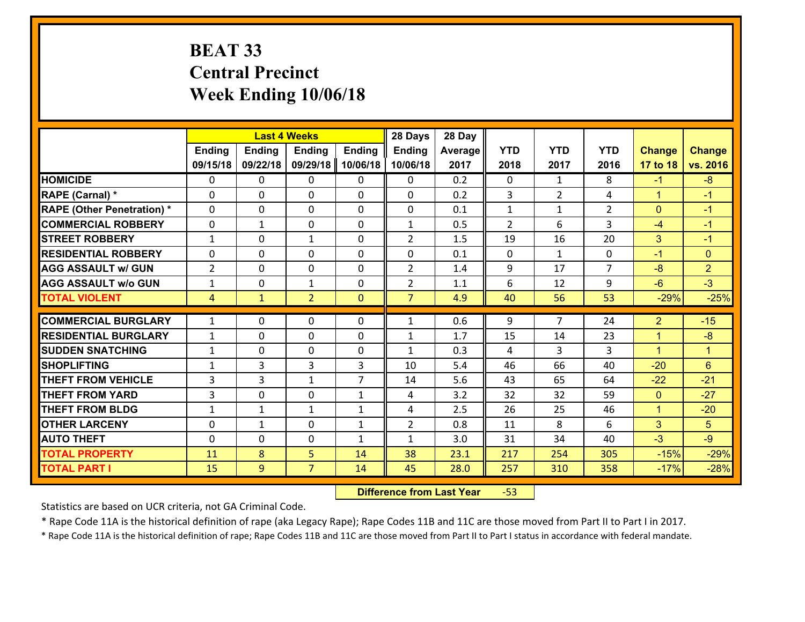# **BEAT 33 Central Precinct Week Ending 10/06/18**

|                                   |                |               | <b>Last 4 Weeks</b> |                | 28 Days        | 28 Day  |                |                |                |                |                |
|-----------------------------------|----------------|---------------|---------------------|----------------|----------------|---------|----------------|----------------|----------------|----------------|----------------|
|                                   | Ending         | <b>Ending</b> | <b>Ending</b>       | <b>Ending</b>  | <b>Ending</b>  | Average | <b>YTD</b>     | <b>YTD</b>     | <b>YTD</b>     | <b>Change</b>  | <b>Change</b>  |
|                                   | 09/15/18       | 09/22/18      | 09/29/18            | 10/06/18       | 10/06/18       | 2017    | 2018           | 2017           | 2016           | 17 to 18       | vs. 2016       |
| <b>HOMICIDE</b>                   | $\Omega$       | 0             | 0                   | 0              | $\Omega$       | 0.2     | 0              | $\mathbf{1}$   | 8              | $-1$           | $-8$           |
| RAPE (Carnal) *                   | $\mathbf{0}$   | 0             | $\mathbf{0}$        | 0              | $\Omega$       | 0.2     | 3              | $\overline{2}$ | 4              | $\mathbf{1}$   | $-1$           |
| <b>RAPE (Other Penetration) *</b> | $\Omega$       | 0             | $\mathbf{0}$        | $\Omega$       | $\Omega$       | 0.1     | $\mathbf{1}$   | $\mathbf{1}$   | $\overline{2}$ | $\mathbf{0}$   | $-1$           |
| <b>COMMERCIAL ROBBERY</b>         | $\mathbf{0}$   | $\mathbf{1}$  | 0                   | 0              | $\mathbf{1}$   | 0.5     | $\overline{2}$ | 6              | 3              | $-4$           | $-1$           |
| <b>STREET ROBBERY</b>             | $\mathbf{1}$   | 0             | 1                   | 0              | $\overline{2}$ | 1.5     | 19             | 16             | 20             | 3              | $-1$           |
| <b>RESIDENTIAL ROBBERY</b>        | $\Omega$       | $\Omega$      | $\mathbf 0$         | $\Omega$       | 0              | 0.1     | $\mathbf{0}$   | $\mathbf{1}$   | 0              | $-1$           | $\Omega$       |
| <b>AGG ASSAULT w/ GUN</b>         | $\overline{2}$ | 0             | $\mathbf 0$         | 0              | $\overline{2}$ | 1.4     | 9              | 17             | $\overline{7}$ | $-8$           | $\overline{2}$ |
| <b>AGG ASSAULT w/o GUN</b>        | $\mathbf{1}$   | 0             | 1                   | $\mathbf 0$    | $\overline{2}$ | 1.1     | 6              | 12             | 9              | $-6$           | $-3$           |
| <b>TOTAL VIOLENT</b>              | 4              | $\mathbf{1}$  | $\overline{2}$      | $\mathbf{0}$   | $\overline{7}$ | 4.9     | 40             | 56             | 53             | $-29%$         | $-25%$         |
| <b>COMMERCIAL BURGLARY</b>        | $\mathbf{1}$   | 0             | $\mathbf{0}$        | $\Omega$       | $\mathbf{1}$   | 0.6     | 9              | $\overline{7}$ | 24             | $\overline{2}$ | $-15$          |
| <b>RESIDENTIAL BURGLARY</b>       | $\mathbf{1}$   | 0             | $\mathbf 0$         | 0              | $\mathbf{1}$   | 1.7     | 15             | 14             | 23             | $\mathbf{1}$   | $-8$           |
| <b>SUDDEN SNATCHING</b>           | $\mathbf{1}$   | 0             | $\mathbf 0$         | 0              | $\mathbf{1}$   | 0.3     | 4              | 3              | 3              | $\mathbf{1}$   | $\mathbf{1}$   |
| <b>SHOPLIFTING</b>                | $\mathbf{1}$   | 3             | 3                   | 3              | 10             | 5.4     | 46             | 66             | 40             | $-20$          | 6              |
| <b>THEFT FROM VEHICLE</b>         | 3              | 3             | 1                   | $\overline{7}$ | 14             | 5.6     | 43             | 65             | 64             | $-22$          | $-21$          |
| <b>THEFT FROM YARD</b>            | 3              | 0             | $\mathbf 0$         | $\mathbf{1}$   | 4              | 3.2     | 32             | 32             | 59             | $\mathbf{0}$   | $-27$          |
| <b>THEFT FROM BLDG</b>            | $\mathbf{1}$   | $\mathbf{1}$  | 1                   | $\mathbf{1}$   | 4              | 2.5     | 26             | 25             | 46             | $\mathbf{1}$   | $-20$          |
| <b>OTHER LARCENY</b>              | 0              | $\mathbf{1}$  | $\mathbf 0$         | $\mathbf{1}$   | $\overline{2}$ | 0.8     | 11             | 8              | 6              | 3              | 5              |
| <b>AUTO THEFT</b>                 | $\mathbf{0}$   | 0             | $\mathbf{0}$        | $\mathbf{1}$   | $\mathbf{1}$   | 3.0     | 31             | 34             | 40             | $-3$           | $-9$           |
| <b>TOTAL PROPERTY</b>             | 11             | 8             | 5                   | 14             | 38             | 23.1    | 217            | 254            | 305            | $-15%$         | $-29%$         |
| <b>TOTAL PART I</b>               | 15             | 9             | $\overline{7}$      | 14             | 45             | 28.0    | 257            | 310            | 358            | $-17%$         | $-28%$         |

 **Difference from Last Year**‐53

Statistics are based on UCR criteria, not GA Criminal Code.

\* Rape Code 11A is the historical definition of rape (aka Legacy Rape); Rape Codes 11B and 11C are those moved from Part II to Part I in 2017.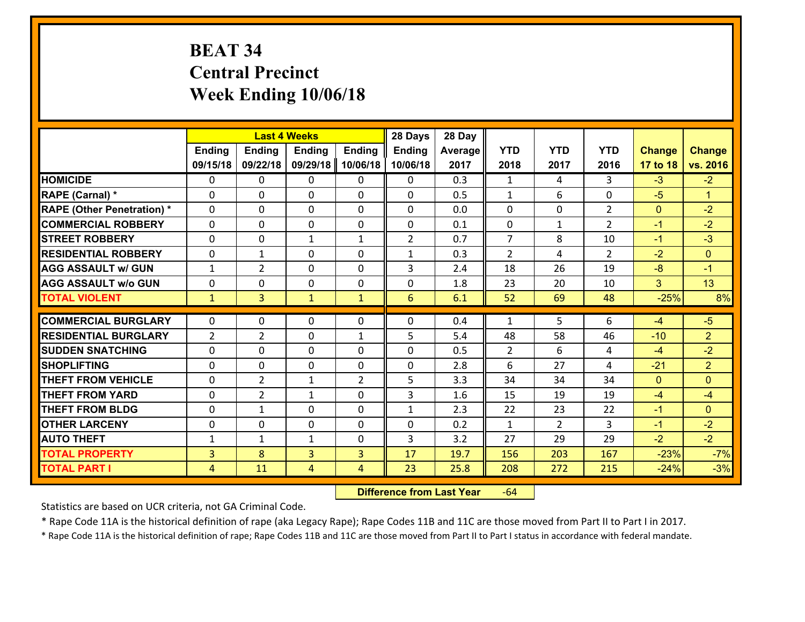# **BEAT 34 Central Precinct Week Ending 10/06/18**

|                                   |                |                | <b>Last 4 Weeks</b> |                | 28 Days        | 28 Day  |                |                |                |               |                |
|-----------------------------------|----------------|----------------|---------------------|----------------|----------------|---------|----------------|----------------|----------------|---------------|----------------|
|                                   | <b>Ending</b>  | <b>Ending</b>  | <b>Ending</b>       | <b>Ending</b>  | <b>Ending</b>  | Average | <b>YTD</b>     | <b>YTD</b>     | <b>YTD</b>     | <b>Change</b> | <b>Change</b>  |
|                                   | 09/15/18       | 09/22/18       | 09/29/18            | 10/06/18       | 10/06/18       | 2017    | 2018           | 2017           | 2016           | 17 to 18      | vs. 2016       |
| <b>HOMICIDE</b>                   | $\Omega$       | 0              | 0                   | 0              | $\Omega$       | 0.3     | 1              | 4              | 3              | $-3$          | $-2$           |
| RAPE (Carnal) *                   | $\mathbf{0}$   | 0              | $\mathbf{0}$        | 0              | 0              | 0.5     | $\mathbf{1}$   | 6              | 0              | $-5$          | $\mathbf{1}$   |
| <b>RAPE (Other Penetration) *</b> | $\Omega$       | 0              | $\mathbf{0}$        | $\Omega$       | 0              | 0.0     | $\Omega$       | 0              | $\overline{2}$ | $\mathbf{0}$  | $-2$           |
| <b>COMMERCIAL ROBBERY</b>         | $\mathbf{0}$   | 0              | 0                   | 0              | 0              | 0.1     | $\mathbf{0}$   | $\mathbf{1}$   | $\overline{2}$ | $-1$          | $-2$           |
| <b>STREET ROBBERY</b>             | 0              | 0              | 1                   | $\mathbf{1}$   | $\overline{2}$ | 0.7     | $\overline{7}$ | 8              | 10             | $-1$          | $-3$           |
| <b>RESIDENTIAL ROBBERY</b>        | $\Omega$       | $\mathbf{1}$   | $\mathbf 0$         | $\Omega$       | $\mathbf{1}$   | 0.3     | $\overline{2}$ | 4              | $\overline{2}$ | $-2$          | $\Omega$       |
| <b>AGG ASSAULT w/ GUN</b>         | $\mathbf{1}$   | $\overline{2}$ | $\mathbf 0$         | 0              | 3              | 2.4     | 18             | 26             | 19             | $-8$          | $-1$           |
| <b>AGG ASSAULT w/o GUN</b>        | 0              | 0              | $\mathbf 0$         | $\mathbf 0$    | 0              | 1.8     | 23             | 20             | 10             | 3             | 13             |
| <b>TOTAL VIOLENT</b>              | $\mathbf{1}$   | $\overline{3}$ | $\mathbf{1}$        | $\mathbf{1}$   | 6              | 6.1     | 52             | 69             | 48             | $-25%$        | 8%             |
| <b>COMMERCIAL BURGLARY</b>        | $\Omega$       | 0              | $\mathbf{0}$        | $\Omega$       | $\Omega$       | 0.4     | $\mathbf{1}$   | 5.             | 6              | -4            | $-5$           |
| <b>RESIDENTIAL BURGLARY</b>       | $\overline{2}$ | $\overline{2}$ | $\mathbf 0$         | $\mathbf{1}$   | 5              | 5.4     | 48             | 58             | 46             | $-10$         | $\overline{2}$ |
| <b>SUDDEN SNATCHING</b>           | 0              | 0              | $\mathbf 0$         | 0              | 0              | 0.5     | $\overline{2}$ | 6              | 4              | $-4$          | $-2$           |
| <b>SHOPLIFTING</b>                | 0              | 0              | $\mathbf 0$         | 0              | 0              | 2.8     | 6              | 27             | 4              | $-21$         | $\overline{2}$ |
| <b>THEFT FROM VEHICLE</b>         | 0              | $\overline{2}$ | $\mathbf{1}$        | $\overline{2}$ | 5              | 3.3     | 34             | 34             | 34             | $\mathbf{0}$  | $\Omega$       |
| <b>THEFT FROM YARD</b>            | 0              | $\overline{2}$ | $\mathbf{1}$        | 0              | 3              | 1.6     | 15             | 19             | 19             | $-4$          | $-4$           |
| <b>THEFT FROM BLDG</b>            | 0              | $\mathbf{1}$   | $\mathbf 0$         | 0              | $\mathbf{1}$   | 2.3     | 22             | 23             | 22             | $-1$          | $\overline{0}$ |
| <b>OTHER LARCENY</b>              | 0              | 0              | $\mathbf 0$         | 0              | 0              | 0.2     | $\mathbf{1}$   | $\overline{2}$ | $\overline{3}$ | $-1$          | $-2$           |
| <b>AUTO THEFT</b>                 | $\mathbf{1}$   | $\mathbf{1}$   | $\mathbf{1}$        | $\mathbf{0}$   | 3              | 3.2     | 27             | 29             | 29             | $-2$          | $-2$           |
| <b>TOTAL PROPERTY</b>             | $\overline{3}$ | 8              | $\overline{3}$      | 3              | 17             | 19.7    | 156            | 203            | 167            | $-23%$        | $-7%$          |
| <b>TOTAL PART I</b>               | $\overline{4}$ | 11             | 4                   | 4              | 23             | 25.8    | 208            | 272            | 215            | $-24%$        | $-3%$          |

 **Difference from Last Year**r -64

Statistics are based on UCR criteria, not GA Criminal Code.

\* Rape Code 11A is the historical definition of rape (aka Legacy Rape); Rape Codes 11B and 11C are those moved from Part II to Part I in 2017.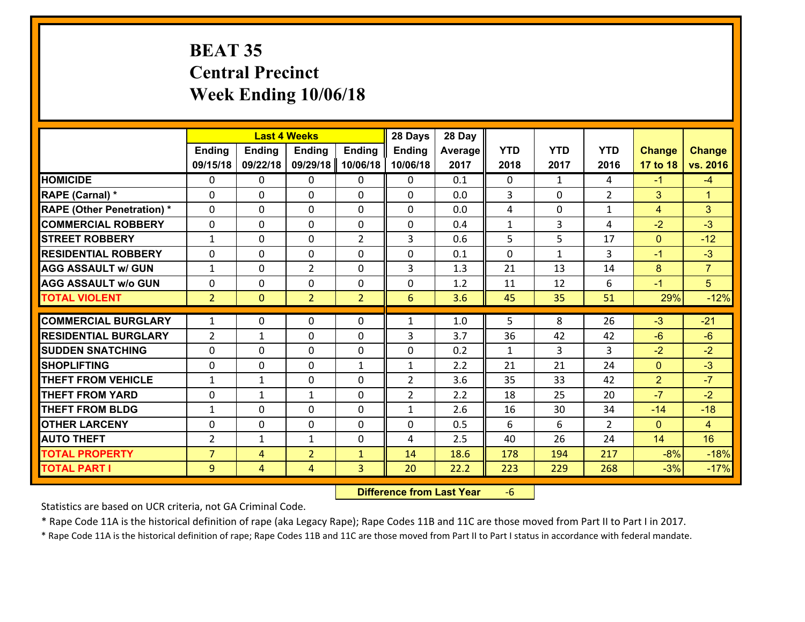# **BEAT 35 Central Precinct Week Ending 10/06/18**

|                                   |                |                | <b>Last 4 Weeks</b> |                | 28 Days        | 28 Day  |              |              |                |                |                |
|-----------------------------------|----------------|----------------|---------------------|----------------|----------------|---------|--------------|--------------|----------------|----------------|----------------|
|                                   | Ending         | <b>Ending</b>  | <b>Ending</b>       | <b>Ending</b>  | <b>Ending</b>  | Average | <b>YTD</b>   | <b>YTD</b>   | <b>YTD</b>     | <b>Change</b>  | <b>Change</b>  |
|                                   | 09/15/18       | 09/22/18       | 09/29/18            | 10/06/18       | 10/06/18       | 2017    | 2018         | 2017         | 2016           | 17 to 18       | vs. 2016       |
| <b>HOMICIDE</b>                   | $\Omega$       | 0              | 0                   | 0              | 0              | 0.1     | 0            | $\mathbf{1}$ | 4              | $-1$           | $-4$           |
| RAPE (Carnal) *                   | $\mathbf{0}$   | 0              | $\mathbf{0}$        | 0              | $\Omega$       | 0.0     | 3            | $\mathbf{0}$ | $\overline{2}$ | 3              | $\mathbf{1}$   |
| <b>RAPE (Other Penetration) *</b> | $\mathbf{0}$   | 0              | $\mathbf{0}$        | $\Omega$       | $\Omega$       | 0.0     | 4            | 0            | $\mathbf{1}$   | 4              | 3              |
| <b>COMMERCIAL ROBBERY</b>         | $\mathbf{0}$   | 0              | 0                   | 0              | $\Omega$       | 0.4     | 1            | 3            | 4              | $-2$           | $-3$           |
| <b>STREET ROBBERY</b>             | $\mathbf{1}$   | 0              | $\mathbf{0}$        | $\overline{2}$ | 3              | 0.6     | 5            | 5            | 17             | $\mathbf{0}$   | $-12$          |
| <b>RESIDENTIAL ROBBERY</b>        | $\Omega$       | 0              | $\mathbf 0$         | $\Omega$       | 0              | 0.1     | 0            | $\mathbf{1}$ | 3              | $-1$           | $-3$           |
| <b>AGG ASSAULT w/ GUN</b>         | $\mathbf{1}$   | 0              | $\overline{2}$      | 0              | 3              | 1.3     | 21           | 13           | 14             | 8              | $\overline{7}$ |
| <b>AGG ASSAULT W/o GUN</b>        | 0              | 0              | $\mathbf 0$         | 0              | 0              | 1.2     | 11           | 12           | 6              | $-1$           | 5 <sup>5</sup> |
| <b>TOTAL VIOLENT</b>              | $\overline{2}$ | $\overline{0}$ | $\overline{2}$      | $\overline{2}$ | 6              | 3.6     | 45           | 35           | 51             | 29%            | $-12%$         |
| <b>COMMERCIAL BURGLARY</b>        | $\mathbf{1}$   | 0              | 0                   | 0              | 1              | 1.0     | 5.           | 8            | 26             | $-3$           | $-21$          |
| <b>RESIDENTIAL BURGLARY</b>       | $\overline{2}$ | 1              | $\mathbf{0}$        | 0              | 3              | 3.7     | 36           | 42           | 42             | $-6$           | $-6$           |
| <b>SUDDEN SNATCHING</b>           | $\mathbf{0}$   | 0              | 0                   | 0              | 0              | 0.2     | $\mathbf{1}$ | 3            | 3              | $-2$           | $-2$           |
| <b>SHOPLIFTING</b>                | 0              | 0              | $\mathbf 0$         | $\mathbf{1}$   | $\mathbf{1}$   | 2.2     | 21           | 21           | 24             | $\mathbf{0}$   | $-3$           |
| <b>THEFT FROM VEHICLE</b>         | $\mathbf{1}$   | $\mathbf{1}$   | $\mathbf 0$         | $\Omega$       | $\overline{2}$ | 3.6     | 35           | 33           | 42             | $\overline{2}$ | $-7$           |
| <b>THEFT FROM YARD</b>            | 0              | $\mathbf{1}$   | $\mathbf{1}$        | 0              | $\overline{2}$ | 2.2     | 18           | 25           | 20             | $-7$           | $-2$           |
| <b>THEFT FROM BLDG</b>            | $\mathbf{1}$   | 0              | 0                   | 0              | $\mathbf{1}$   | 2.6     | 16           | 30           | 34             | $-14$          | $-18$          |
| <b>OTHER LARCENY</b>              | 0              | 0              | $\mathbf 0$         | 0              | 0              | 0.5     | 6            | 6            | $\overline{2}$ | $\mathbf{0}$   | $\overline{4}$ |
| <b>AUTO THEFT</b>                 | $\overline{2}$ | 1              | 1                   | $\mathbf{0}$   | 4              | 2.5     | 40           | 26           | 24             | 14             | 16             |
| <b>TOTAL PROPERTY</b>             | $\overline{7}$ | 4              | $\overline{2}$      | $\mathbf{1}$   | 14             | 18.6    | 178          | 194          | 217            | $-8%$          | $-18%$         |
| <b>TOTAL PART I</b>               | 9              | $\overline{4}$ | 4                   | 3              | 20             | 22.2    | 223          | 229          | 268            | $-3%$          | $-17%$         |

 **Difference from Last Year**‐6

Statistics are based on UCR criteria, not GA Criminal Code.

\* Rape Code 11A is the historical definition of rape (aka Legacy Rape); Rape Codes 11B and 11C are those moved from Part II to Part I in 2017.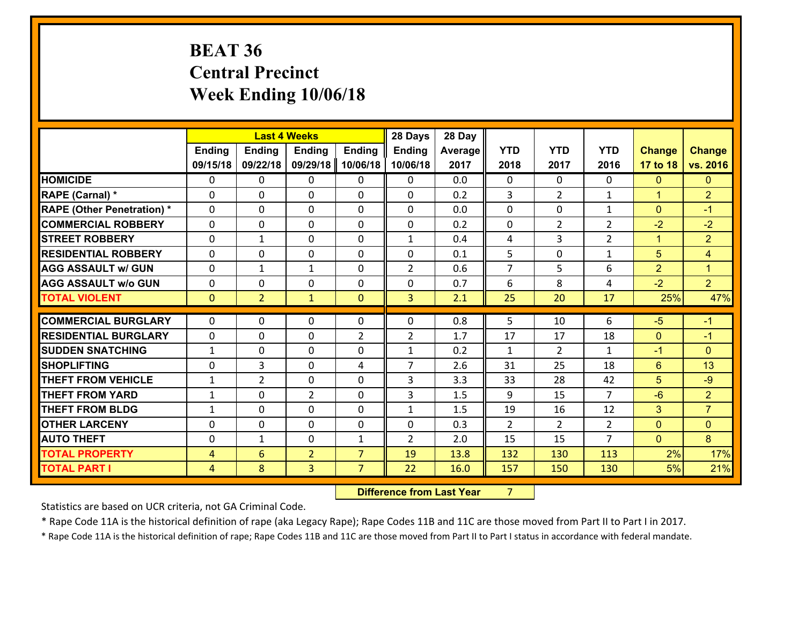# **BEAT 36 Central Precinct Week Ending 10/06/18**

|                                              |                     |                      | <b>Last 4 Weeks</b> |                                  | 28 Days        | 28 Day       |                |                |                |                      |                      |
|----------------------------------------------|---------------------|----------------------|---------------------|----------------------------------|----------------|--------------|----------------|----------------|----------------|----------------------|----------------------|
|                                              | <b>Ending</b>       | <b>Ending</b>        | <b>Ending</b>       | <b>Ending</b>                    | <b>Ending</b>  | Average      | <b>YTD</b>     | <b>YTD</b>     | <b>YTD</b>     | <b>Change</b>        | <b>Change</b>        |
|                                              | 09/15/18            | 09/22/18             | 09/29/18            | 10/06/18                         | 10/06/18       | 2017         | 2018           | 2017           | 2016           | 17 to 18             | vs. 2016             |
| <b>HOMICIDE</b>                              | $\mathbf{0}$        | 0                    | $\mathbf{0}$        | 0                                | $\mathbf{0}$   | 0.0          | $\mathbf{0}$   | $\Omega$       | $\Omega$       | $\mathbf{0}$         | $\mathbf{0}$         |
| <b>RAPE (Carnal) *</b>                       | $\Omega$            | 0                    | $\mathbf 0$         | $\Omega$                         | 0              | 0.2          | 3              | $\overline{2}$ | $\mathbf{1}$   | $\blacktriangleleft$ | $\overline{2}$       |
| <b>RAPE (Other Penetration) *</b>            | $\Omega$            | $\Omega$             | $\mathbf 0$         | $\Omega$                         | $\Omega$       | 0.0          | $\Omega$       | 0              | $\mathbf{1}$   | $\Omega$             | $-1$                 |
| <b>COMMERCIAL ROBBERY</b>                    | 0                   | 0                    | $\mathbf 0$         | 0                                | 0              | 0.2          | 0              | $\overline{2}$ | $\overline{2}$ | $-2$                 | $-2$                 |
| <b>STREET ROBBERY</b>                        | $\mathbf{0}$        | $\mathbf{1}$         | $\mathbf{0}$        | $\Omega$                         | $\mathbf{1}$   | 0.4          | 4              | 3              | $\overline{2}$ | $\mathbf{1}$         | $\overline{2}$       |
| <b>RESIDENTIAL ROBBERY</b>                   | $\Omega$            | 0                    | $\mathbf 0$         | $\Omega$                         | 0              | 0.1          | 5              | $\Omega$       | $\mathbf{1}$   | 5                    | $\overline{4}$       |
| <b>AGG ASSAULT w/ GUN</b>                    | $\Omega$            | $\mathbf{1}$         | $\mathbf{1}$        | $\Omega$                         | $\overline{2}$ | 0.6          | $\overline{7}$ | 5              | 6              | $\overline{2}$       | $\blacktriangleleft$ |
| <b>AGG ASSAULT w/o GUN</b>                   | 0                   | 0                    | $\mathbf 0$         | $\Omega$                         | 0              | 0.7          | 6              | 8              | 4              | $-2$                 | 2 <sup>1</sup>       |
| <b>TOTAL VIOLENT</b>                         | $\mathbf{0}$        | 2 <sup>1</sup>       | $\mathbf{1}$        | $\mathbf{0}$                     | $\overline{3}$ | 2.1          | 25             | 20             | 17             | 25%                  | 47%                  |
|                                              |                     |                      |                     |                                  |                |              |                |                |                |                      |                      |
|                                              |                     |                      |                     |                                  |                |              |                |                |                |                      |                      |
| <b>COMMERCIAL BURGLARY</b>                   | $\Omega$            | 0                    | $\mathbf{0}$        | 0                                | 0              | 0.8          | 5              | 10             | 6              | $-5$                 | $-1$                 |
| <b>RESIDENTIAL BURGLARY</b>                  | $\mathbf{0}$        | 0                    | $\mathbf 0$         | $\overline{2}$                   | $\overline{2}$ | 1.7          | 17             | 17             | 18             | $\mathbf{0}$         | $-1$                 |
| <b>ISUDDEN SNATCHING</b>                     | $\mathbf{1}$        | 0                    | $\mathbf 0$         | 0                                | $\mathbf{1}$   | 0.2          | $\mathbf{1}$   | $\overline{2}$ | $\mathbf{1}$   | $-1$                 | $\overline{0}$       |
| <b>SHOPLIFTING</b>                           | $\mathbf{0}$        | 3                    | $\mathbf{0}$        | 4                                | $\overline{7}$ | 2.6          | 31             | 25             | 18             | 6                    | 13                   |
| <b>THEFT FROM VEHICLE</b>                    | $\mathbf{1}$        | $\overline{2}$       | $\mathbf{0}$        | $\Omega$                         | 3              | 3.3          | 33             | 28             | 42             | 5                    | $-9$                 |
| <b>THEFT FROM YARD</b>                       | $\mathbf{1}$        | $\Omega$             | $\overline{2}$      | $\Omega$                         | 3              | 1.5          | 9              | 15             | $\overline{7}$ | $-6$                 | 2 <sup>1</sup>       |
| <b>THEFT FROM BLDG</b>                       | $\mathbf{1}$        | 0                    | 0                   | 0                                | $\mathbf{1}$   | 1.5          | 19             | 16             | 12             | 3                    | $\overline{7}$       |
| <b>OTHER LARCENY</b>                         | 0                   | 0                    | $\mathbf 0$         | 0                                | 0              | 0.3          | $\overline{2}$ | $\overline{2}$ | $\overline{2}$ | $\mathbf{0}$         | $\overline{0}$       |
| <b>AUTO THEFT</b>                            | $\mathbf{0}$        | $\mathbf{1}$         | $\mathbf 0$         | $\mathbf{1}$                     | $\overline{2}$ | 2.0          | 15             | 15             | $\overline{7}$ | $\mathbf{0}$         | 8 <sup>°</sup>       |
| <b>TOTAL PROPERTY</b><br><b>TOTAL PART I</b> | 4<br>$\overline{4}$ | $6\overline{6}$<br>8 | $\overline{2}$<br>3 | $\overline{7}$<br>$\overline{7}$ | 19<br>22       | 13.8<br>16.0 | 132<br>157     | 130<br>150     | 113<br>130     | 2%<br>5%             | 17%<br>21%           |

 **Difference from Last Year**r 7

Statistics are based on UCR criteria, not GA Criminal Code.

\* Rape Code 11A is the historical definition of rape (aka Legacy Rape); Rape Codes 11B and 11C are those moved from Part II to Part I in 2017.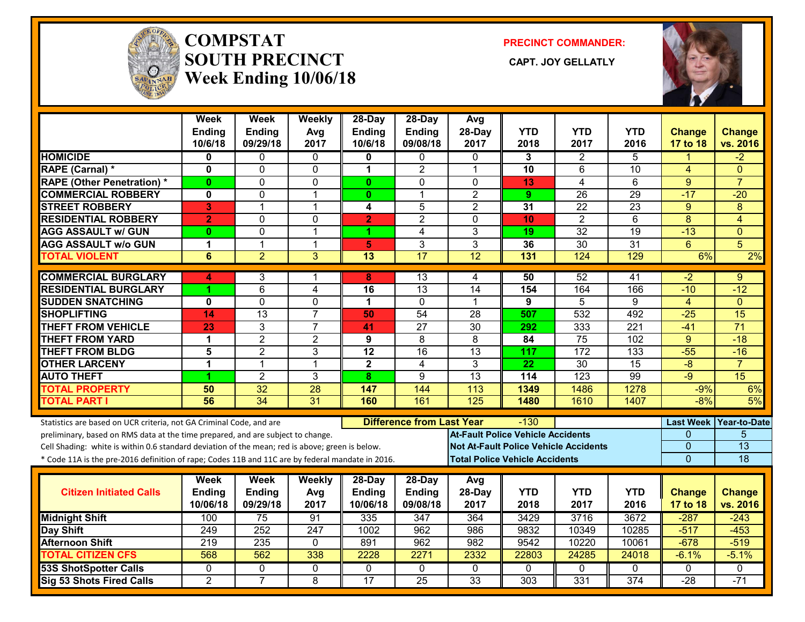

#### **COMPSTATSOUTH PRECINCT** CAPT. JOY GELLATLY **Week Ending 10/06/18**

**PRECINCT COMMANDER:**



|                                                                                                  | <b>Week</b><br>Ending | <b>Week</b><br>Ending | Weekly<br>Avg           | 28-Day<br><b>Ending</b> | 28-Day<br>Ending                 | Avg<br>28-Day                                | <b>YTD</b>                               | <b>YTD</b>       | <b>YTD</b>       | <b>Change</b>  | <b>Change</b>          |
|--------------------------------------------------------------------------------------------------|-----------------------|-----------------------|-------------------------|-------------------------|----------------------------------|----------------------------------------------|------------------------------------------|------------------|------------------|----------------|------------------------|
|                                                                                                  | 10/6/18               | 09/29/18              | 2017                    | 10/6/18                 | 09/08/18                         | 2017                                         | 2018                                     | 2017             | 2016             | 17 to 18       | vs. 2016               |
| <b>HOMICIDE</b>                                                                                  | 0                     | 0                     | 0                       | 0                       | 0                                | $\Omega$                                     | 3                                        | 2                | 5                | 1              | $-2$                   |
| RAPE (Carnal) *                                                                                  | $\mathbf 0$           | 0                     | $\mathbf 0$             | 1                       | $\overline{2}$                   | $\mathbf 1$                                  | 10                                       | 6                | 10               | 4              | $\mathbf{0}$           |
| <b>RAPE (Other Penetration) *</b>                                                                | $\bf{0}$              | 0                     | 0                       | $\mathbf{0}$            | $\Omega$                         | $\Omega$                                     | 13                                       | 4                | 6                | 9              | $\overline{7}$         |
| <b>COMMERCIAL ROBBERY</b>                                                                        | 0                     | 0                     | $\overline{1}$          | $\mathbf{0}$            | $\mathbf{1}$                     | $\overline{2}$                               | 9                                        | 26               | 29               | $-17$          | $-20$                  |
| <b>STREET ROBBERY</b>                                                                            | 3                     | $\mathbf{1}$          | $\mathbf{1}$            | 4                       | 5                                | $\overline{2}$                               | 31                                       | 22               | 23               | 9              | 8                      |
| <b>RESIDENTIAL ROBBERY</b>                                                                       | $\overline{2}$        | $\overline{0}$        | $\mathbf{0}$            | $\overline{2}$          | $\overline{2}$                   | $\Omega$                                     | 10                                       | $\overline{2}$   | $\overline{6}$   | $\overline{8}$ | $\overline{4}$         |
| <b>AGG ASSAULT w/ GUN</b>                                                                        | $\bf{0}$              | 0                     | $\mathbf{1}$            | 1                       | $\overline{4}$                   | $\overline{3}$                               | 19                                       | $\overline{32}$  | 19               | $-13$          | $\overline{0}$         |
| <b>AGG ASSAULT w/o GUN</b>                                                                       | 1                     | $\mathbf{1}$          | $\mathbf{1}$            | $\overline{\mathbf{5}}$ | 3                                | 3                                            | 36                                       | 30               | 31               | $6\phantom{1}$ | 5                      |
| <b>TOTAL VIOLENT</b>                                                                             | $6\phantom{1}6$       | $\overline{2}$        | 3                       | $\overline{13}$         | $\overline{17}$                  | 12                                           | 131                                      | 124              | 129              | 6%             | 2%                     |
| <b>COMMERCIAL BURGLARY</b>                                                                       | 4                     | 3                     | -1                      | 8                       | 13                               | 4                                            | 50                                       | 52               | 41               | $-2$           | 9                      |
| <b>RESIDENTIAL BURGLARY</b>                                                                      |                       | 6                     | $\overline{\mathbf{4}}$ | 16                      | 13                               | 14                                           | 154                                      | 164              | 166              | $-10$          | $-12$                  |
| <b>SUDDEN SNATCHING</b>                                                                          | 0                     | 0                     | $\mathbf 0$             | 1                       | $\mathbf 0$                      | 1                                            | 9                                        | 5                | 9                | $\overline{4}$ | $\Omega$               |
| <b>SHOPLIFTING</b>                                                                               | 14                    | $\overline{13}$       | $\overline{7}$          | 50                      | $\overline{54}$                  | 28                                           | 507                                      | $\overline{532}$ | 492              | $-25$          | $\overline{15}$        |
| <b>THEFT FROM VEHICLE</b>                                                                        | 23                    | 3                     | $\overline{7}$          | 41                      | 27                               | $\overline{30}$                              | 292                                      | 333              | $\overline{221}$ | $-41$          | $\overline{71}$        |
| <b>THEFT FROM YARD</b>                                                                           | $\mathbf 1$           | $\overline{2}$        | $\overline{2}$          | $\overline{9}$          | $\overline{8}$                   | $\overline{8}$                               | 84                                       | 75               | 102              | $\overline{9}$ | $-18$                  |
| <b>THEFT FROM BLDG</b>                                                                           | 5                     | $\overline{2}$        | 3                       | 12                      | 16                               | 13                                           | 117                                      | 172              | 133              | $-55$          | $-16$                  |
| <b>OTHER LARCENY</b>                                                                             | $\mathbf 1$           | $\mathbf{1}$          | $\mathbf{1}$            | $\overline{2}$          | 4                                | 3                                            | $\overline{22}$                          | $\overline{30}$  | $\overline{15}$  | $-8$           | $\overline{7}$         |
| <b>AUTO THEFT</b>                                                                                | 4                     | $\overline{2}$        | 3                       | 8                       | 9                                | $\overline{13}$                              | 114                                      | $\overline{123}$ | 99               | $-9$           | 15                     |
| <b>TOTAL PROPERTY</b>                                                                            | 50                    | $\overline{32}$       | $\overline{28}$         | 147                     | 144                              | 113                                          | 1349                                     | 1486             | 1278             | $-9%$          | 6%                     |
| <b>TOTAL PART I</b>                                                                              | 56                    | $\overline{34}$       | $\overline{31}$         | 160                     | 161                              | 125                                          | 1480                                     | 1610             | 1407             | $-8%$          | 5%                     |
| Statistics are based on UCR criteria, not GA Criminal Code, and are                              |                       |                       |                         |                         | <b>Difference from Last Year</b> |                                              | -130                                     |                  |                  |                | Last Week Year-to-Date |
| preliminary, based on RMS data at the time prepared, and are subject to change.                  |                       |                       |                         |                         |                                  |                                              | <b>At-Fault Police Vehicle Accidents</b> |                  |                  | 0              | 5                      |
| Cell Shading: white is within 0.6 standard deviation of the mean; red is above; green is below.  |                       |                       |                         |                         |                                  | <b>Not At-Fault Police Vehicle Accidents</b> |                                          |                  |                  | 0              | $\overline{13}$        |
| * Code 11A is the pre-2016 definition of rape; Codes 11B and 11C are by federal mandate in 2016. |                       |                       |                         |                         |                                  |                                              | <b>Total Police Vehicle Accidents</b>    |                  |                  | $\overline{0}$ | 18                     |
|                                                                                                  | Week                  | Week                  | Weekly                  | 28-Day                  | 28-Day                           | Avg                                          |                                          |                  |                  |                |                        |
| <b>Citizen Initiated Calls</b>                                                                   | <b>Ending</b>         | Ending                | Avg                     | <b>Ending</b>           | Ending                           | 28-Day                                       | <b>YTD</b>                               | <b>YTD</b>       | <b>YTD</b>       | <b>Change</b>  | <b>Change</b>          |
|                                                                                                  | 10/06/18              | 09/29/18              | 2017                    | 10/06/18                | 09/08/18                         | 2017                                         | 2018                                     | 2017             | 2016             | 17 to 18       | vs. 2016               |
| <b>Midnight Shift</b>                                                                            | 100                   | 75                    | 91                      | 335                     | 347                              | 364                                          | 3429                                     | 3716             | 3672             | $-287$         | $-243$                 |
| Day Shift                                                                                        | 249                   | 252                   | 247                     | 1002                    | 962                              | 986                                          | 9832                                     | 10349            | 10285            | $-517$         | $-453$                 |
| <b>Afternoon Shift</b>                                                                           | 219                   | $\overline{235}$      | $\mathbf 0$             | 891                     | $\overline{962}$                 | 982                                          | 9542                                     | 10220            | 10061            | $-678$         | $-519$                 |
| <b>TOTAL CITIZEN CFS</b>                                                                         | 568                   | 562                   | 338                     | 2228                    | 2271                             | 2332                                         | 22803                                    | 24285            | 24018            | $-6.1%$        | $-5.1%$                |
| <b>53S ShotSpotter Calls</b>                                                                     | 0                     | 0                     | 0                       | $\Omega$                | $\mathbf{0}$                     | $\mathbf{0}$                                 | $\Omega$                                 | 0                | $\Omega$         | $\mathbf{0}$   | $\mathbf{0}$           |
| <b>Sig 53 Shots Fired Calls</b>                                                                  | $\overline{2}$        | $\overline{7}$        | $\overline{8}$          | 17                      | $\overline{25}$                  | 33                                           | 303                                      | 331              | 374              | $-28$          | $-71$                  |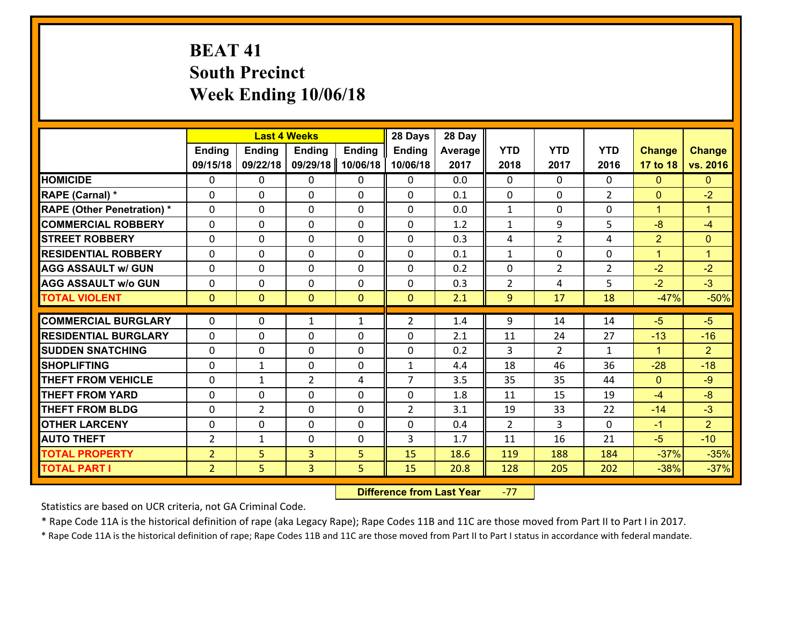# **BEAT 41 South Precinct Week Ending 10/06/18**

|                                   |                |                | <b>Last 4 Weeks</b> |               | 28 Days        | 28 Day  |                |                |                |                |                      |
|-----------------------------------|----------------|----------------|---------------------|---------------|----------------|---------|----------------|----------------|----------------|----------------|----------------------|
|                                   | <b>Ending</b>  | <b>Ending</b>  | <b>Ending</b>       | <b>Ending</b> | <b>Ending</b>  | Average | <b>YTD</b>     | <b>YTD</b>     | <b>YTD</b>     | <b>Change</b>  | <b>Change</b>        |
|                                   | 09/15/18       | 09/22/18       | 09/29/18            | 10/06/18      | 10/06/18       | 2017    | 2018           | 2017           | 2016           | 17 to 18       | vs. 2016             |
| <b>HOMICIDE</b>                   | $\Omega$       | 0              | 0                   | 0             | 0              | 0.0     | $\Omega$       | $\Omega$       | 0              | $\mathbf{0}$   | $\mathbf{0}$         |
| RAPE (Carnal) *                   | $\Omega$       | 0              | $\mathbf{0}$        | 0             | $\Omega$       | 0.1     | $\Omega$       | $\Omega$       | $\mathcal{L}$  | $\mathbf{0}$   | $-2$                 |
| <b>RAPE (Other Penetration) *</b> | 0              | 0              | $\mathbf 0$         | 0             | 0              | 0.0     | $\mathbf{1}$   | 0              | 0              | $\mathbf{1}$   | $\blacktriangleleft$ |
| <b>COMMERCIAL ROBBERY</b>         | 0              | 0              | $\mathbf 0$         | 0             | 0              | 1.2     | $\mathbf{1}$   | 9              | 5              | $-8$           | $-4$                 |
| <b>STREET ROBBERY</b>             | 0              | 0              | $\mathbf 0$         | 0             | 0              | 0.3     | 4              | $\overline{2}$ | 4              | $\overline{2}$ | $\mathbf{0}$         |
| <b>RESIDENTIAL ROBBERY</b>        | $\Omega$       | 0              | $\mathbf 0$         | 0             | 0              | 0.1     | $\mathbf{1}$   | $\mathbf 0$    | 0              | $\mathbf{1}$   | $\mathbf{1}$         |
| <b>AGG ASSAULT w/ GUN</b>         | 0              | 0              | $\mathbf 0$         | 0             | 0              | 0.2     | $\mathbf 0$    | $\overline{2}$ | $\overline{2}$ | $-2$           | $-2$                 |
| <b>AGG ASSAULT w/o GUN</b>        | 0              | 0              | $\mathbf 0$         | $\Omega$      | $\mathbf 0$    | 0.3     | $\overline{2}$ | 4              | 5              | $-2$           | $-3$                 |
| <b>TOTAL VIOLENT</b>              | $\mathbf{O}$   | $\overline{0}$ | $\overline{0}$      | $\mathbf{0}$  | $\mathbf{0}$   | 2.1     | $\overline{9}$ | 17             | 18             | $-47%$         | $-50%$               |
|                                   |                |                |                     |               |                |         |                |                |                |                |                      |
| <b>COMMERCIAL BURGLARY</b>        | $\Omega$       | 0              | $\mathbf{1}$        | $\mathbf{1}$  | $\overline{2}$ | 1.4     | 9              | 14             | 14             | $-5$           | $-5$                 |
| <b>RESIDENTIAL BURGLARY</b>       | $\Omega$       | 0              | 0                   | 0             | 0              | 2.1     | 11             | 24             | 27             | $-13$          | $-16$                |
| <b>SUDDEN SNATCHING</b>           | 0              | 0              | $\mathbf 0$         | 0             | 0              | 0.2     | 3              | $\overline{2}$ | $\mathbf{1}$   | $\mathbf{1}$   | 2 <sup>1</sup>       |
| <b>SHOPLIFTING</b>                | 0              | $\mathbf 1$    | $\mathbf 0$         | 0             | $\mathbf{1}$   | 4.4     | 18             | 46             | 36             | $-28$          | $-18$                |
| <b>THEFT FROM VEHICLE</b>         | 0              | 1              | $\overline{2}$      | 4             | $\overline{7}$ | 3.5     | 35             | 35             | 44             | $\mathbf{0}$   | $-9$                 |
| <b>THEFT FROM YARD</b>            | 0              | 0              | $\mathbf 0$         | 0             | $\mathbf 0$    | 1.8     | 11             | 15             | 19             | $-4$           | $-8$                 |
| <b>THEFT FROM BLDG</b>            | 0              | $\overline{2}$ | $\mathbf 0$         | $\mathbf{0}$  | $\overline{2}$ | 3.1     | 19             | 33             | 22             | $-14$          | $-3$                 |
| <b>OTHER LARCENY</b>              | $\mathbf 0$    | 0              | $\mathbf 0$         | 0             | 0              | 0.4     | $\overline{2}$ | 3              | 0              | $-1$           | $\overline{2}$       |
| <b>AUTO THEFT</b>                 | $\overline{2}$ | 1              | $\mathbf 0$         | $\mathbf 0$   | 3              | 1.7     | 11             | 16             | 21             | $-5$           | $-10$                |
| <b>TOTAL PROPERTY</b>             | $\overline{2}$ | 5              | $\overline{3}$      | 5             | 15             | 18.6    | 119            | 188            | 184            | $-37%$         | $-35%$               |
| <b>TOTAL PART I</b>               | $\overline{2}$ | 5              | $\overline{3}$      | 5             | 15             | 20.8    | 128            | 205            | 202            | $-38%$         | $-37%$               |

 **Difference from Last Year**r -77

Statistics are based on UCR criteria, not GA Criminal Code.

\* Rape Code 11A is the historical definition of rape (aka Legacy Rape); Rape Codes 11B and 11C are those moved from Part II to Part I in 2017.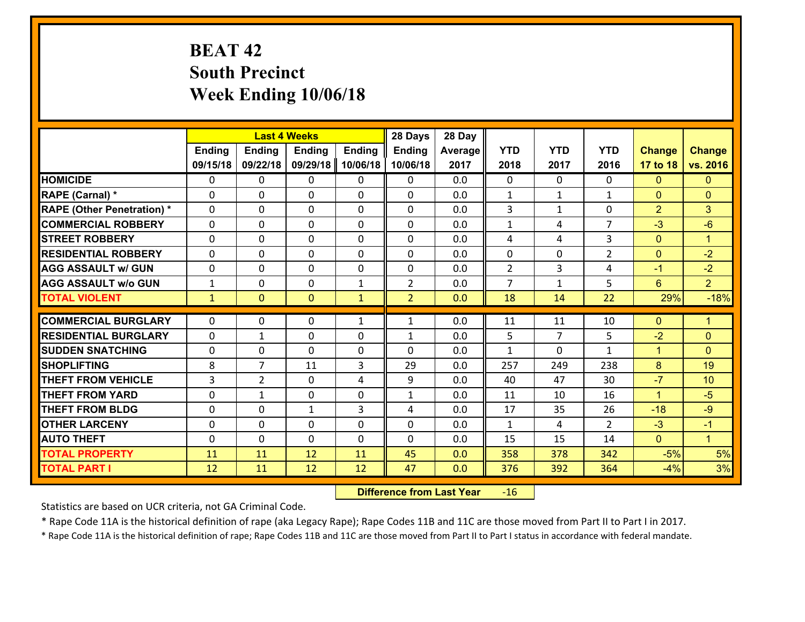# **BEAT 42 South Precinct Week Ending 10/06/18**

|                                              |               |                | <b>Last 4 Weeks</b> |               | 28 Days        | 28 Day     |                |                |                |                |                      |
|----------------------------------------------|---------------|----------------|---------------------|---------------|----------------|------------|----------------|----------------|----------------|----------------|----------------------|
|                                              | <b>Ending</b> | <b>Ending</b>  | <b>Ending</b>       | <b>Ending</b> | <b>Ending</b>  | Average    | <b>YTD</b>     | <b>YTD</b>     | <b>YTD</b>     | <b>Change</b>  | <b>Change</b>        |
|                                              | 09/15/18      | 09/22/18       | 09/29/18            | 10/06/18      | 10/06/18       | 2017       | 2018           | 2017           | 2016           | 17 to 18       | vs. 2016             |
| <b>HOMICIDE</b>                              | 0             | 0              | $\mathbf{0}$        | 0             | 0              | 0.0        | $\Omega$       | $\Omega$       | $\Omega$       | $\mathbf{0}$   | $\mathbf{0}$         |
| RAPE (Carnal) *                              | $\Omega$      | 0              | $\mathbf{0}$        | 0             | 0              | 0.0        | 1              | $\mathbf{1}$   | $\mathbf{1}$   | $\mathbf{0}$   | $\mathbf{0}$         |
| <b>RAPE (Other Penetration) *</b>            | $\Omega$      | 0              | $\Omega$            | $\Omega$      | $\Omega$       | 0.0        | 3              | $\mathbf{1}$   | $\Omega$       | $\overline{2}$ | 3                    |
| <b>COMMERCIAL ROBBERY</b>                    | 0             | 0              | $\mathbf 0$         | 0             | 0              | 0.0        | $\mathbf{1}$   | 4              | $\overline{7}$ | $-3$           | $-6$                 |
| <b>STREET ROBBERY</b>                        | $\Omega$      | 0              | $\mathbf 0$         | $\Omega$      | 0              | 0.0        | 4              | 4              | 3              | $\mathbf{0}$   | $\blacktriangleleft$ |
| <b>RESIDENTIAL ROBBERY</b>                   | $\Omega$      | $\Omega$       | $\mathbf 0$         | $\Omega$      | $\Omega$       | 0.0        | $\mathbf 0$    | 0              | $\overline{2}$ | $\overline{0}$ | $-2$                 |
| <b>AGG ASSAULT w/ GUN</b>                    | $\Omega$      | 0              | $\mathbf 0$         | $\Omega$      | 0              | 0.0        | $\overline{2}$ | 3              | 4              | $-1$           | $-2$                 |
| <b>AGG ASSAULT w/o GUN</b>                   | $\mathbf{1}$  | 0              | $\mathbf 0$         | $\mathbf{1}$  | $\overline{2}$ | 0.0        | $\overline{7}$ | $\mathbf{1}$   | 5              | $6^{\circ}$    | 2 <sup>1</sup>       |
| <b>TOTAL VIOLENT</b>                         | $\mathbf{1}$  | $\overline{0}$ | $\mathbf{0}$        | $\mathbf{1}$  | $\overline{2}$ | 0.0        | 18             | 14             | 22             | 29%            | $-18%$               |
| <b>COMMERCIAL BURGLARY</b>                   | $\Omega$      | 0              | 0                   |               |                |            |                |                |                |                |                      |
|                                              |               |                |                     |               |                |            |                |                |                |                |                      |
|                                              |               |                |                     | $\mathbf{1}$  | $\mathbf{1}$   | 0.0        | 11             | 11             | 10             | $\mathbf{0}$   | $\blacktriangleleft$ |
| <b>RESIDENTIAL BURGLARY</b>                  | $\Omega$      | 1              | $\mathbf{0}$        | 0             | 1              | 0.0        | 5              | $\overline{7}$ | 5              | $-2$           | $\mathbf{0}$         |
| <b>SUDDEN SNATCHING</b>                      | $\Omega$      | 0              | $\mathbf{0}$        | 0             | $\Omega$       | 0.0        | 1              | $\Omega$       | $\mathbf{1}$   | $\mathbf{1}$   | $\Omega$             |
| <b>SHOPLIFTING</b>                           | 8             | 7              | 11                  | 3             | 29             | 0.0        | 257            | 249            | 238            | 8              | 19                   |
| <b>THEFT FROM VEHICLE</b>                    | 3             | $\overline{2}$ | $\mathbf{0}$        | 4             | 9              | 0.0        | 40             | 47             | 30             | $-7$           | 10                   |
| <b>THEFT FROM YARD</b>                       | 0             | 1              | $\mathbf 0$         | 0             | $\mathbf{1}$   | 0.0        | 11             | 10             | 16             | $\mathbf{1}$   | $-5$                 |
| <b>THEFT FROM BLDG</b>                       | 0             | 0              | $\mathbf{1}$        | 3             | 4              | 0.0        | 17             | 35             | 26             | $-18$          | $-9$                 |
| <b>OTHER LARCENY</b>                         | 0             | 0              | $\mathbf 0$         | 0             | 0              | 0.0        | $\mathbf{1}$   | 4              | $\mathcal{L}$  | $-3$           | $-1$                 |
| <b>AUTO THEFT</b>                            | 0             | 0              | $\mathbf 0$         | 0             | 0              | 0.0        | 15             | 15             | 14             | $\overline{0}$ | $\mathbf{1}$         |
| <b>TOTAL PROPERTY</b><br><b>TOTAL PART I</b> | 11<br>12      | 11<br>11       | 12<br>12            | 11<br>12      | 45<br>47       | 0.0<br>0.0 | 358<br>376     | 378<br>392     | 342<br>364     | $-5%$<br>$-4%$ | 5%<br>3%             |

 **Difference from Last Year**r -16

Statistics are based on UCR criteria, not GA Criminal Code.

\* Rape Code 11A is the historical definition of rape (aka Legacy Rape); Rape Codes 11B and 11C are those moved from Part II to Part I in 2017.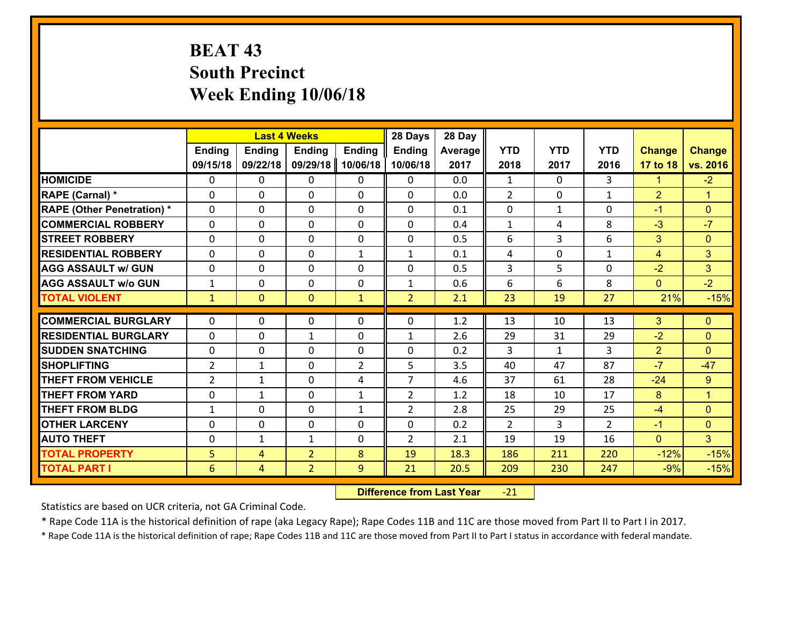# **BEAT 43 South Precinct Week Ending 10/06/18**

|                                   |                |                | <b>Last 4 Weeks</b> |                | 28 Days        | 28 Day  |                |              |                |                |                      |
|-----------------------------------|----------------|----------------|---------------------|----------------|----------------|---------|----------------|--------------|----------------|----------------|----------------------|
|                                   | <b>Ending</b>  | <b>Ending</b>  | <b>Ending</b>       | <b>Ending</b>  | <b>Ending</b>  | Average | <b>YTD</b>     | <b>YTD</b>   | <b>YTD</b>     | <b>Change</b>  | <b>Change</b>        |
|                                   | 09/15/18       | 09/22/18       | 09/29/18            | 10/06/18       | 10/06/18       | 2017    | 2018           | 2017         | 2016           | 17 to 18       | vs. 2016             |
| <b>HOMICIDE</b>                   | $\mathbf{0}$   | 0              | 0                   | 0              | 0              | 0.0     | $\mathbf{1}$   | $\Omega$     | 3              | $\mathbf{1}$   | $-2$                 |
| RAPE (Carnal) *                   | 0              | 0              | $\mathbf{0}$        | 0              | $\Omega$       | 0.0     | 2              | 0            | $\mathbf{1}$   | $\overline{2}$ | $\blacktriangleleft$ |
| <b>RAPE (Other Penetration) *</b> | $\Omega$       | 0              | $\Omega$            | $\Omega$       | $\Omega$       | 0.1     | $\Omega$       | $\mathbf{1}$ | $\Omega$       | $-1$           | $\mathbf{0}$         |
| <b>COMMERCIAL ROBBERY</b>         | $\Omega$       | $\Omega$       | $\mathbf 0$         | $\Omega$       | 0              | 0.4     | $\mathbf{1}$   | 4            | 8              | $-3$           | $-7$                 |
| <b>STREET ROBBERY</b>             | 0              | 0              | $\mathbf 0$         | 0              | 0              | 0.5     | 6              | 3            | 6              | 3              | $\mathbf{0}$         |
| <b>RESIDENTIAL ROBBERY</b>        | $\Omega$       | 0              | $\mathbf 0$         | $\mathbf{1}$   | $\mathbf{1}$   | 0.1     | 4              | 0            | $\mathbf{1}$   | 4              | 3                    |
| <b>AGG ASSAULT w/ GUN</b>         | 0              | 0              | $\mathbf 0$         | 0              | 0              | 0.5     | $\overline{3}$ | 5            | 0              | $-2$           | 3                    |
| <b>AGG ASSAULT w/o GUN</b>        | $\mathbf{1}$   | 0              | $\mathbf 0$         | 0              | $\mathbf{1}$   | 0.6     | 6              | 6            | 8              | $\mathbf{0}$   | $-2$                 |
| <b>TOTAL VIOLENT</b>              | $\mathbf{1}$   | $\overline{0}$ | $\mathbf{0}$        | $\mathbf{1}$   | $\overline{2}$ | 2.1     | 23             | 19           | 27             | 21%            | $-15%$               |
| <b>COMMERCIAL BURGLARY</b>        |                |                |                     |                |                |         |                |              |                |                |                      |
|                                   | $\Omega$       | 0              | 0                   | 0              | $\Omega$       | 1.2     | 13             | 10           | 13             | 3              | $\mathbf{0}$         |
| <b>RESIDENTIAL BURGLARY</b>       | $\Omega$       | 0              | 1                   | 0              | 1              | 2.6     | 29             | 31           | 29             | $-2$           | $\mathbf{0}$         |
| <b>SUDDEN SNATCHING</b>           | $\Omega$       | 0              | $\mathbf 0$         | $\Omega$       | 0              | 0.2     | 3              | $\mathbf{1}$ | 3              | $\overline{2}$ | $\Omega$             |
| <b>SHOPLIFTING</b>                | $\overline{2}$ | 1              | $\mathbf 0$         | $\overline{2}$ | 5              | 3.5     | 40             | 47           | 87             | $-7$           | $-47$                |
| <b>THEFT FROM VEHICLE</b>         | $\overline{2}$ | 1              | 0                   | 4              | $\overline{7}$ | 4.6     | 37             | 61           | 28             | $-24$          | 9                    |
| <b>THEFT FROM YARD</b>            | 0              | $\mathbf{1}$   | $\mathbf 0$         | $\mathbf{1}$   | $\overline{2}$ | 1.2     | 18             | 10           | 17             | 8              | $\blacktriangleleft$ |
| <b>THEFT FROM BLDG</b>            | $\mathbf{1}$   | 0              | $\mathbf 0$         | $\mathbf{1}$   | $\overline{2}$ | 2.8     | 25             | 29           | 25             | $-4$           | $\mathbf{0}$         |
| <b>OTHER LARCENY</b>              | 0              | 0              | $\mathbf 0$         | 0              | 0              | 0.2     | $\overline{2}$ | 3            | $\overline{2}$ | $-1$           | $\overline{0}$       |
| <b>AUTO THEFT</b>                 | 0              | 1              | 1                   | 0              | $\overline{2}$ | 2.1     | 19             | 19           | 16             | $\mathbf{0}$   | 3 <sup>1</sup>       |
| <b>TOTAL PROPERTY</b>             | 5              | 4              | $\overline{2}$      | 8              | 19             | 18.3    | 186            | 211          | 220            | $-12%$         | $-15%$               |
| <b>TOTAL PART I</b>               | $6\phantom{1}$ | $\overline{4}$ | $\overline{2}$      | 9              | 21             | 20.5    | 209            | 230          | 247            | $-9%$          | $-15%$               |

 **Difference from Last Year**r -21

Statistics are based on UCR criteria, not GA Criminal Code.

\* Rape Code 11A is the historical definition of rape (aka Legacy Rape); Rape Codes 11B and 11C are those moved from Part II to Part I in 2017.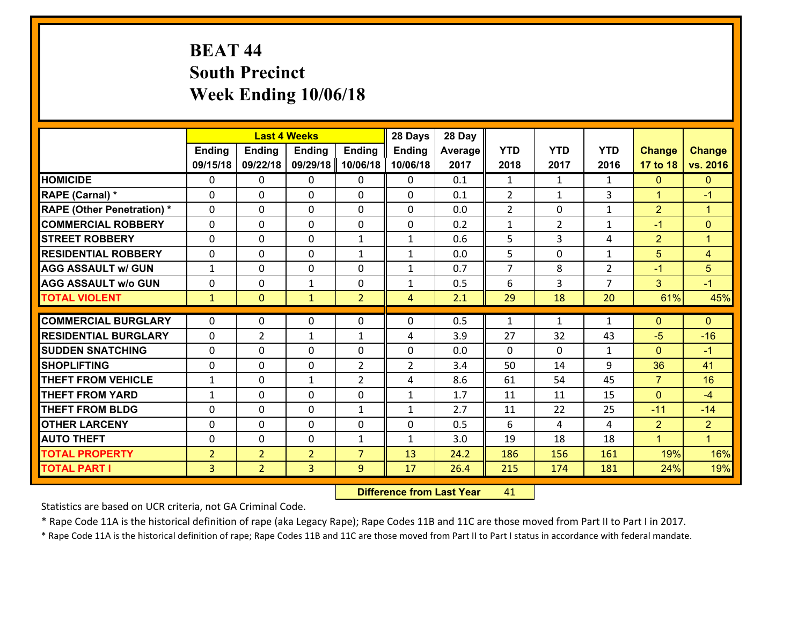# **BEAT 44 South Precinct Week Ending 10/06/18**

|                                              |                                  |                                  | <b>Last 4 Weeks</b> |                   | 28 Days           | 28 Day      |                |                |                |                                |                                |
|----------------------------------------------|----------------------------------|----------------------------------|---------------------|-------------------|-------------------|-------------|----------------|----------------|----------------|--------------------------------|--------------------------------|
|                                              | <b>Ending</b>                    | <b>Ending</b>                    | <b>Ending</b>       | <b>Ending</b>     | <b>Ending</b>     | Average     | <b>YTD</b>     | <b>YTD</b>     | <b>YTD</b>     | <b>Change</b>                  | <b>Change</b>                  |
|                                              | 09/15/18                         | 09/22/18                         | 09/29/18            | 10/06/18          | 10/06/18          | 2017        | 2018           | 2017           | 2016           | 17 to 18                       | vs. 2016                       |
| <b>HOMICIDE</b>                              | $\mathbf{0}$                     | 0                                | $\mathbf{0}$        | 0                 | 0                 | 0.1         | 1              | $\mathbf{1}$   | $\mathbf{1}$   | $\mathbf{0}$                   | $\mathbf{0}$                   |
| RAPE (Carnal) *                              | $\Omega$                         | 0                                | $\mathbf{0}$        | 0                 | 0                 | 0.1         | 2              | $\mathbf{1}$   | 3              | $\mathbf{1}$                   | $-1$                           |
| <b>RAPE (Other Penetration) *</b>            | $\Omega$                         | 0                                | $\Omega$            | $\Omega$          | $\Omega$          | 0.0         | 2              | $\Omega$       | $\mathbf{1}$   | $\overline{2}$                 | $\blacktriangleleft$           |
| <b>COMMERCIAL ROBBERY</b>                    | 0                                | 0                                | $\mathbf 0$         | 0                 | 0                 | 0.2         | $\mathbf{1}$   | $\overline{2}$ | $\mathbf{1}$   | $-1$                           | $\mathbf{0}$                   |
| <b>STREET ROBBERY</b>                        | $\Omega$                         | 0                                | $\mathbf 0$         | $\mathbf{1}$      | $\mathbf{1}$      | 0.6         | 5              | 3              | 4              | $\overline{2}$                 | $\blacktriangleleft$           |
| <b>RESIDENTIAL ROBBERY</b>                   | $\Omega$                         | $\Omega$                         | $\mathbf 0$         | $\mathbf{1}$      | $\mathbf{1}$      | 0.0         | 5              | $\Omega$       | $\mathbf{1}$   | 5                              | $\overline{4}$                 |
| <b>AGG ASSAULT w/ GUN</b>                    | $\mathbf{1}$                     | 0                                | $\mathbf 0$         | $\Omega$          | $\mathbf{1}$      | 0.7         | $\overline{7}$ | 8              | $\overline{2}$ | $-1$                           | $5\overline{)}$                |
| <b>AGG ASSAULT w/o GUN</b>                   | 0                                | 0                                | $\mathbf{1}$        | 0                 | $\mathbf{1}$      | 0.5         | 6              | 3              | $\overline{7}$ | 3                              | $-1$                           |
| <b>TOTAL VIOLENT</b>                         | $\mathbf{1}$                     | $\overline{0}$                   | $\mathbf{1}$        | $\overline{2}$    | $\overline{4}$    | 2.1         | 29             | 18             | 20             | 61%                            | 45%                            |
| <b>COMMERCIAL BURGLARY</b>                   | $\Omega$                         | 0                                | 0                   | 0                 | 0                 | 0.5         | 1              | $\mathbf{1}$   | $\mathbf{1}$   | $\mathbf{0}$                   | $\mathbf{0}$                   |
|                                              |                                  |                                  |                     |                   |                   |             |                |                |                |                                |                                |
|                                              |                                  |                                  |                     |                   |                   |             |                |                |                |                                |                                |
| <b>RESIDENTIAL BURGLARY</b>                  | $\Omega$                         | $\overline{2}$                   | 1                   | $\mathbf{1}$      | 4                 | 3.9         | 27             | 32             | 43             | $-5$                           | $-16$                          |
| <b>SUDDEN SNATCHING</b>                      | $\Omega$                         | 0                                | $\mathbf{0}$        | $\Omega$          | 0                 | 0.0         | $\Omega$       | $\Omega$       | $\mathbf{1}$   | $\mathbf{0}$                   | $-1$                           |
| <b>SHOPLIFTING</b>                           | 0                                | 0                                | $\mathbf 0$         | $\overline{2}$    | $\overline{2}$    | 3.4         | 50             | 14             | 9              | 36                             | 41                             |
| <b>THEFT FROM VEHICLE</b>                    | $\mathbf{1}$                     | 0                                | $\mathbf{1}$        | $\overline{2}$    | 4                 | 8.6         | 61             | 54             | 45             | $\overline{7}$                 | 16                             |
| <b>THEFT FROM YARD</b>                       | $\mathbf{1}$                     | 0                                | $\mathbf 0$         | 0                 | $\mathbf{1}$      | 1.7         | 11             | 11             | 15             | $\mathbf{0}$                   | $-4$                           |
| <b>THEFT FROM BLDG</b>                       | 0                                | 0                                | $\mathbf 0$         | $\mathbf{1}$      | $\mathbf{1}$      | 2.7         | 11             | 22             | 25<br>4        | $-11$                          | $-14$                          |
| <b>OTHER LARCENY</b><br><b>AUTO THEFT</b>    | 0<br>0                           | 0<br>0                           | $\mathbf 0$         | 0<br>$\mathbf{1}$ | 0<br>$\mathbf{1}$ | 0.5         | 6              | 4<br>18        | 18             | $\overline{2}$<br>$\mathbf{1}$ | $\overline{2}$<br>$\mathbf{1}$ |
|                                              |                                  |                                  | $\mathbf 0$         | $\overline{7}$    |                   | 3.0<br>24.2 | 19             |                | 161            |                                |                                |
| <b>TOTAL PROPERTY</b><br><b>TOTAL PART I</b> | $\overline{2}$<br>3 <sup>1</sup> | $\overline{2}$<br>$\overline{2}$ | $\overline{2}$<br>3 | 9                 | 13<br>17          | 26.4        | 186<br>215     | 156<br>174     | 181            | 19%<br>24%                     | 16%<br>19%                     |

 **Difference from Last Year**r 41

Statistics are based on UCR criteria, not GA Criminal Code.

\* Rape Code 11A is the historical definition of rape (aka Legacy Rape); Rape Codes 11B and 11C are those moved from Part II to Part I in 2017.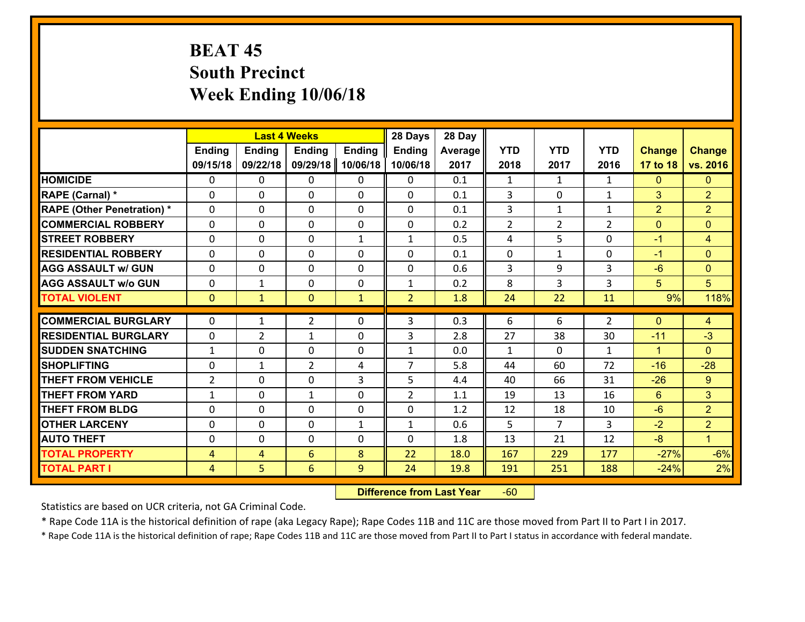# **BEAT 45 South Precinct Week Ending 10/06/18**

|                                   |                |                | <b>Last 4 Weeks</b> |               | 28 Days        | 28 Day  |                |                |                |                |                      |
|-----------------------------------|----------------|----------------|---------------------|---------------|----------------|---------|----------------|----------------|----------------|----------------|----------------------|
|                                   | Ending         | <b>Ending</b>  | <b>Ending</b>       | <b>Ending</b> | <b>Ending</b>  | Average | <b>YTD</b>     | <b>YTD</b>     | <b>YTD</b>     | <b>Change</b>  | <b>Change</b>        |
|                                   | 09/15/18       | 09/22/18       | 09/29/18            | 10/06/18      | 10/06/18       | 2017    | 2018           | 2017           | 2016           | 17 to 18       | vs. 2016             |
| <b>HOMICIDE</b>                   | $\Omega$       | 0              | 0                   | 0             | $\Omega$       | 0.1     | 1              | $\mathbf{1}$   | $\mathbf{1}$   | $\mathbf{0}$   | $\Omega$             |
| RAPE (Carnal) *                   | $\mathbf{0}$   | 0              | $\mathbf{0}$        | 0             | $\Omega$       | 0.1     | 3              | $\mathbf{0}$   | $\mathbf{1}$   | 3              | $\overline{2}$       |
| <b>RAPE (Other Penetration) *</b> | $\Omega$       | 0              | $\mathbf{0}$        | $\Omega$      | $\Omega$       | 0.1     | 3              | $\mathbf{1}$   | $\mathbf{1}$   | $\overline{2}$ | $\overline{2}$       |
| <b>COMMERCIAL ROBBERY</b>         | $\mathbf{0}$   | 0              | 0                   | 0             | $\Omega$       | 0.2     | $\overline{2}$ | $\overline{2}$ | $\overline{2}$ | $\mathbf{0}$   | $\mathbf{0}$         |
| <b>STREET ROBBERY</b>             | 0              | 0              | $\mathbf 0$         | $\mathbf{1}$  | $\mathbf{1}$   | 0.5     | 4              | 5              | 0              | $-1$           | $\overline{4}$       |
| <b>RESIDENTIAL ROBBERY</b>        | $\Omega$       | $\Omega$       | $\mathbf 0$         | $\Omega$      | 0              | 0.1     | 0              | $\mathbf{1}$   | 0              | $-1$           | $\Omega$             |
| <b>AGG ASSAULT w/ GUN</b>         | $\Omega$       | 0              | $\mathbf 0$         | $\Omega$      | 0              | 0.6     | 3              | 9              | 3              | $-6$           | $\overline{0}$       |
| <b>AGG ASSAULT w/o GUN</b>        | 0              | $\mathbf{1}$   | $\mathbf 0$         | $\mathbf 0$   | $\mathbf{1}$   | 0.2     | 8              | 3              | 3              | 5              | 5                    |
| <b>TOTAL VIOLENT</b>              | $\mathbf{0}$   | $\mathbf{1}$   | $\mathbf{0}$        | $\mathbf{1}$  | $\overline{2}$ | 1.8     | 24             | 22             | 11             | 9%             | 118%                 |
| <b>COMMERCIAL BURGLARY</b>        | $\Omega$       | $\mathbf{1}$   | 2                   | $\Omega$      | 3              | 0.3     | 6              | 6              | $\overline{2}$ | $\Omega$       | 4                    |
| <b>RESIDENTIAL BURGLARY</b>       | 0              | $\overline{2}$ | $\mathbf{1}$        | 0             | 3              | 2.8     | 27             | 38             | 30             | $-11$          | $-3$                 |
| <b>SUDDEN SNATCHING</b>           | $\mathbf{1}$   | 0              | 0                   | 0             | $\mathbf{1}$   | 0.0     | $\mathbf{1}$   | $\mathbf{0}$   | $\mathbf{1}$   | $\mathbf{1}$   | $\Omega$             |
| <b>SHOPLIFTING</b>                | 0              | $\mathbf{1}$   | $\overline{2}$      | 4             | $\overline{7}$ | 5.8     | 44             | 60             | 72             | $-16$          | $-28$                |
| <b>THEFT FROM VEHICLE</b>         | $\overline{2}$ | 0              | $\mathbf 0$         | 3             | 5              | 4.4     | 40             | 66             | 31             | $-26$          | $9^{\circ}$          |
| <b>THEFT FROM YARD</b>            | $\mathbf{1}$   | 0              | 1                   | 0             | $\overline{2}$ | 1.1     | 19             | 13             | 16             | 6              | 3 <sup>1</sup>       |
| <b>THEFT FROM BLDG</b>            | 0              | 0              | $\mathbf 0$         | 0             | 0              | 1.2     | 12             | 18             | 10             | $-6$           | $\overline{2}$       |
| <b>OTHER LARCENY</b>              | 0              | 0              | $\mathbf 0$         | $\mathbf{1}$  | $\mathbf{1}$   | 0.6     | 5              | $\overline{7}$ | 3              | $-2$           | $\overline{2}$       |
| <b>AUTO THEFT</b>                 | $\mathbf{0}$   | 0              | $\mathbf{0}$        | 0             | 0              | 1.8     | 13             | 21             | 12             | $-8$           | $\blacktriangleleft$ |
| <b>TOTAL PROPERTY</b>             | 4              | 4              | 6                   | 8             | 22             | 18.0    | 167            | 229            | 177            | $-27%$         | $-6%$                |
| <b>TOTAL PART I</b>               | $\overline{4}$ | 5              | 6                   | 9             | 24             | 19.8    | 191            | 251            | 188            | $-24%$         | 2%                   |
|                                   |                |                |                     |               |                |         |                |                |                |                |                      |

 **Difference from Last Year**r -60

Statistics are based on UCR criteria, not GA Criminal Code.

\* Rape Code 11A is the historical definition of rape (aka Legacy Rape); Rape Codes 11B and 11C are those moved from Part II to Part I in 2017.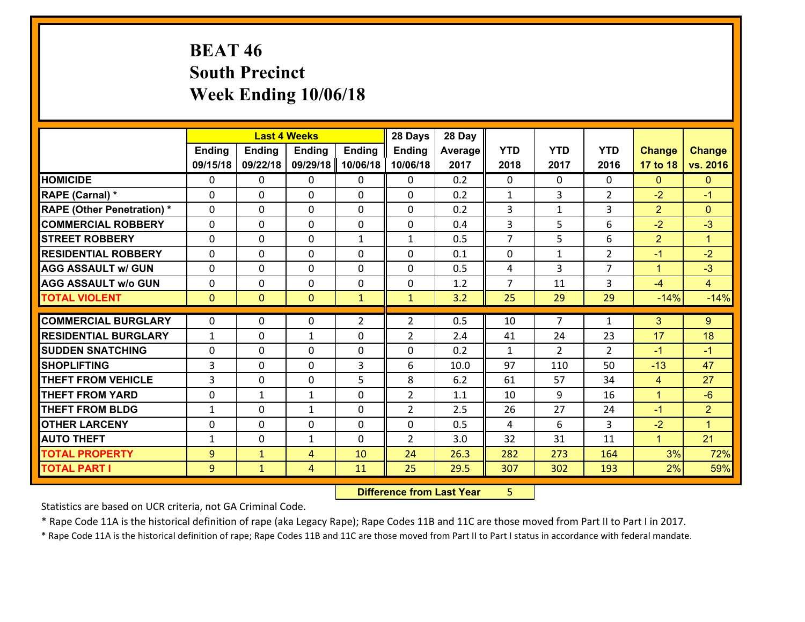# **BEAT 46 South Precinct Week Ending 10/06/18**

|                                   |               |               | <b>Last 4 Weeks</b> |                | 28 Days        | 28 Day  |                |                |                |                |                      |
|-----------------------------------|---------------|---------------|---------------------|----------------|----------------|---------|----------------|----------------|----------------|----------------|----------------------|
|                                   | <b>Ending</b> | <b>Ending</b> | <b>Ending</b>       | <b>Ending</b>  | <b>Ending</b>  | Average | <b>YTD</b>     | <b>YTD</b>     | <b>YTD</b>     | <b>Change</b>  | <b>Change</b>        |
|                                   | 09/15/18      | 09/22/18      | 09/29/18            | 10/06/18       | 10/06/18       | 2017    | 2018           | 2017           | 2016           | 17 to 18       | vs. 2016             |
| <b>HOMICIDE</b>                   | $\Omega$      | 0             | 0                   | 0              | 0              | 0.2     | $\Omega$       | $\Omega$       | 0              | $\mathbf{0}$   | $\mathbf{0}$         |
| RAPE (Carnal) *                   | 0             | 0             | $\mathbf{0}$        | 0              | 0              | 0.2     | $\mathbf{1}$   | 3              | $\overline{2}$ | $-2$           | $-1$                 |
| <b>RAPE (Other Penetration) *</b> | $\Omega$      | 0             | $\mathbf{0}$        | $\Omega$       | 0              | 0.2     | 3              | $\mathbf{1}$   | 3              | $\overline{2}$ | $\mathbf{0}$         |
| <b>COMMERCIAL ROBBERY</b>         | $\Omega$      | 0             | $\mathbf{0}$        | $\Omega$       | 0              | 0.4     | 3              | 5              | 6              | $-2$           | $-3$                 |
| <b>STREET ROBBERY</b>             | $\Omega$      | 0             | $\mathbf{0}$        | $\mathbf{1}$   | $\mathbf{1}$   | 0.5     | $\overline{7}$ | 5              | 6              | $\overline{2}$ | $\blacktriangleleft$ |
| <b>RESIDENTIAL ROBBERY</b>        | $\Omega$      | 0             | $\mathbf{0}$        | $\Omega$       | 0              | 0.1     | $\mathbf{0}$   | $\mathbf 1$    | $\overline{2}$ | $-1$           | $-2$                 |
| <b>AGG ASSAULT w/ GUN</b>         | $\Omega$      | 0             | $\Omega$            | $\Omega$       | $\Omega$       | 0.5     | 4              | 3              | $\overline{7}$ | $\mathbf{1}$   | $-3$                 |
| <b>AGG ASSAULT w/o GUN</b>        | 0             | 0             | $\mathbf 0$         | 0              | 0              | 1.2     | $\overline{7}$ | 11             | 3              | $-4$           | $\overline{4}$       |
| <b>TOTAL VIOLENT</b>              | $\mathbf{0}$  | $\mathbf{0}$  | $\mathbf{0}$        | $\mathbf{1}$   | $\mathbf{1}$   | 3.2     | 25             | 29             | 29             | $-14%$         | $-14%$               |
|                                   |               |               |                     |                |                |         |                |                |                |                |                      |
| <b>COMMERCIAL BURGLARY</b>        | $\mathbf{0}$  | 0             | 0                   | $\overline{2}$ | $\overline{2}$ | 0.5     | 10             | $\overline{7}$ | 1              | 3              | 9                    |
| <b>RESIDENTIAL BURGLARY</b>       | 1             | 0             | 1                   | $\Omega$       | $\overline{2}$ | 2.4     | 41             | 24             | 23             | 17             | 18                   |
| <b>SUDDEN SNATCHING</b>           | 0             | 0             | $\mathbf 0$         | $\Omega$       | 0              | 0.2     | 1              | $\overline{2}$ | $\overline{2}$ | $-1$           | $-1$                 |
| <b>SHOPLIFTING</b>                | 3             | 0             | $\mathbf{0}$        | 3              | 6              | 10.0    | 97             | 110            | 50             | $-13$          | 47                   |
| <b>THEFT FROM VEHICLE</b>         | 3             | 0             | $\mathbf{0}$        | 5              | 8              | 6.2     | 61             | 57             | 34             | $\overline{4}$ | 27                   |
| <b>THEFT FROM YARD</b>            | 0             | $\mathbf{1}$  | $\mathbf{1}$        | $\Omega$       | $\overline{2}$ | 1.1     | 10             | 9              | 16             | $\mathbf{1}$   | $-6$                 |
| <b>THEFT FROM BLDG</b>            | $\mathbf{1}$  | 0             | 1                   | 0              | $\overline{2}$ | 2.5     | 26             | 27             | 24             | $-1$           | $\overline{2}$       |
|                                   |               |               |                     |                |                |         |                |                |                |                |                      |
| <b>OTHER LARCENY</b>              | 0             | 0             | $\mathbf{0}$        | 0              | $\Omega$       | 0.5     | 4              | 6              | 3              | $-2$           | $\blacktriangleleft$ |
| <b>AUTO THEFT</b>                 | $\mathbf{1}$  | 0             | $\mathbf{1}$        | 0              | $\overline{2}$ | 3.0     | 32             | 31             | 11             | $\mathbf{1}$   | 21                   |
| <b>TOTAL PROPERTY</b>             | 9             | $\mathbf{1}$  | 4                   | 10             | 24             | 26.3    | 282            | 273            | 164            | 3%             | 72%                  |
| <b>TOTAL PART I</b>               | 9             | $\mathbf{1}$  | 4                   | 11             | 25             | 29.5    | 307            | 302            | 193            | 2%             | 59%                  |

 **Difference from Last Year**r 5

Statistics are based on UCR criteria, not GA Criminal Code.

\* Rape Code 11A is the historical definition of rape (aka Legacy Rape); Rape Codes 11B and 11C are those moved from Part II to Part I in 2017.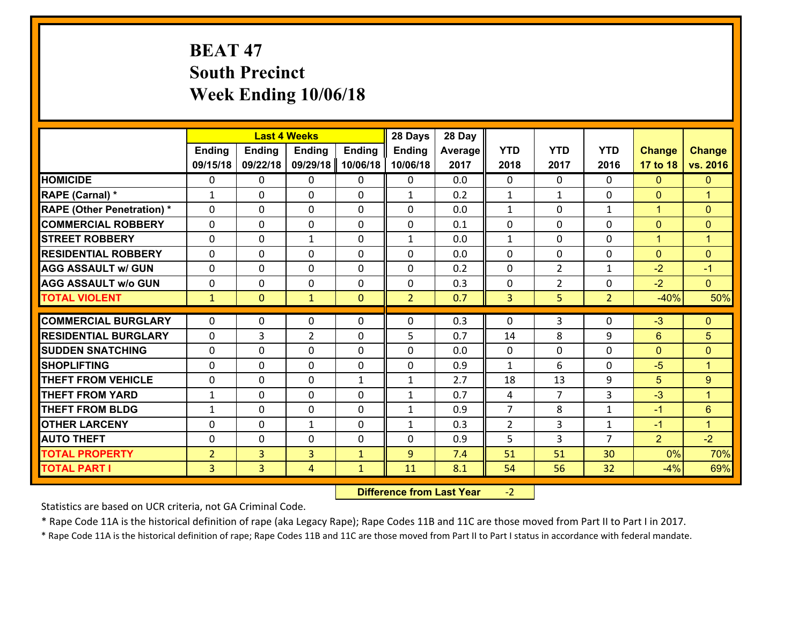# **BEAT 47 South Precinct Week Ending 10/06/18**

|                                                |                              |                | <b>Last 4 Weeks</b>         |               | 28 Days                      | 28 Day     |                                  |                      |                              |                |                           |
|------------------------------------------------|------------------------------|----------------|-----------------------------|---------------|------------------------------|------------|----------------------------------|----------------------|------------------------------|----------------|---------------------------|
|                                                | Ending                       | <b>Ending</b>  | Ending                      | <b>Ending</b> | <b>Ending</b>                | Average    | <b>YTD</b>                       | <b>YTD</b>           | <b>YTD</b>                   | <b>Change</b>  | <b>Change</b>             |
|                                                | 09/15/18                     | 09/22/18       | 09/29/18                    | 10/06/18      | 10/06/18                     | 2017       | 2018                             | 2017                 | 2016                         | 17 to 18       | vs. 2016                  |
| <b>HOMICIDE</b>                                | $\Omega$                     | 0              | $\mathbf{0}$                | 0             | $\mathbf{0}$                 | 0.0        | $\mathbf{0}$                     | $\Omega$             | $\Omega$                     | $\mathbf{0}$   | $\mathbf{0}$              |
| RAPE (Carnal) *                                | 1                            | $\Omega$       | $\mathbf{0}$                | 0             | $\mathbf{1}$                 | 0.2        | 1                                | $\mathbf{1}$         | 0                            | $\mathbf{0}$   | $\blacktriangleleft$      |
| <b>RAPE (Other Penetration) *</b>              | $\Omega$                     | $\Omega$       | $\Omega$                    | $\Omega$      | $\Omega$                     | 0.0        | $\mathbf{1}$                     | $\Omega$             | $\mathbf{1}$                 | $\mathbf{1}$   | $\mathbf{0}$              |
| <b>COMMERCIAL ROBBERY</b>                      | 0                            | 0              | $\mathbf 0$                 | $\Omega$      | 0                            | 0.1        | $\mathbf 0$                      | $\mathbf{0}$         | 0                            | $\mathbf{0}$   | $\mathbf{0}$              |
| <b>STREET ROBBERY</b>                          | $\Omega$                     | $\Omega$       | $\mathbf{1}$                | 0             | $\mathbf{1}$                 | 0.0        | $\mathbf{1}$                     | $\Omega$             | $\Omega$                     | $\mathbf{1}$   | $\overline{1}$            |
| <b>RESIDENTIAL ROBBERY</b>                     | $\Omega$                     | $\Omega$       | $\mathbf 0$                 | $\Omega$      | $\Omega$                     | 0.0        | $\Omega$                         | $\Omega$             | 0                            | $\overline{0}$ | $\mathbf{0}$              |
| <b>AGG ASSAULT w/ GUN</b>                      | 0                            | 0              | $\mathbf 0$                 | $\Omega$      | $\Omega$                     | 0.2        | $\Omega$                         | $\overline{2}$       | $\mathbf{1}$                 | $-2$           | $-1$                      |
| <b>AGG ASSAULT w/o GUN</b>                     | 0                            | 0              | $\mathbf 0$                 | 0             | 0                            | 0.3        | $\mathbf 0$                      | $\overline{2}$       | 0                            | $-2$           | $\overline{0}$            |
| <b>TOTAL VIOLENT</b>                           | $\mathbf{1}$                 | $\overline{0}$ | $\mathbf{1}$                | $\mathbf{0}$  | $\overline{2}$               | 0.7        | $\overline{3}$                   | 5                    | $\overline{2}$               | $-40%$         | 50%                       |
|                                                |                              |                |                             |               |                              |            |                                  |                      |                              |                |                           |
|                                                |                              |                |                             |               |                              |            |                                  |                      |                              |                |                           |
| <b>COMMERCIAL BURGLARY</b>                     | 0                            | 0              | 0                           | $\Omega$      | 0                            | 0.3        | $\mathbf{0}$                     | 3                    | 0                            | $-3$           | $\mathbf{0}$              |
| <b>RESIDENTIAL BURGLARY</b>                    | $\Omega$                     | 3              | $\overline{2}$              | 0             | 5                            | 0.7        | 14                               | 8                    | 9                            | 6              | 5                         |
| <b>SUDDEN SNATCHING</b>                        | $\Omega$                     | 0              | $\mathbf{0}$                | 0             | 0                            | 0.0        | $\Omega$                         | $\Omega$             | $\Omega$                     | $\mathbf{0}$   | $\mathbf{0}$              |
| <b>SHOPLIFTING</b>                             | 0                            | 0              | $\mathbf 0$                 | 0             | 0                            | 0.9        | $\mathbf{1}$                     | 6                    | $\Omega$                     | $-5$           | $\blacktriangleleft$      |
| <b>THEFT FROM VEHICLE</b>                      | $\Omega$                     | $\Omega$       | $\mathbf{0}$                | $\mathbf{1}$  | $\mathbf{1}$                 | 2.7        | 18                               | 13<br>$\overline{7}$ | 9                            | 5              | 9<br>$\overline{1}$       |
| <b>THEFT FROM YARD</b>                         | $\mathbf{1}$<br>$\mathbf{1}$ | 0              | $\mathbf 0$                 | 0<br>0        | $\mathbf{1}$                 | 0.7        | 4                                |                      | 3                            | $-3$           |                           |
| <b>THEFT FROM BLDG</b><br><b>OTHER LARCENY</b> | 0                            | 0<br>0         | $\mathbf 0$<br>$\mathbf{1}$ | 0             | $\mathbf{1}$<br>$\mathbf{1}$ | 0.9<br>0.3 | $\overline{7}$<br>$\overline{2}$ | 8<br>3               | $\mathbf{1}$<br>$\mathbf{1}$ | $-1$<br>$-1$   | 6<br>$\blacktriangleleft$ |
| <b>AUTO THEFT</b>                              | $\Omega$                     | 0              | 0                           | $\Omega$      | 0                            | 0.9        | 5                                | 3                    | $\overline{7}$               | $\overline{2}$ | $-2$                      |
| <b>TOTAL PROPERTY</b>                          | $\overline{2}$               | $\overline{3}$ | $\overline{3}$              | $\mathbf{1}$  | 9                            | 7.4        | 51                               | 51                   | 30                           | 0%             |                           |
| <b>TOTAL PART I</b>                            | 3 <sup>1</sup>               | $\overline{3}$ | $\overline{4}$              | $\mathbf{1}$  | 11                           | 8.1        | 54                               | 56                   | 32                           | $-4%$          | 70%<br>69%                |

 **Difference from Last Year**‐2

Statistics are based on UCR criteria, not GA Criminal Code.

\* Rape Code 11A is the historical definition of rape (aka Legacy Rape); Rape Codes 11B and 11C are those moved from Part II to Part I in 2017.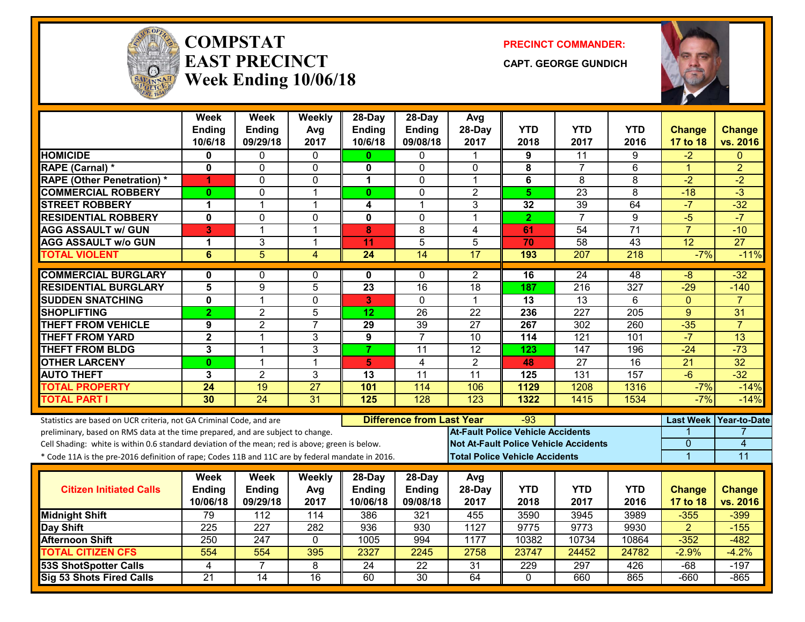

#### **COMPSTATEAST PRECINCTWeek Ending 10/06/18**

**PRECINCT COMMANDER:**

**CAPT. GEORGE GUNDICH**



|                                                                                                  | <b>Week</b><br><b>Ending</b> | <b>Week</b><br>Ending | Weekly<br>Avg   | 28-Day<br><b>Ending</b>                 | 28-Day<br><b>Ending</b>   | Avg<br>28-Day                                | <b>YTD</b>                            | <b>YTD</b>       | <b>YTD</b>       | <b>Change</b>             | <b>Change</b>             |
|--------------------------------------------------------------------------------------------------|------------------------------|-----------------------|-----------------|-----------------------------------------|---------------------------|----------------------------------------------|---------------------------------------|------------------|------------------|---------------------------|---------------------------|
|                                                                                                  | 10/6/18                      | 09/29/18              | 2017            | 10/6/18                                 | 09/08/18                  | 2017                                         | 2018                                  | 2017             | 2016             | 17 to 18                  | vs. 2016                  |
| <b>HOMICIDE</b>                                                                                  | 0                            | 0                     | 0               | $\mathbf{0}$                            | 0                         | 1                                            | 9                                     | 11               | 9                | $-2$                      | $\Omega$                  |
| RAPE (Carnal) *                                                                                  | $\mathbf 0$                  | 0                     | $\mathbf{0}$    | 0                                       | $\mathbf{0}$              | $\mathbf{0}$                                 | 8                                     | $\overline{7}$   | 6                | $\blacktriangleleft$      | $\overline{2}$            |
| <b>RAPE (Other Penetration) *</b>                                                                | 1                            | 0                     | $\Omega$        | $\mathbf 1$                             | $\mathbf{0}$              | 1                                            | $\bf 6$                               | 8                | 8                | $-2$                      | $-2$                      |
| <b>COMMERCIAL ROBBERY</b>                                                                        | $\bf{0}$                     | 0                     | $\overline{1}$  | $\mathbf{0}$                            | $\Omega$                  | $\overline{2}$                               | $5\phantom{.0}$                       | $\overline{23}$  | 8                | $-18$                     | $\overline{3}$            |
| <b>STREET ROBBERY</b>                                                                            | 1                            | 1                     | $\mathbf 1$     | 4                                       | $\mathbf 1$               | 3                                            | 32                                    | 39               | 64               | $-7$                      | $-32$                     |
| <b>RESIDENTIAL ROBBERY</b>                                                                       | $\overline{\mathbf{0}}$      | $\overline{0}$        | $\mathbf 0$     | $\overline{\mathbf{0}}$                 | $\Omega$                  | $\mathbf{1}$                                 | $\overline{2}$                        | $\overline{7}$   | $\overline{9}$   | $-5$                      | $-7$                      |
| <b>AGG ASSAULT w/ GUN</b>                                                                        | 3                            | $\mathbf{1}$          | $\overline{1}$  | 8                                       | 8                         | $\overline{4}$                               | 61                                    | 54               | $\overline{71}$  | $\overline{7}$            | $-10$                     |
| <b>AGG ASSAULT w/o GUN</b>                                                                       | 1                            | 3                     | $\overline{1}$  | $\overline{11}$                         | $\overline{5}$            | 5                                            | 70                                    | 58               | $\overline{43}$  | 12                        | $\overline{27}$           |
| <b>TOTAL VIOLENT</b>                                                                             | 6                            | $\overline{5}$        | 4               | $\overline{24}$                         | $\overline{14}$           | $\overline{17}$                              | 193                                   | 207              | $\overline{218}$ | $-7%$                     | $-11%$                    |
| <b>COMMERCIAL BURGLARY</b>                                                                       | 0                            | 0                     | $\mathbf{0}$    | 0                                       | $\mathbf{0}$              | $\overline{2}$                               | $\overline{16}$                       | $\overline{24}$  | 48               | $-8$                      | $-32$                     |
| <b>RESIDENTIAL BURGLARY</b>                                                                      | 5                            | 9                     | 5               | 23                                      | 16                        | $\overline{18}$                              | 187                                   | $\overline{216}$ | $\overline{327}$ | $-29$                     | $-140$                    |
| <b>SUDDEN SNATCHING</b>                                                                          | $\overline{\mathbf{0}}$      | 1                     | $\mathbf 0$     | 3                                       | $\Omega$                  | $\mathbf{1}$                                 | $\overline{13}$                       | $\overline{13}$  | 6                | $\mathbf{0}$              |                           |
| <b>SHOPLIFTING</b>                                                                               | $\overline{2}$               | $\overline{2}$        | 5               | 12                                      | 26                        | 22                                           | 236                                   | 227              | 205              | 9                         | 31                        |
| <b>THEFT FROM VEHICLE</b>                                                                        | 9                            | $\overline{2}$        | $\overline{7}$  | $\overline{29}$                         | 39                        | $\overline{27}$                              | 267                                   | 302              | 260              | $-35$                     | $\overline{7}$            |
| <b>THEFT FROM YARD</b>                                                                           | $\overline{2}$               | $\overline{1}$        | 3               | $\overline{9}$                          | $\overline{7}$            | 10                                           | 114                                   | 121              | 101              | $-7$                      | 13                        |
| <b>THEFT FROM BLDG</b>                                                                           | 3                            | 1                     | 3               | $\overline{7}$                          | 11                        | $\overline{12}$                              | 123                                   | 147              | 196              | $-24$                     | $-73$                     |
| <b>OTHER LARCENY</b>                                                                             | $\bf{0}$                     | 1                     | $\overline{1}$  | 5 <sub>1</sub>                          | $\overline{4}$            | $\overline{2}$                               | 48                                    | $\overline{27}$  | $\overline{16}$  | $\overline{21}$           | 32                        |
| <b>AUTO THEFT</b>                                                                                | 3                            | $\overline{2}$        | 3               | 13                                      | 11                        | 11                                           | 125                                   | 131              | 157              | $-6$                      | $-32$                     |
| <b>TOTAL PROPERTY</b>                                                                            | 24                           | 19                    | $\overline{27}$ | 101                                     | 114                       | 106                                          | 1129                                  | 1208             | 1316             | $-7%$                     | $-14%$                    |
| <b>TOTAL PART I</b>                                                                              | 30                           | 24                    | 31              | 125                                     | 128                       | 123                                          | 1322                                  | 1415             | 1534             | $-7%$                     | $-14%$                    |
| Statistics are based on UCR criteria, not GA Criminal Code, and are                              |                              |                       |                 | <b>Difference from Last Year</b><br>-93 |                           |                                              |                                       |                  |                  |                           | Last Week Year-to-Date    |
| preliminary, based on RMS data at the time prepared, and are subject to change.                  |                              |                       |                 |                                         |                           | <b>At-Fault Police Vehicle Accidents</b>     |                                       |                  |                  |                           |                           |
| Cell Shading: white is within 0.6 standard deviation of the mean; red is above; green is below.  |                              |                       |                 |                                         |                           | <b>Not At-Fault Police Vehicle Accidents</b> |                                       |                  |                  | 0                         | 4                         |
| * Code 11A is the pre-2016 definition of rape; Codes 11B and 11C are by federal mandate in 2016. |                              |                       |                 |                                         |                           |                                              | <b>Total Police Vehicle Accidents</b> |                  |                  | $\overline{1}$            | $\overline{11}$           |
|                                                                                                  |                              |                       |                 |                                         |                           |                                              |                                       |                  |                  |                           |                           |
| <b>Citizen Initiated Calls</b>                                                                   | Week                         | Week                  | <b>Weekly</b>   | $28$ -Day                               | 28-Day                    | Avg                                          | <b>YTD</b>                            | <b>YTD</b>       | <b>YTD</b>       |                           |                           |
|                                                                                                  | <b>Ending</b><br>10/06/18    | Ending<br>09/29/18    | Avg<br>2017     | Ending<br>10/06/18                      | <b>Ending</b><br>09/08/18 | 28-Day<br>2017                               | 2018                                  | 2017             | 2016             | <b>Change</b><br>17 to 18 | <b>Change</b><br>vs. 2016 |
| <b>Midnight Shift</b>                                                                            | 79                           | 112                   | 114             | 386                                     | 321                       | 455                                          | 3590                                  | 3945             | 3989             | $-355$                    | $-399$                    |
| Day Shift                                                                                        | $\overline{225}$             | $\overline{227}$      | 282             | 936                                     | 930                       | 1127                                         | 9775                                  | 9773             | 9930             | $\overline{2}$            | $-155$                    |
| <b>Afternoon Shift</b>                                                                           | 250                          | 247                   | $\mathbf{0}$    | 1005                                    | 994                       | 1177                                         | 10382                                 | 10734            | 10864            | $-352$                    | $-482$                    |
| <b>TOTAL CITIZEN CFS</b>                                                                         | 554                          | 554                   | 395             | 2327                                    | 2245                      | 2758                                         | 23747                                 | 24452            | 24782            | $-2.9%$                   | $-4.2%$                   |
| <b>53S ShotSpotter Calls</b>                                                                     | 4                            | $\overline{7}$        | 8               | 24                                      | $\overline{22}$           | 31                                           | 229                                   | 297              | 426              | $-68$                     | $-197$                    |
| Sig 53 Shots Fired Calls                                                                         | $\overline{21}$              | $\overline{14}$       | $\overline{16}$ | 60                                      | $\overline{30}$           | 64                                           | $\mathbf{0}$                          | 660              | 865              | $-660$                    | $-865$                    |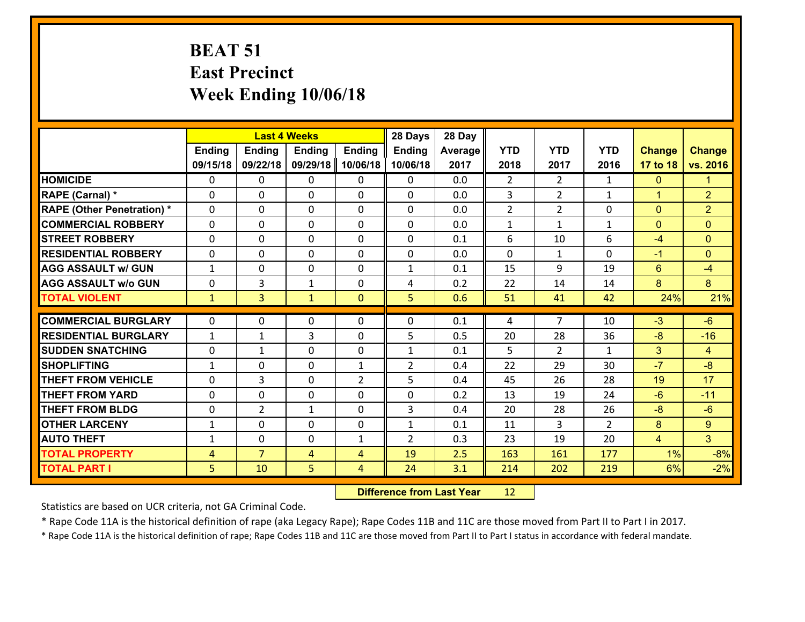# **BEAT 51 East Precinct Week Ending 10/06/18**

|                                   |                | <b>Last 4 Weeks</b> |               |                |                | 28 Day  |                |                |                |                |                |
|-----------------------------------|----------------|---------------------|---------------|----------------|----------------|---------|----------------|----------------|----------------|----------------|----------------|
|                                   | <b>Ending</b>  | <b>Ending</b>       | <b>Ending</b> | <b>Ending</b>  | <b>Ending</b>  | Average | <b>YTD</b>     | <b>YTD</b>     | <b>YTD</b>     | <b>Change</b>  | <b>Change</b>  |
|                                   | 09/15/18       | 09/22/18            | 09/29/18      | 10/06/18       | 10/06/18       | 2017    | 2018           | 2017           | 2016           | 17 to 18       | vs. 2016       |
| <b>HOMICIDE</b>                   | $\Omega$       | 0                   | $\Omega$      | 0              | $\Omega$       | 0.0     | $\overline{2}$ | $\overline{2}$ | $\mathbf{1}$   | $\mathbf{0}$   | 1              |
| RAPE (Carnal) *                   | 0              | 0                   | $\mathbf{0}$  | 0              | $\Omega$       | 0.0     | 3              | $\overline{2}$ | $\mathbf{1}$   | $\mathbf{1}$   | $\overline{2}$ |
| <b>RAPE (Other Penetration) *</b> | $\Omega$       | 0                   | $\mathbf{0}$  | $\Omega$       | $\Omega$       | 0.0     | $\overline{2}$ | $\overline{2}$ | $\Omega$       | $\mathbf{0}$   | $\overline{2}$ |
| <b>COMMERCIAL ROBBERY</b>         | 0              | 0                   | 0             | 0              | $\Omega$       | 0.0     | $\mathbf{1}$   | $\mathbf{1}$   | $\mathbf{1}$   | $\mathbf{0}$   | $\mathbf{0}$   |
| <b>STREET ROBBERY</b>             | $\Omega$       | 0                   | $\mathbf 0$   | 0              | 0              | 0.1     | 6              | 10             | 6              | $-4$           | $\mathbf{0}$   |
| <b>RESIDENTIAL ROBBERY</b>        | $\Omega$       | $\Omega$            | $\mathbf 0$   | $\Omega$       | 0              | 0.0     | $\Omega$       | $\mathbf{1}$   | $\Omega$       | $-1$           | $\mathbf{0}$   |
| <b>AGG ASSAULT w/ GUN</b>         | $\mathbf{1}$   | 0                   | $\mathbf 0$   | 0              | $\mathbf{1}$   | 0.1     | 15             | 9              | 19             | $6^{\circ}$    | $-4$           |
| <b>AGG ASSAULT w/o GUN</b>        | 0              | 3                   | 1             | 0              | 4              | 0.2     | 22             | 14             | 14             | 8              | 8              |
| <b>TOTAL VIOLENT</b>              | $\mathbf{1}$   | $\overline{3}$      | $\mathbf{1}$  | $\mathbf{0}$   | 5              | 0.6     | 51             | 41             | 42             | 24%            | 21%            |
| <b>COMMERCIAL BURGLARY</b>        | $\Omega$       | 0                   | $\mathbf{0}$  | $\Omega$       | $\Omega$       | 0.1     |                | $\overline{7}$ | 10             | $-3$           | $-6$           |
|                                   |                |                     |               |                |                |         | 4              |                |                |                |                |
| <b>RESIDENTIAL BURGLARY</b>       | $\mathbf{1}$   | 1                   | 3             | 0              | 5              | 0.5     | 20             | 28             | 36             | $-8$           | $-16$          |
| <b>SUDDEN SNATCHING</b>           | 0              | 1                   | $\mathbf 0$   | 0              | $\mathbf{1}$   | 0.1     | 5              | $\overline{2}$ | $\mathbf{1}$   | 3              | $\overline{4}$ |
| <b>SHOPLIFTING</b>                | $\mathbf{1}$   | 0                   | $\mathbf 0$   | $\mathbf{1}$   | $\overline{2}$ | 0.4     | 22             | 29             | 30             | $-7$           | $-8$           |
| <b>THEFT FROM VEHICLE</b>         | $\Omega$       | 3                   | $\mathbf 0$   | $\overline{2}$ | 5              | 0.4     | 45             | 26             | 28             | 19             | 17             |
| <b>THEFT FROM YARD</b>            | 0              | 0                   | $\mathbf 0$   | 0              | 0              | 0.2     | 13             | 19             | 24             | $-6$           | $-11$          |
| <b>THEFT FROM BLDG</b>            | 0              | $\overline{2}$      | 1             | 0              | 3              | 0.4     | 20             | 28             | 26             | $-8$           | $-6$           |
| <b>OTHER LARCENY</b>              | $\mathbf{1}$   | 0                   | $\mathbf 0$   | 0              | $\mathbf{1}$   | 0.1     | 11             | 3              | $\overline{2}$ | 8              | $\overline{9}$ |
| <b>AUTO THEFT</b>                 | $\mathbf{1}$   | 0                   | $\mathbf{0}$  | $\mathbf{1}$   | $\overline{2}$ | 0.3     | 23             | 19             | 20             | $\overline{4}$ | 3 <sup>1</sup> |
| <b>TOTAL PROPERTY</b>             | $\overline{4}$ | $\overline{7}$      | 4             | 4              | 19             | 2.5     | 163            | 161            | 177            | 1%             | $-8%$          |
| <b>TOTAL PART I</b>               | 5              | 10                  | 5             | 4              | 24             | 3.1     | 214            | 202            | 219            | 6%             | $-2%$          |

 **Difference from Last Year**r 12

Statistics are based on UCR criteria, not GA Criminal Code.

\* Rape Code 11A is the historical definition of rape (aka Legacy Rape); Rape Codes 11B and 11C are those moved from Part II to Part I in 2017.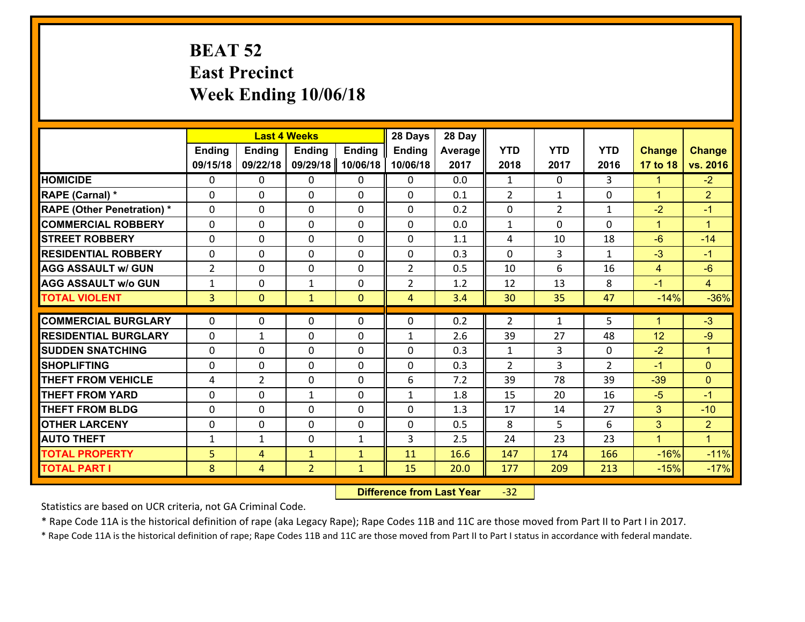# **BEAT 52 East Precinct Week Ending 10/06/18**

|                                              |                |                | <b>Last 4 Weeks</b>            |                              | 28 Days        | 28 Day       |                |                |                |                      |                      |
|----------------------------------------------|----------------|----------------|--------------------------------|------------------------------|----------------|--------------|----------------|----------------|----------------|----------------------|----------------------|
|                                              | Ending         | <b>Ending</b>  | <b>Ending</b>                  | <b>Ending</b>                | <b>Ending</b>  | Average      | <b>YTD</b>     | <b>YTD</b>     | <b>YTD</b>     | <b>Change</b>        | <b>Change</b>        |
|                                              | 09/15/18       | 09/22/18       | 09/29/18                       | 10/06/18                     | 10/06/18       | 2017         | 2018           | 2017           | 2016           | 17 to 18             | vs. 2016             |
| <b>HOMICIDE</b>                              | $\mathbf{0}$   | 0              | 0                              | $\mathbf{0}$                 | 0              | 0.0          | $\mathbf{1}$   | $\Omega$       | 3              | $\mathbf{1}$         | $-2$                 |
| RAPE (Carnal) *                              | $\Omega$       | 0              | 0                              | $\mathbf{0}$                 | $\Omega$       | 0.1          | 2              | $\mathbf{1}$   | 0              | $\mathbf{1}$         | $\overline{2}$       |
| <b>RAPE (Other Penetration) *</b>            | $\Omega$       | 0              | $\Omega$                       | $\Omega$                     | $\Omega$       | 0.2          | $\Omega$       | $\overline{2}$ | $\mathbf{1}$   | $-2$                 | $-1$                 |
| <b>COMMERCIAL ROBBERY</b>                    | 0              | 0              | 0                              | 0                            | 0              | 0.0          | $\mathbf{1}$   | $\Omega$       | $\Omega$       | $\mathbf{1}$         | $\blacktriangleleft$ |
| <b>STREET ROBBERY</b>                        | $\Omega$       | 0              | $\mathbf{0}$                   | $\Omega$                     | 0              | 1.1          | 4              | 10             | 18             | $-6$                 | $-14$                |
| <b>RESIDENTIAL ROBBERY</b>                   | $\Omega$       | $\Omega$       | 0                              | $\Omega$                     | $\Omega$       | 0.3          | $\Omega$       | 3              | $\mathbf{1}$   | $-3$                 | $-1$                 |
| <b>AGG ASSAULT w/ GUN</b>                    | $\overline{2}$ | 0              | 0                              | 0                            | $\overline{2}$ | 0.5          | 10             | 6              | 16             | $\overline{4}$       | $-6$                 |
| <b>AGG ASSAULT w/o GUN</b>                   | $\mathbf{1}$   | 0              | $\mathbf{1}$                   | 0                            | $\overline{2}$ | 1.2          | 12             | 13             | 8              | $-1$                 | $\overline{4}$       |
| <b>TOTAL VIOLENT</b>                         | $\overline{3}$ | $\overline{0}$ | $\mathbf{1}$                   | $\overline{0}$               | $\overline{4}$ | 3.4          | 30             | 35             | 47             | $-14%$               | $-36%$               |
| <b>COMMERCIAL BURGLARY</b>                   | $\Omega$       | 0              | $\mathbf{0}$                   | $\mathbf{0}$                 | $\Omega$       |              | 2              | $\mathbf{1}$   |                |                      | $-3$                 |
|                                              |                |                |                                |                              |                |              |                |                |                |                      |                      |
|                                              |                |                |                                |                              |                | 0.2          |                |                | 5              | $\blacktriangleleft$ |                      |
| <b>RESIDENTIAL BURGLARY</b>                  | $\Omega$       | $\mathbf{1}$   | $\mathbf{0}$                   | 0                            | $\mathbf{1}$   | 2.6          | 39             | 27             | 48             | 12                   | $-9$                 |
| <b>SUDDEN SNATCHING</b>                      | $\Omega$       | 0              | $\mathbf{0}$                   | $\Omega$                     | $\Omega$       | 0.3          | $\mathbf{1}$   | 3              | 0              | $-2$                 | $\mathbf{1}$         |
| <b>SHOPLIFTING</b>                           | 0              | 0              | 0                              | 0                            | 0              | 0.3          | $\overline{2}$ | 3              | $\overline{2}$ | $-1$                 | $\overline{0}$       |
| <b>THEFT FROM VEHICLE</b>                    | 4              | $\overline{2}$ | $\mathbf{0}$                   | $\Omega$                     | 6              | 7.2          | 39             | 78             | 39             | $-39$                | $\Omega$             |
| <b>THEFT FROM YARD</b>                       | 0              | 0              | $\mathbf{1}$                   | 0                            | $\mathbf{1}$   | 1.8          | 15             | 20             | 16             | $-5$                 | $-1$                 |
| <b>THEFT FROM BLDG</b>                       | 0              | 0              | 0                              | 0                            | 0              | 1.3          | 17             | 14             | 27             | 3                    | $-10$                |
| <b>OTHER LARCENY</b>                         | 0              | 0              | 0                              | 0                            | 0              | 0.5          | 8              | 5              | 6              | 3                    | $\overline{2}$       |
| <b>AUTO THEFT</b>                            | $\mathbf{1}$   | $\mathbf{1}$   | $\mathbf 0$                    | $\mathbf{1}$                 | 3              | 2.5          | 24             | 23             | 23             | $\mathbf{1}$         | $\mathbf{1}$         |
| <b>TOTAL PROPERTY</b><br><b>TOTAL PART I</b> | 5<br>8         | 4<br>4         | $\mathbf{1}$<br>$\overline{2}$ | $\mathbf{1}$<br>$\mathbf{1}$ | 11<br>15       | 16.6<br>20.0 | 147<br>177     | 174<br>209     | 166<br>213     | $-16%$<br>$-15%$     | $-11%$<br>$-17%$     |

 **Difference from Last Year**r -32

Statistics are based on UCR criteria, not GA Criminal Code.

\* Rape Code 11A is the historical definition of rape (aka Legacy Rape); Rape Codes 11B and 11C are those moved from Part II to Part I in 2017.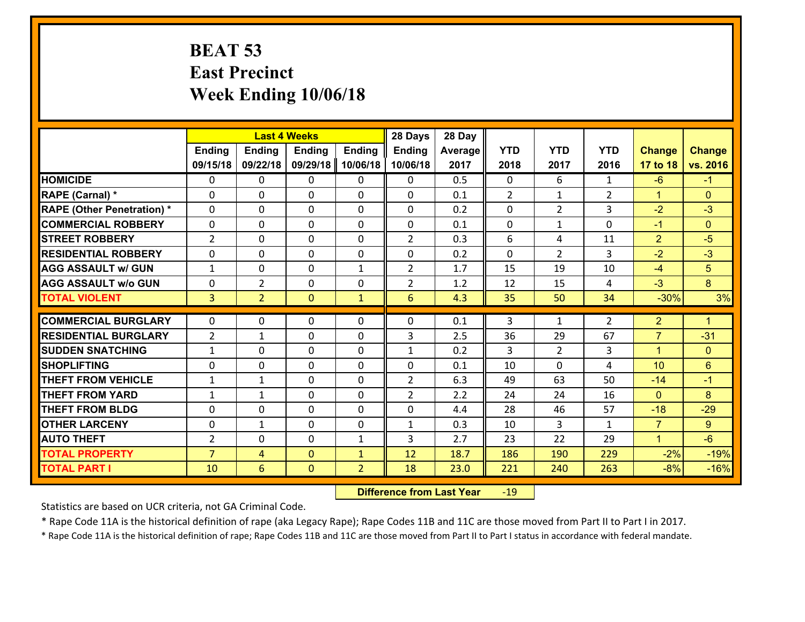# **BEAT 53 East Precinct Week Ending 10/06/18**

|                                   | <b>Last 4 Weeks</b> |                 |                |                | 28 Days        | 28 Day  |               |                |                |                      |                |
|-----------------------------------|---------------------|-----------------|----------------|----------------|----------------|---------|---------------|----------------|----------------|----------------------|----------------|
|                                   | <b>Ending</b>       | <b>Ending</b>   | <b>Ending</b>  | <b>Ending</b>  | <b>Ending</b>  | Average | <b>YTD</b>    | <b>YTD</b>     | <b>YTD</b>     | <b>Change</b>        | <b>Change</b>  |
|                                   | 09/15/18            | 09/22/18        | 09/29/18       | 10/06/18       | 10/06/18       | 2017    | 2018          | 2017           | 2016           | 17 to 18             | vs. 2016       |
| <b>HOMICIDE</b>                   | $\Omega$            | 0               | $\Omega$       | 0              | $\Omega$       | 0.5     | $\Omega$      | 6              | $\mathbf{1}$   | $-6$                 | $-1$           |
| RAPE (Carnal) *                   | $\Omega$            | $\Omega$        | $\Omega$       | $\Omega$       | 0              | 0.1     | $\mathcal{L}$ | $\mathbf{1}$   | $\overline{2}$ | $\blacktriangleleft$ | $\Omega$       |
| <b>RAPE (Other Penetration) *</b> | $\Omega$            | 0               | $\mathbf 0$    | 0              | $\Omega$       | 0.2     | 0             | $\overline{2}$ | 3              | $-2$                 | $-3$           |
| <b>COMMERCIAL ROBBERY</b>         | $\mathbf 0$         | 0               | $\mathbf 0$    | 0              | 0              | 0.1     | $\mathbf 0$   | $\mathbf{1}$   | 0              | $-1$                 | $\overline{0}$ |
| <b>STREET ROBBERY</b>             | $\overline{2}$      | 0               | $\mathbf 0$    | 0              | $\overline{2}$ | 0.3     | 6             | 4              | 11             | $\overline{2}$       | $-5$           |
| <b>RESIDENTIAL ROBBERY</b>        | $\mathbf 0$         | 0               | $\mathbf 0$    | 0              | 0              | 0.2     | $\mathbf 0$   | $\overline{2}$ | 3              | $-2$                 | $-3$           |
| <b>AGG ASSAULT w/ GUN</b>         | $\mathbf{1}$        | 0               | $\mathbf 0$    | $\mathbf{1}$   | $\overline{2}$ | 1.7     | 15            | 19             | 10             | $-4$                 | 5 <sup>5</sup> |
| <b>AGG ASSAULT w/o GUN</b>        | $\mathbf 0$         | $\overline{2}$  | 0              | 0              | $\overline{2}$ | 1.2     | 12            | 15             | 4              | $-3$                 | 8              |
| <b>TOTAL VIOLENT</b>              | 3 <sup>1</sup>      | $\overline{2}$  | $\overline{0}$ | $\mathbf{1}$   | 6              | 4.3     | 35            | 50             | 34             | $-30%$               | 3%             |
| <b>COMMERCIAL BURGLARY</b>        | $\Omega$            | 0               | $\mathbf{0}$   | $\Omega$       | 0              | 0.1     | 3             | $\mathbf{1}$   | $\overline{2}$ | $\overline{2}$       | $\mathbf{1}$   |
| <b>RESIDENTIAL BURGLARY</b>       | $\overline{2}$      | 1               | $\mathbf{0}$   | 0              | 3              | 2.5     | 36            | 29             | 67             | $\overline{7}$       | $-31$          |
| <b>SUDDEN SNATCHING</b>           | $\mathbf{1}$        | 0               | $\mathbf{0}$   | 0              | $\mathbf{1}$   | 0.2     | 3             | $\overline{2}$ | 3              | $\blacktriangleleft$ | $\mathbf{0}$   |
| <b>SHOPLIFTING</b>                | $\mathbf 0$         | 0               | $\mathbf 0$    | 0              | 0              | 0.1     | 10            | $\Omega$       | 4              | 10                   | 6 <sup>1</sup> |
| <b>THEFT FROM VEHICLE</b>         | $\mathbf{1}$        | $\mathbf{1}$    | $\mathbf 0$    | 0              | $\overline{2}$ | 6.3     | 49            | 63             | 50             | $-14$                | $-1$           |
| <b>THEFT FROM YARD</b>            | $\mathbf{1}$        | 1               | $\mathbf 0$    | 0              | $\overline{2}$ | 2.2     | 24            | 24             | 16             | $\mathbf{0}$         | 8              |
| <b>THEFT FROM BLDG</b>            | $\mathbf 0$         | 0               | $\mathbf 0$    | 0              | 0              | 4.4     | 28            | 46             | 57             | $-18$                | $-29$          |
| <b>OTHER LARCENY</b>              | $\mathbf 0$         | $\mathbf{1}$    | $\mathbf 0$    | 0              | $\mathbf{1}$   | 0.3     | 10            | 3              | $\mathbf{1}$   | $\overline{7}$       | $9^{\circ}$    |
| <b>AUTO THEFT</b>                 | $\overline{2}$      | 0               | $\mathbf 0$    | $\mathbf{1}$   | 3              | 2.7     | 23            | 22             | 29             | $\blacktriangleleft$ | $-6$           |
| <b>TOTAL PROPERTY</b>             | $\overline{7}$      | 4               | $\mathbf{0}$   | $\mathbf{1}$   | 12             | 18.7    | 186           | 190            | 229            | $-2%$                | $-19%$         |
| <b>TOTAL PART I</b>               | 10                  | $6\overline{6}$ | $\mathbf{0}$   | $\overline{2}$ | 18             | 23.0    | 221           | 240            | 263            | $-8%$                | $-16%$         |
|                                   |                     |                 |                |                |                |         |               |                |                |                      |                |

 **Difference from Last Year**r -19

Statistics are based on UCR criteria, not GA Criminal Code.

\* Rape Code 11A is the historical definition of rape (aka Legacy Rape); Rape Codes 11B and 11C are those moved from Part II to Part I in 2017.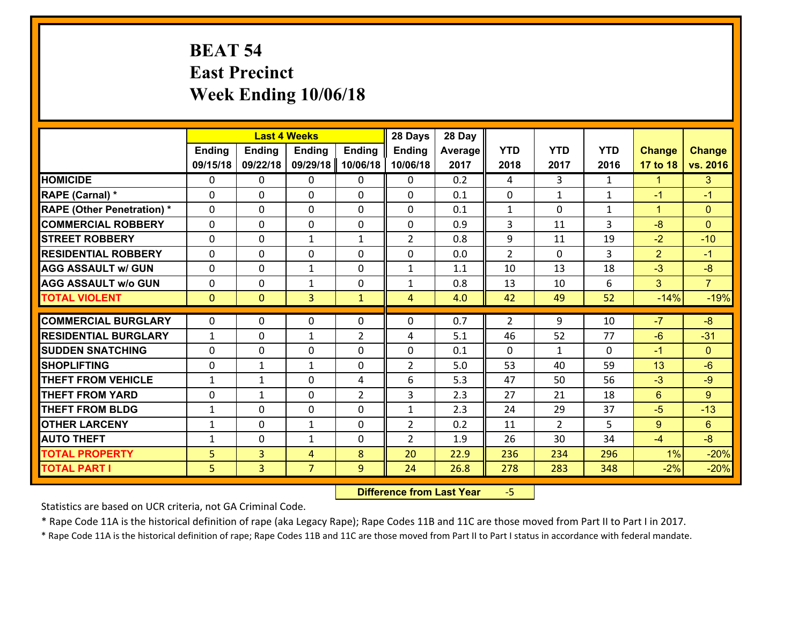# **BEAT 54 East Precinct Week Ending 10/06/18**

|                                   |               | <b>Last 4 Weeks</b> |                |                |                | 28 Day  |                |                |              |               |                |
|-----------------------------------|---------------|---------------------|----------------|----------------|----------------|---------|----------------|----------------|--------------|---------------|----------------|
|                                   | <b>Ending</b> | <b>Ending</b>       | <b>Ending</b>  | <b>Ending</b>  | <b>Ending</b>  | Average | <b>YTD</b>     | <b>YTD</b>     | <b>YTD</b>   | <b>Change</b> | <b>Change</b>  |
|                                   | 09/15/18      | 09/22/18            | 09/29/18       | 10/06/18       | 10/06/18       | 2017    | 2018           | 2017           | 2016         | 17 to 18      | vs. 2016       |
| <b>HOMICIDE</b>                   | 0             | 0                   | $\Omega$       | 0              | 0              | 0.2     | 4              | 3              | $\mathbf{1}$ | $\mathbf{1}$  | 3              |
| RAPE (Carnal) *                   | 0             | 0                   | $\mathbf{0}$   | 0              | $\Omega$       | 0.1     | $\mathbf{0}$   | $\mathbf{1}$   | $\mathbf{1}$ | $-1$          | $-1$           |
| <b>RAPE (Other Penetration) *</b> | $\Omega$      | 0                   | $\mathbf{0}$   | $\Omega$       | $\Omega$       | 0.1     | $\mathbf{1}$   | $\Omega$       | $\mathbf{1}$ | $\mathbf{1}$  | $\mathbf{0}$   |
| <b>COMMERCIAL ROBBERY</b>         | 0             | 0                   | 0              | 0              | 0              | 0.9     | 3              | 11             | 3            | $-8$          | $\mathbf{0}$   |
| <b>STREET ROBBERY</b>             | $\Omega$      | 0                   | 1              | $\mathbf{1}$   | $\overline{2}$ | 0.8     | 9              | 11             | 19           | $-2$          | $-10$          |
| <b>RESIDENTIAL ROBBERY</b>        | $\Omega$      | $\Omega$            | $\mathbf 0$    | $\Omega$       | 0              | 0.0     | $\overline{2}$ | $\Omega$       | 3            | 2             | $-1$           |
| <b>AGG ASSAULT w/ GUN</b>         | $\Omega$      | 0                   | $\mathbf{1}$   | 0              | $\mathbf{1}$   | 1.1     | 10             | 13             | 18           | $-3$          | $-8$           |
| <b>AGG ASSAULT w/o GUN</b>        | 0             | 0                   | $\mathbf{1}$   | 0              | $\mathbf{1}$   | 0.8     | 13             | 10             | 6            | 3             | $\overline{7}$ |
| <b>TOTAL VIOLENT</b>              | $\mathbf{0}$  | $\overline{0}$      | 3              | $\mathbf{1}$   | $\overline{4}$ | 4.0     | 42             | 49             | 52           | $-14%$        | $-19%$         |
| <b>COMMERCIAL BURGLARY</b>        | $\Omega$      | 0                   | $\mathbf{0}$   | $\Omega$       | $\Omega$       | 0.7     | 2              | 9              | 10           | $-7$          | $-8$           |
|                                   |               |                     |                |                |                |         |                |                |              |               |                |
| <b>RESIDENTIAL BURGLARY</b>       | $\mathbf{1}$  | 0                   | $\mathbf{1}$   | $\overline{2}$ | 4              | 5.1     | 46             | 52             | 77           | $-6$          | $-31$          |
| <b>SUDDEN SNATCHING</b>           | 0             | 0                   | $\mathbf 0$    | 0              | 0              | 0.1     | $\mathbf 0$    | $\mathbf{1}$   | 0            | $-1$          | $\mathbf{0}$   |
| <b>SHOPLIFTING</b>                | 0             | 1                   | 1              | 0              | $\overline{2}$ | 5.0     | 53             | 40             | 59           | 13            | $-6$           |
| <b>THEFT FROM VEHICLE</b>         | $\mathbf{1}$  | $\mathbf{1}$        | $\mathbf 0$    | 4              | 6              | 5.3     | 47             | 50             | 56           | $-3$          | $-9$           |
| <b>THEFT FROM YARD</b>            | 0             | $\mathbf{1}$        | $\mathbf 0$    | $\overline{2}$ | 3              | 2.3     | 27             | 21             | 18           | $6^{\circ}$   | 9              |
| <b>THEFT FROM BLDG</b>            | $\mathbf{1}$  | 0                   | $\mathbf 0$    | 0              | $\mathbf{1}$   | 2.3     | 24             | 29             | 37           | $-5$          | $-13$          |
| <b>OTHER LARCENY</b>              | $\mathbf{1}$  | 0                   | $\mathbf{1}$   | 0              | $\overline{2}$ | 0.2     | 11             | $\overline{2}$ | 5            | $9^{\circ}$   | 6              |
| <b>AUTO THEFT</b>                 | $\mathbf{1}$  | 0                   | $\mathbf{1}$   | 0              | $\overline{2}$ | 1.9     | 26             | 30             | 34           | $-4$          | $-8$           |
| <b>TOTAL PROPERTY</b>             | 5             | 3                   | 4              | 8              | 20             | 22.9    | 236            | 234            | 296          | 1%            | $-20%$         |
| <b>TOTAL PART I</b>               | 5             | $\overline{3}$      | $\overline{7}$ | 9              | 24             | 26.8    | 278            | 283            | 348          | $-2%$         | $-20%$         |

 **Difference from Last Year**‐5

Statistics are based on UCR criteria, not GA Criminal Code.

\* Rape Code 11A is the historical definition of rape (aka Legacy Rape); Rape Codes 11B and 11C are those moved from Part II to Part I in 2017.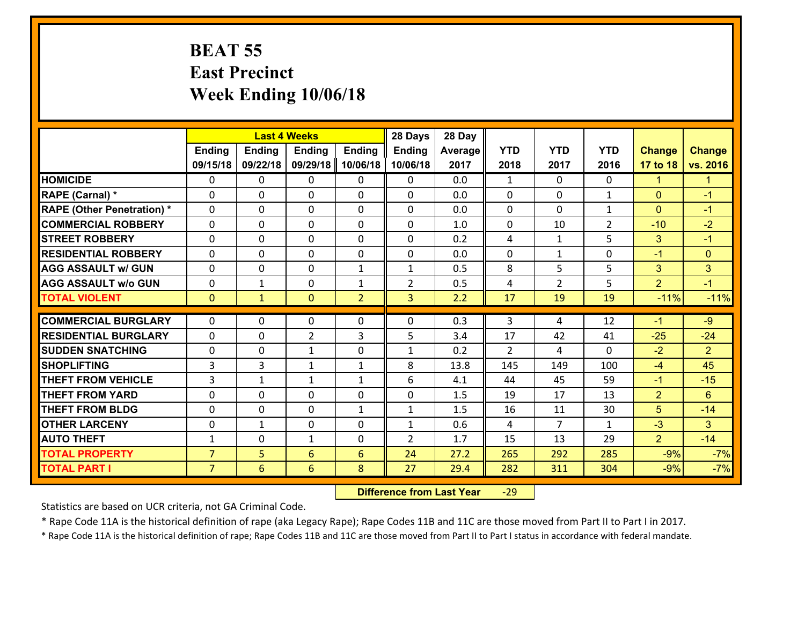### **BEAT 55 East Precinct Week Ending 10/06/18**

|                                   | <b>Last 4 Weeks</b> |               |                 |                | 28 Days        | 28 Day  |             |                |                |                |                |
|-----------------------------------|---------------------|---------------|-----------------|----------------|----------------|---------|-------------|----------------|----------------|----------------|----------------|
|                                   | <b>Ending</b>       | <b>Ending</b> | <b>Ending</b>   | Ending         | <b>Ending</b>  | Average | <b>YTD</b>  | <b>YTD</b>     | <b>YTD</b>     | <b>Change</b>  | <b>Change</b>  |
|                                   | 09/15/18            | 09/22/18      | 09/29/18        | 10/06/18       | 10/06/18       | 2017    | 2018        | 2017           | 2016           | 17 to 18       | vs. 2016       |
| <b>HOMICIDE</b>                   | $\Omega$            | 0             | 0               | 0              | 0              | 0.0     | 1           | $\Omega$       | 0              | 1              | -1             |
| RAPE (Carnal) *                   | $\Omega$            | 0             | $\mathbf{0}$    | 0              | $\Omega$       | 0.0     | $\Omega$    | $\Omega$       | $\mathbf{1}$   | $\Omega$       | $-1$           |
| <b>RAPE (Other Penetration) *</b> | 0                   | 0             | $\mathbf 0$     | 0              | 0              | 0.0     | 0           | 0              | $\mathbf{1}$   | $\mathbf{0}$   | $-1$           |
| <b>COMMERCIAL ROBBERY</b>         | 0                   | 0             | $\mathbf 0$     | 0              | 0              | 1.0     | $\mathbf 0$ | 10             | $\overline{2}$ | $-10$          | $-2$           |
| <b>STREET ROBBERY</b>             | 0                   | 0             | $\mathbf 0$     | 0              | $\mathbf 0$    | 0.2     | 4           | $\mathbf{1}$   | 5              | 3              | $-1$           |
| <b>RESIDENTIAL ROBBERY</b>        | $\Omega$            | 0             | $\mathbf 0$     | 0              | 0              | 0.0     | $\mathbf 0$ | $\mathbf{1}$   | 0              | $-1$           | $\overline{0}$ |
| <b>AGG ASSAULT w/ GUN</b>         | 0                   | 0             | $\mathbf 0$     | $\mathbf{1}$   | $\mathbf{1}$   | 0.5     | 8           | 5              | 5              | 3              | 3              |
| <b>AGG ASSAULT w/o GUN</b>        | 0                   | 1             | $\mathbf 0$     | $\mathbf{1}$   | $\overline{2}$ | 0.5     | 4           | $\overline{2}$ | 5              | $\overline{2}$ | $-1$           |
| <b>TOTAL VIOLENT</b>              | $\mathbf{O}$        | $\mathbf{1}$  | $\mathbf{0}$    | $\overline{2}$ | 3              | 2.2     | 17          | 19             | 19             | $-11%$         | $-11%$         |
| <b>COMMERCIAL BURGLARY</b>        | $\Omega$            | 0             | $\mathbf{0}$    | 0              | $\Omega$       | 0.3     | 3           | 4              | 12             | $-1$           | $-9$           |
| <b>RESIDENTIAL BURGLARY</b>       | 0                   | 0             | $\overline{2}$  | 3              | 5              | 3.4     | 17          | 42             | 41             | $-25$          | $-24$          |
| <b>SUDDEN SNATCHING</b>           | 0                   | 0             | 1               | 0              | $\mathbf{1}$   | 0.2     | 2           | 4              | $\Omega$       | $-2$           | $\overline{2}$ |
| <b>SHOPLIFTING</b>                | 3                   | 3             | $\mathbf{1}$    | $\mathbf{1}$   | 8              | 13.8    | 145         | 149            | 100            | $-4$           | 45             |
| <b>THEFT FROM VEHICLE</b>         | $\overline{3}$      | 1             | $\mathbf{1}$    | $\mathbf{1}$   | 6              | 4.1     | 44          | 45             | 59             | $-1$           | $-15$          |
| <b>THEFT FROM YARD</b>            | $\mathbf 0$         | 0             | $\mathbf 0$     | 0              | $\mathbf 0$    | 1.5     | 19          | 17             | 13             | $\overline{2}$ | $6\phantom{a}$ |
| <b>THEFT FROM BLDG</b>            | 0                   | 0             | $\mathbf 0$     | $\mathbf{1}$   | $\mathbf{1}$   | 1.5     | 16          | 11             | 30             | 5              | $-14$          |
| <b>OTHER LARCENY</b>              | $\mathbf 0$         | $\mathbf 1$   | $\mathbf 0$     | 0              | $\mathbf{1}$   | 0.6     | 4           | $\overline{7}$ | $\mathbf{1}$   | $-3$           | 3              |
| <b>AUTO THEFT</b>                 | $\mathbf{1}$        | 0             | $\mathbf{1}$    | 0              | $\overline{2}$ | 1.7     | 15          | 13             | 29             | $\overline{2}$ | $-14$          |
| <b>TOTAL PROPERTY</b>             | $\overline{7}$      | 5             | 6               | 6              | 24             | 27.2    | 265         | 292            | 285            | $-9%$          | $-7%$          |
| <b>TOTAL PART I</b>               | $\overline{7}$      | 6             | $6\overline{6}$ | 8              | 27             | 29.4    | 282         | 311            | 304            | $-9%$          | $-7%$          |
|                                   |                     |               |                 |                |                |         |             |                |                |                |                |

 **Difference from Last Year**r -29

Statistics are based on UCR criteria, not GA Criminal Code.

\* Rape Code 11A is the historical definition of rape (aka Legacy Rape); Rape Codes 11B and 11C are those moved from Part II to Part I in 2017.